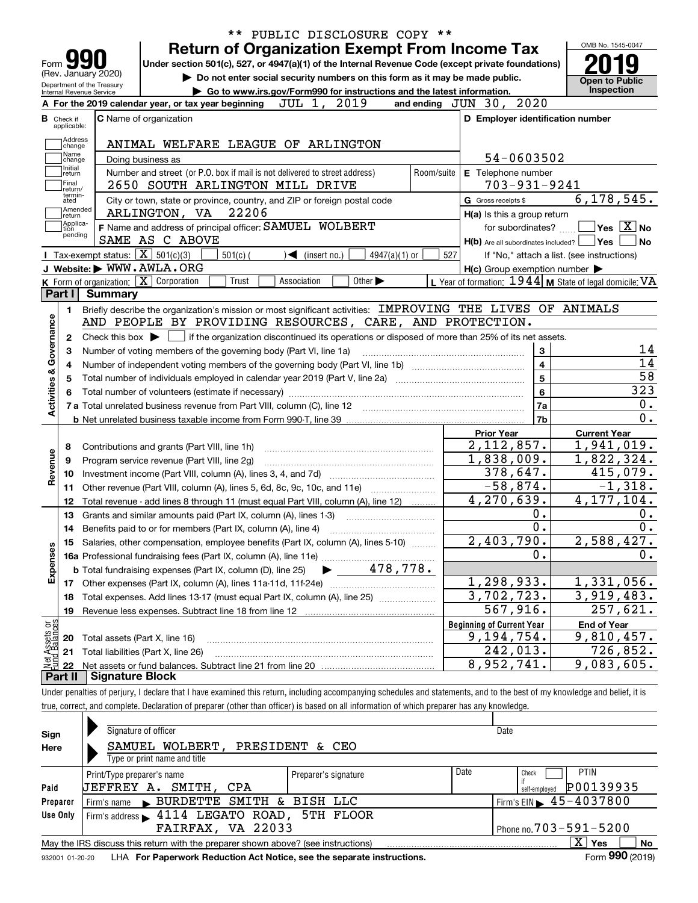|                                |                                  |                                                        | ** PUBLIC DISCLOSURE COPY **                                                                                                                                               |                                                           |                                          |
|--------------------------------|----------------------------------|--------------------------------------------------------|----------------------------------------------------------------------------------------------------------------------------------------------------------------------------|-----------------------------------------------------------|------------------------------------------|
|                                |                                  |                                                        | <b>Return of Organization Exempt From Income Tax</b>                                                                                                                       |                                                           | OMB No. 1545-0047                        |
| Form                           |                                  |                                                        | Under section 501(c), 527, or 4947(a)(1) of the Internal Revenue Code (except private foundations)                                                                         |                                                           |                                          |
|                                |                                  | (Rev. January 2020)                                    | Do not enter social security numbers on this form as it may be made public.                                                                                                |                                                           | <b>Open to Public</b>                    |
|                                |                                  | Department of the Treasury<br>Internal Revenue Service | Go to www.irs.gov/Form990 for instructions and the latest information.                                                                                                     |                                                           | <b>Inspection</b>                        |
|                                |                                  |                                                        | JUL 1, 2019<br>A For the 2019 calendar year, or tax year beginning                                                                                                         | and ending $JUN$ 30, $2020$                               |                                          |
|                                | <b>B</b> Check if<br>applicable: |                                                        | <b>C</b> Name of organization                                                                                                                                              | D Employer identification number                          |                                          |
|                                | Address                          |                                                        |                                                                                                                                                                            |                                                           |                                          |
|                                | change<br>Name                   |                                                        | ANIMAL WELFARE LEAGUE OF ARLINGTON                                                                                                                                         |                                                           |                                          |
|                                | change<br>Initial                |                                                        | Doing business as                                                                                                                                                          | 54-0603502                                                |                                          |
|                                | return                           |                                                        | Number and street (or P.O. box if mail is not delivered to street address)<br>Room/suite                                                                                   | E Telephone number                                        |                                          |
|                                | Final<br>return/<br>termin-      |                                                        | 2650 SOUTH ARLINGTON MILL DRIVE                                                                                                                                            | $703 - 931 - 9241$                                        |                                          |
|                                | ated<br>Amended                  |                                                        | City or town, state or province, country, and ZIP or foreign postal code                                                                                                   | G Gross receipts \$                                       | 6, 178, 545.                             |
|                                | return<br>Applica-               |                                                        | 22206<br>ARLINGTON, VA                                                                                                                                                     | H(a) Is this a group return                               |                                          |
|                                | tion<br>pending                  |                                                        | F Name and address of principal officer: SAMUEL WOLBERT                                                                                                                    | for subordinates?                                         | $\overline{\mathsf{Yes}} \mathcal{X}$ No |
|                                |                                  |                                                        | SAME AS C ABOVE                                                                                                                                                            | $H(b)$ Are all subordinates included? $\Box$              | Yes<br>No                                |
|                                |                                  | Tax-exempt status: $\boxed{\mathbf{X}}$ 501(c)(3)      | $501(c)$ (<br>$4947(a)(1)$ or<br>$\sqrt{\frac{2}{1}}$ (insert no.)                                                                                                         | 527<br>If "No," attach a list. (see instructions)         |                                          |
|                                |                                  |                                                        | J Website: WWW.AWLA.ORG<br>Other $\blacktriangleright$                                                                                                                     | $H(c)$ Group exemption number $\blacktriangleright$       |                                          |
|                                | Part I                           | <b>Summary</b>                                         | K Form of organization: X Corporation<br>Trust<br>Association                                                                                                              | L Year of formation: $1944$ M State of legal domicile: VA |                                          |
|                                |                                  |                                                        | Briefly describe the organization's mission or most significant activities: IMPROVING THE LIVES OF ANIMALS                                                                 |                                                           |                                          |
|                                | 1.                               |                                                        | AND PEOPLE BY PROVIDING RESOURCES, CARE, AND PROTECTION.                                                                                                                   |                                                           |                                          |
|                                | $\mathbf{2}$                     |                                                        | Check this box $\blacktriangleright$ $\blacksquare$ if the organization discontinued its operations or disposed of more than 25% of its net assets.                        |                                                           |                                          |
|                                | 3                                |                                                        | Number of voting members of the governing body (Part VI, line 1a)                                                                                                          | 3                                                         | 14                                       |
| Governance                     | 4                                |                                                        |                                                                                                                                                                            | $\overline{\mathbf{4}}$                                   | 14                                       |
|                                | 5                                |                                                        |                                                                                                                                                                            | 5                                                         | 58                                       |
| <b>Activities &amp;</b>        | 6                                |                                                        |                                                                                                                                                                            | 6                                                         | 323                                      |
|                                |                                  |                                                        |                                                                                                                                                                            | 7a                                                        | 0.                                       |
|                                |                                  |                                                        |                                                                                                                                                                            | 7b                                                        | $\overline{0}$ .                         |
|                                |                                  |                                                        |                                                                                                                                                                            | <b>Prior Year</b>                                         | <b>Current Year</b>                      |
|                                | 8                                |                                                        | Contributions and grants (Part VIII, line 1h)                                                                                                                              | $\overline{2,112},857.$                                   | 1,941,019.                               |
| Revenue                        | 9                                |                                                        | Program service revenue (Part VIII, line 2g)                                                                                                                               | 1,838,009.                                                | 1,822,324.                               |
|                                | 10                               |                                                        |                                                                                                                                                                            | 378,647.                                                  | 415,079.                                 |
|                                | 11                               |                                                        | Other revenue (Part VIII, column (A), lines 5, 6d, 8c, 9c, 10c, and 11e)                                                                                                   | $-58,874.$                                                | $-1,318.$                                |
|                                | 12                               |                                                        | Total revenue - add lines 8 through 11 (must equal Part VIII, column (A), line 12)                                                                                         | 4,270,639.                                                | 4, 177, 104.                             |
|                                | 13                               |                                                        | Grants and similar amounts paid (Part IX, column (A), lines 1-3)                                                                                                           | 0.                                                        | 0.                                       |
|                                | 14                               |                                                        |                                                                                                                                                                            | 0.                                                        | 0.                                       |
|                                |                                  |                                                        | Salaries, other compensation, employee benefits (Part IX, column (A), lines 5-10)                                                                                          | 2,403,790.                                                | 2,588,427.                               |
|                                |                                  |                                                        |                                                                                                                                                                            | Ο.                                                        | 0.                                       |
| Expenses                       |                                  |                                                        | 478,778.<br><b>b</b> Total fundraising expenses (Part IX, column (D), line 25)<br>$\blacktriangleright$ and $\blacktriangleright$                                          |                                                           |                                          |
|                                |                                  |                                                        |                                                                                                                                                                            | 1,298,933.                                                | 1,331,056.                               |
|                                | 18                               |                                                        | Total expenses. Add lines 13-17 (must equal Part IX, column (A), line 25) [                                                                                                | 3,702,723.                                                | 3,919,483.                               |
|                                | 19                               |                                                        |                                                                                                                                                                            | 567,916.                                                  | 257,621.                                 |
| Net Assets or<br>Fund Balances |                                  |                                                        |                                                                                                                                                                            | <b>Beginning of Current Year</b>                          | <b>End of Year</b>                       |
|                                | 20                               | Total assets (Part X, line 16)                         |                                                                                                                                                                            | 9,194,754.                                                | 9,810,457.                               |
|                                | 21                               |                                                        | Total liabilities (Part X, line 26)                                                                                                                                        | 242,013.                                                  | 726,852.                                 |
|                                | 22                               |                                                        |                                                                                                                                                                            | 8,952,741.                                                | 9,083,605.                               |
|                                | Part II                          | <b>Signature Block</b>                                 |                                                                                                                                                                            |                                                           |                                          |
|                                |                                  |                                                        | Linder penalties of periury I declare that I have examined this return, including accompanying schedules and statements, and to the best of my knowledge and belief, it is |                                                           |                                          |

Under penalties of perjury, I declare that I have examined this return, including accompanying schedules and statements, and to the best of my knowledge and belief, it is true, correct, and complete. Declaration of preparer (other than officer) is based on all information of which preparer has any knowledge.

| Sign<br>Here | Signature of officer<br>SAMUEL WOLBERT, PRESIDENT & CEO<br>Type or print name and title        |                              | Date                                            |
|--------------|------------------------------------------------------------------------------------------------|------------------------------|-------------------------------------------------|
|              | Print/Type preparer's name                                                                     | Date<br>Preparer's signature | <b>PTIN</b><br>Check                            |
| Paid         | <b>JEFFREY A.</b><br>SMITH, CPA                                                                |                              | P00139935<br>self-employed                      |
| Preparer     | BURDETTE SMITH & BISH LLC<br>Firm's name                                                       |                              | $'$ Firm's EIN $\blacktriangleright$ 45-4037800 |
| Use Only     | 4114 LEGATO ROAD, 5TH FLOOR<br>Firm's address                                                  |                              |                                                 |
|              | FAIRFAX, VA 22033                                                                              |                              | Phone no. 703-591-5200                          |
|              | May the IRS discuss this return with the preparer shown above? (see instructions)              |                              | $\mathbf{X}$<br>Yes<br>No.                      |
|              | concern as an and Hill Tax Demonstration Dedication Ast Nation and the concernts inctrustions. |                              | $F_{\text{sum}}$ 990 (2010)                     |

932001 01-20-20 **For Paperwork Reduction Act Notice, see the separate instructions.** LHA Form (2019)

Form **990** (2019)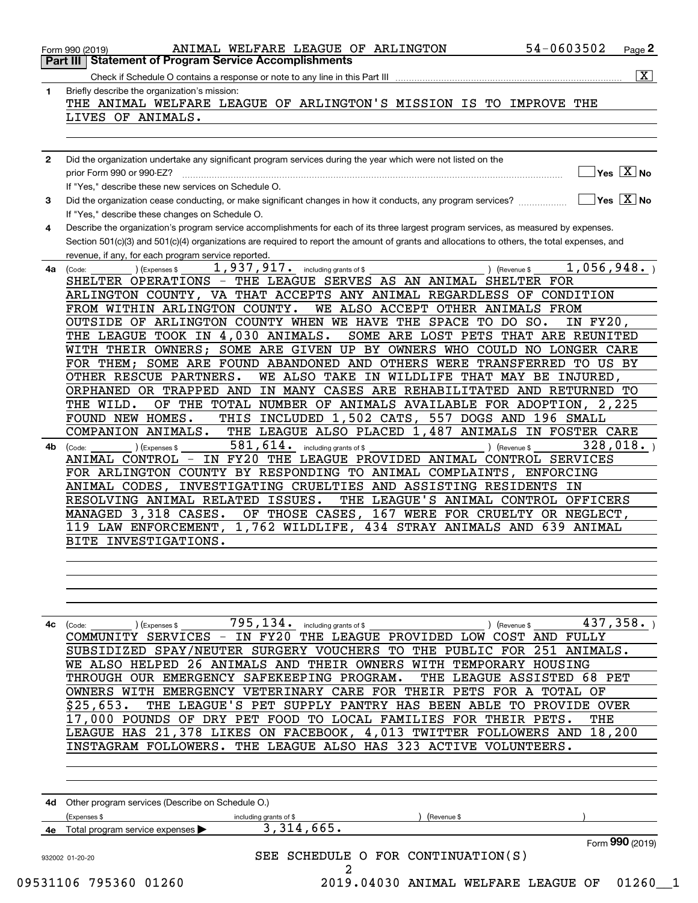|              | 54-0603502<br>ANIMAL WELFARE LEAGUE OF ARLINGTON<br>Page 2<br>Form 990 (2019)                                                                |
|--------------|----------------------------------------------------------------------------------------------------------------------------------------------|
|              | <b>Part III   Statement of Program Service Accomplishments</b>                                                                               |
|              | $\overline{\mathtt{x}}$ )                                                                                                                    |
| 1            | Briefly describe the organization's mission:                                                                                                 |
|              | THE ANIMAL WELFARE LEAGUE OF ARLINGTON'S MISSION IS TO IMPROVE THE                                                                           |
|              | LIVES OF ANIMALS.                                                                                                                            |
|              |                                                                                                                                              |
|              |                                                                                                                                              |
| $\mathbf{2}$ | Did the organization undertake any significant program services during the year which were not listed on the                                 |
|              | $\sqrt{}$ Yes $\sqrt{X}$ No                                                                                                                  |
|              | If "Yes," describe these new services on Schedule O.                                                                                         |
| 3            | $\sqrt{}$ Yes $\sqrt{}$ X $\sqrt{}$ No                                                                                                       |
|              | If "Yes," describe these changes on Schedule O.                                                                                              |
| 4            | Describe the organization's program service accomplishments for each of its three largest program services, as measured by expenses.         |
|              | Section 501(c)(3) and 501(c)(4) organizations are required to report the amount of grants and allocations to others, the total expenses, and |
|              | revenue, if any, for each program service reported.                                                                                          |
|              | 1,937,917. including grants of \$<br>1,056,948.                                                                                              |
| 4a           | (Expenses \$<br>(Code:<br>) (Revenue \$<br>SHELTER OPERATIONS - THE LEAGUE SERVES AS AN ANIMAL SHELTER FOR                                   |
|              | ARLINGTON COUNTY, VA THAT ACCEPTS ANY ANIMAL REGARDLESS OF CONDITION                                                                         |
|              |                                                                                                                                              |
|              | FROM WITHIN ARLINGTON COUNTY.<br>WE ALSO ACCEPT OTHER ANIMALS FROM                                                                           |
|              | OUTSIDE OF ARLINGTON COUNTY WHEN WE HAVE THE SPACE TO DO SO.<br>IN FY20,                                                                     |
|              | THE LEAGUE TOOK IN 4,030 ANIMALS.<br>SOME ARE LOST PETS THAT ARE REUNITED                                                                    |
|              | WITH THEIR OWNERS; SOME ARE GIVEN UP BY OWNERS WHO COULD NO LONGER CARE                                                                      |
|              | FOR THEM; SOME ARE FOUND ABANDONED AND OTHERS WERE TRANSFERRED<br>TO US BY                                                                   |
|              | OTHER RESCUE PARTNERS.<br>WE ALSO TAKE IN WILDLIFE THAT MAY BE INJURED,                                                                      |
|              | ORPHANED OR TRAPPED AND<br>IN MANY CASES ARE REHABILITATED AND RETURNED TO                                                                   |
|              | OF THE TOTAL NUMBER OF ANIMALS AVAILABLE FOR ADOPTION, 2,225<br>THE WILD.                                                                    |
|              | THIS INCLUDED 1,502 CATS,<br>557 DOGS AND 196 SMALL<br>FOUND NEW HOMES.                                                                      |
|              | THE LEAGUE ALSO PLACED 1,487 ANIMALS IN FOSTER CARE<br>COMPANION ANIMALS.                                                                    |
| 4b           | $581, 614$ . including grants of \$<br>328,018.<br>) (Expenses \$<br>) (Revenue \$<br>(Code:                                                 |
|              | ANIMAL CONTROL - IN FY20 THE LEAGUE PROVIDED ANIMAL CONTROL SERVICES                                                                         |
|              | FOR ARLINGTON COUNTY BY RESPONDING TO ANIMAL COMPLAINTS, ENFORCING                                                                           |
|              | INVESTIGATING CRUELTIES AND ASSISTING RESIDENTS IN<br>ANIMAL CODES,                                                                          |
|              | THE LEAGUE'S ANIMAL CONTROL OFFICERS<br>RESOLVING ANIMAL RELATED ISSUES.                                                                     |
|              | MANAGED 3,318 CASES.<br>OF THOSE CASES,<br>167 WERE FOR CRUELTY OR NEGLECT,                                                                  |
|              | $1,762$ WILDLIFE,<br>434 STRAY ANIMALS AND 639 ANIMAL<br>119 LAW ENFORCEMENT,                                                                |
|              | BITE INVESTIGATIONS.                                                                                                                         |
|              |                                                                                                                                              |
|              |                                                                                                                                              |
|              |                                                                                                                                              |
|              |                                                                                                                                              |
|              |                                                                                                                                              |
|              |                                                                                                                                              |
|              | 795, 134. including grants of \$<br>437,358.<br>) (Revenue \$<br>4c (Code:<br>(Expenses \$                                                   |
|              | COMMUNITY SERVICES - IN FY20 THE LEAGUE PROVIDED LOW COST AND FULLY                                                                          |
|              | SUBSIDIZED SPAY/NEUTER SURGERY VOUCHERS TO THE PUBLIC FOR 251 ANIMALS.                                                                       |
|              | WE ALSO HELPED 26 ANIMALS AND THEIR OWNERS WITH TEMPORARY HOUSING                                                                            |
|              | THROUGH OUR EMERGENCY SAFEKEEPING PROGRAM.<br>THE LEAGUE ASSISTED 68 PET                                                                     |
|              | OWNERS WITH EMERGENCY VETERINARY CARE FOR THEIR PETS FOR A TOTAL OF                                                                          |
|              | THE LEAGUE'S PET SUPPLY PANTRY HAS BEEN ABLE TO PROVIDE OVER<br>\$25,653.                                                                    |
|              | 17,000 POUNDS OF DRY PET FOOD TO LOCAL FAMILIES FOR THEIR PETS.<br>THE                                                                       |
|              | LEAGUE HAS 21,378 LIKES ON FACEBOOK, 4,013 TWITTER FOLLOWERS AND 18,200                                                                      |
|              | INSTAGRAM FOLLOWERS. THE LEAGUE ALSO HAS 323 ACTIVE VOLUNTEERS.                                                                              |
|              |                                                                                                                                              |
|              |                                                                                                                                              |
|              |                                                                                                                                              |
|              |                                                                                                                                              |
|              | 4d Other program services (Describe on Schedule O.)                                                                                          |

|    | (Expenses \$                                         | including grants of \$ | Revenue \$                         |                 |
|----|------------------------------------------------------|------------------------|------------------------------------|-----------------|
| 4е | Total program service expenses $\blacktriangleright$ | 3,314,665.             |                                    |                 |
|    |                                                      |                        |                                    | Form 990 (2019) |
|    | 932002 01-20-20                                      |                        | SEE SCHEDULE O FOR CONTINUATION(S) |                 |
|    |                                                      |                        |                                    |                 |

09531106 795360 01260 2019.04030 ANIMAL WELFARE LEAGUE OF 01260\_\_1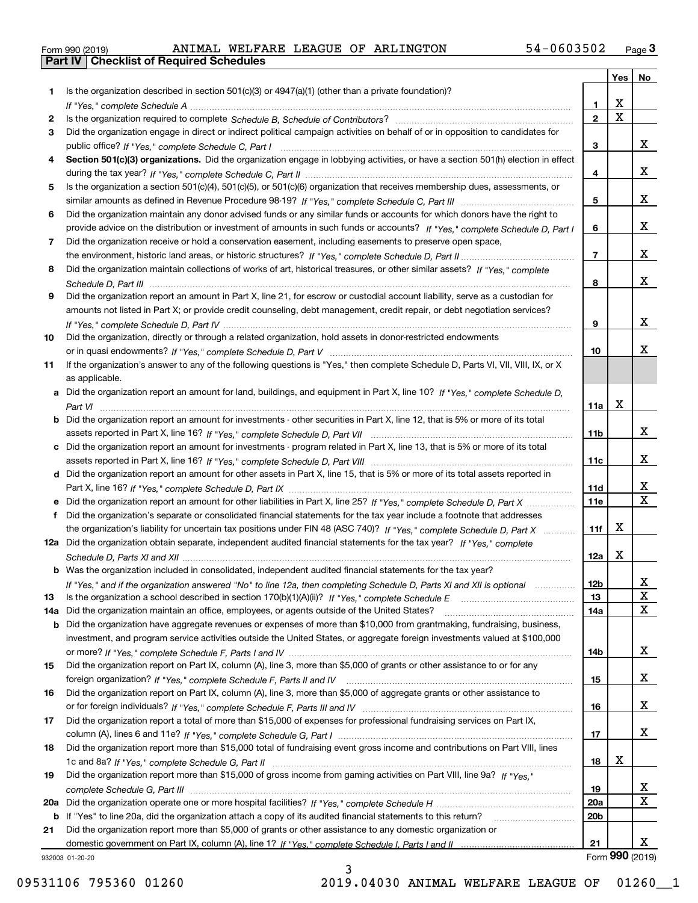| Form 990 (2019) |  |  |
|-----------------|--|--|

**Part IV Checklist of Required Schedules**

|     |                                                                                                                                       |                 | Yes                     | No                      |
|-----|---------------------------------------------------------------------------------------------------------------------------------------|-----------------|-------------------------|-------------------------|
| 1.  | Is the organization described in section $501(c)(3)$ or $4947(a)(1)$ (other than a private foundation)?                               |                 |                         |                         |
|     |                                                                                                                                       | 1.              | X                       |                         |
| 2   |                                                                                                                                       | $\overline{2}$  | $\overline{\mathbf{x}}$ |                         |
| 3   | Did the organization engage in direct or indirect political campaign activities on behalf of or in opposition to candidates for       |                 |                         |                         |
|     |                                                                                                                                       | 3               |                         | x                       |
| 4   | Section 501(c)(3) organizations. Did the organization engage in lobbying activities, or have a section 501(h) election in effect      |                 |                         |                         |
|     |                                                                                                                                       | 4               |                         | x                       |
| 5   | Is the organization a section 501(c)(4), 501(c)(5), or 501(c)(6) organization that receives membership dues, assessments, or          |                 |                         |                         |
|     |                                                                                                                                       | 5               |                         | x                       |
| 6   | Did the organization maintain any donor advised funds or any similar funds or accounts for which donors have the right to             |                 |                         |                         |
|     | provide advice on the distribution or investment of amounts in such funds or accounts? If "Yes," complete Schedule D, Part I          | 6               |                         | x                       |
| 7   | Did the organization receive or hold a conservation easement, including easements to preserve open space,                             |                 |                         |                         |
|     |                                                                                                                                       | $\overline{7}$  |                         | x                       |
| 8   | Did the organization maintain collections of works of art, historical treasures, or other similar assets? If "Yes," complete          |                 |                         |                         |
|     |                                                                                                                                       | 8               |                         | x                       |
| 9   | Did the organization report an amount in Part X, line 21, for escrow or custodial account liability, serve as a custodian for         |                 |                         |                         |
|     | amounts not listed in Part X; or provide credit counseling, debt management, credit repair, or debt negotiation services?             |                 |                         |                         |
|     |                                                                                                                                       | 9               |                         | x                       |
| 10  | Did the organization, directly or through a related organization, hold assets in donor-restricted endowments                          |                 |                         | x                       |
|     |                                                                                                                                       | 10              |                         |                         |
| 11  | If the organization's answer to any of the following questions is "Yes," then complete Schedule D, Parts VI, VII, VIII, IX, or X      |                 |                         |                         |
|     | as applicable.                                                                                                                        |                 |                         |                         |
|     | a Did the organization report an amount for land, buildings, and equipment in Part X, line 10? If "Yes," complete Schedule D.         |                 | $\mathbf X$             |                         |
|     |                                                                                                                                       | 11a             |                         |                         |
|     | <b>b</b> Did the organization report an amount for investments - other securities in Part X, line 12, that is 5% or more of its total | 11 <sub>b</sub> |                         | x                       |
|     | c Did the organization report an amount for investments - program related in Part X, line 13, that is 5% or more of its total         |                 |                         |                         |
|     |                                                                                                                                       | 11c             |                         | x                       |
|     | d Did the organization report an amount for other assets in Part X, line 15, that is 5% or more of its total assets reported in       |                 |                         |                         |
|     |                                                                                                                                       | 11d             |                         | х                       |
|     | e Did the organization report an amount for other liabilities in Part X, line 25? If "Yes," complete Schedule D, Part X               | 11e             |                         | $\overline{\mathbf{x}}$ |
| f   | Did the organization's separate or consolidated financial statements for the tax year include a footnote that addresses               |                 |                         |                         |
|     | the organization's liability for uncertain tax positions under FIN 48 (ASC 740)? If "Yes," complete Schedule D, Part X                | 11f             | X                       |                         |
|     | 12a Did the organization obtain separate, independent audited financial statements for the tax year? If "Yes," complete               |                 |                         |                         |
|     |                                                                                                                                       | 12a             | X                       |                         |
|     | <b>b</b> Was the organization included in consolidated, independent audited financial statements for the tax year?                    |                 |                         |                         |
|     | If "Yes," and if the organization answered "No" to line 12a, then completing Schedule D, Parts XI and XII is optional                 | 12D             |                         | ᅀ                       |
| 13  | Is the organization a school described in section $170(b)(1)(A)(ii)?$ If "Yes," complete Schedule E                                   | 13              |                         | X                       |
| 14a | Did the organization maintain an office, employees, or agents outside of the United States?                                           | 14a             |                         | X                       |
|     | <b>b</b> Did the organization have aggregate revenues or expenses of more than \$10,000 from grantmaking, fundraising, business,      |                 |                         |                         |
|     | investment, and program service activities outside the United States, or aggregate foreign investments valued at \$100,000            |                 |                         |                         |
|     |                                                                                                                                       | 14b             |                         | x                       |
| 15  | Did the organization report on Part IX, column (A), line 3, more than \$5,000 of grants or other assistance to or for any             |                 |                         |                         |
|     |                                                                                                                                       | 15              |                         | x                       |
| 16  | Did the organization report on Part IX, column (A), line 3, more than \$5,000 of aggregate grants or other assistance to              |                 |                         |                         |
|     |                                                                                                                                       | 16              |                         | x                       |
| 17  | Did the organization report a total of more than \$15,000 of expenses for professional fundraising services on Part IX,               |                 |                         |                         |
|     |                                                                                                                                       | 17              |                         | X                       |
| 18  | Did the organization report more than \$15,000 total of fundraising event gross income and contributions on Part VIII, lines          |                 |                         |                         |
|     |                                                                                                                                       | 18              | х                       |                         |
| 19  | Did the organization report more than \$15,000 of gross income from gaming activities on Part VIII, line 9a? If "Yes."                |                 |                         |                         |
|     |                                                                                                                                       | 19              |                         | X                       |
|     |                                                                                                                                       | 20a             |                         | $\mathbf X$             |
|     | b If "Yes" to line 20a, did the organization attach a copy of its audited financial statements to this return?                        | 20 <sub>b</sub> |                         |                         |
| 21  | Did the organization report more than \$5,000 of grants or other assistance to any domestic organization or                           |                 |                         |                         |
|     |                                                                                                                                       | 21              |                         | x                       |
|     | 932003 01-20-20                                                                                                                       |                 |                         | Form 990 (2019)         |

3

932003 01-20-20

09531106 795360 01260 2019.04030 ANIMAL WELFARE LEAGUE OF 01260\_1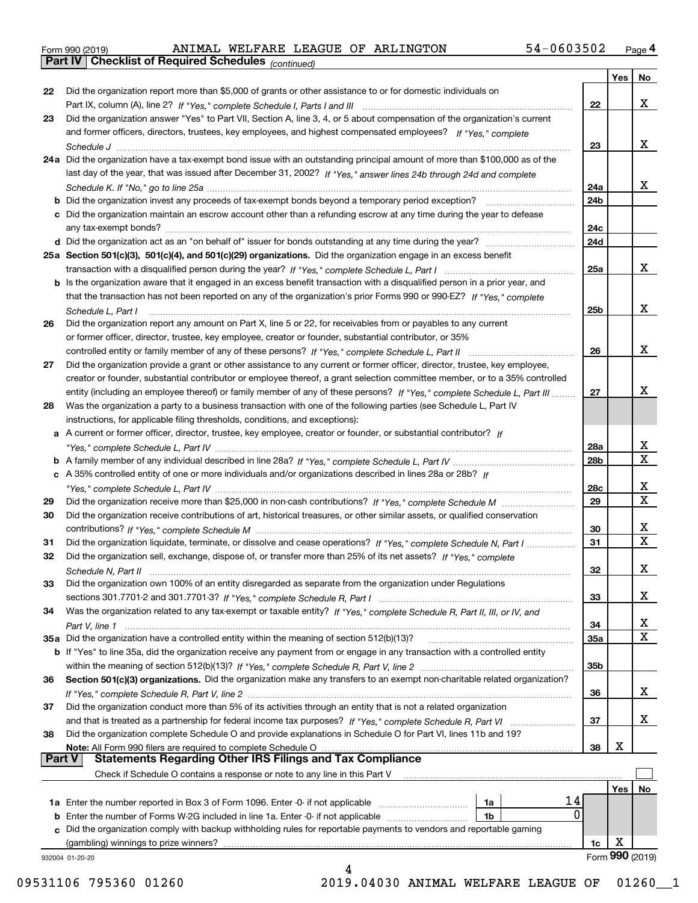|  | Form 990 (2019) |  |
|--|-----------------|--|
|  |                 |  |

**Part IV Checklist of Required Schedules**

*(continued)*

|               |                                                                                                                                   |                 | Yes | No                      |
|---------------|-----------------------------------------------------------------------------------------------------------------------------------|-----------------|-----|-------------------------|
| 22            | Did the organization report more than \$5,000 of grants or other assistance to or for domestic individuals on                     |                 |     |                         |
|               | Part IX, column (A), line 2? If "Yes," complete Schedule I, Parts I and III [[11]] [11] [11] [11] [11] [11] [1                    | 22              |     | х                       |
| 23            | Did the organization answer "Yes" to Part VII, Section A, line 3, 4, or 5 about compensation of the organization's current        |                 |     |                         |
|               | and former officers, directors, trustees, key employees, and highest compensated employees? If "Yes," complete                    |                 |     |                         |
|               |                                                                                                                                   | 23              |     | x                       |
|               | 24a Did the organization have a tax-exempt bond issue with an outstanding principal amount of more than \$100,000 as of the       |                 |     |                         |
|               | last day of the year, that was issued after December 31, 2002? If "Yes," answer lines 24b through 24d and complete                |                 |     |                         |
|               |                                                                                                                                   | 24a             |     | x                       |
|               | <b>b</b> Did the organization invest any proceeds of tax-exempt bonds beyond a temporary period exception?                        | 24 <sub>b</sub> |     |                         |
|               | c Did the organization maintain an escrow account other than a refunding escrow at any time during the year to defease            |                 |     |                         |
|               | any tax-exempt bonds?                                                                                                             | 24c             |     |                         |
|               | d Did the organization act as an "on behalf of" issuer for bonds outstanding at any time during the year?                         | 24d             |     |                         |
|               | 25a Section 501(c)(3), 501(c)(4), and 501(c)(29) organizations. Did the organization engage in an excess benefit                  |                 |     |                         |
|               |                                                                                                                                   | 25a             |     | x                       |
|               | b Is the organization aware that it engaged in an excess benefit transaction with a disqualified person in a prior year, and      |                 |     |                         |
|               | that the transaction has not been reported on any of the organization's prior Forms 990 or 990-EZ? If "Yes," complete             |                 |     |                         |
|               | Schedule L, Part I                                                                                                                | 25b             |     | x                       |
| 26            | Did the organization report any amount on Part X, line 5 or 22, for receivables from or payables to any current                   |                 |     |                         |
|               | or former officer, director, trustee, key employee, creator or founder, substantial contributor, or 35%                           |                 |     |                         |
|               |                                                                                                                                   | 26              |     | x                       |
| 27            | Did the organization provide a grant or other assistance to any current or former officer, director, trustee, key employee,       |                 |     |                         |
|               | creator or founder, substantial contributor or employee thereof, a grant selection committee member, or to a 35% controlled       |                 |     |                         |
|               | entity (including an employee thereof) or family member of any of these persons? If "Yes," complete Schedule L, Part III          | 27              |     | х                       |
| 28            | Was the organization a party to a business transaction with one of the following parties (see Schedule L, Part IV                 |                 |     |                         |
|               | instructions, for applicable filing thresholds, conditions, and exceptions):                                                      |                 |     |                         |
|               | a A current or former officer, director, trustee, key employee, creator or founder, or substantial contributor? If                |                 |     |                         |
|               |                                                                                                                                   | 28a             |     | х                       |
|               |                                                                                                                                   | 28b             |     | $\overline{\mathbf{x}}$ |
|               | c A 35% controlled entity of one or more individuals and/or organizations described in lines 28a or 28b? If                       |                 |     |                         |
|               |                                                                                                                                   | 28c             |     | х                       |
| 29            |                                                                                                                                   | 29              |     | $\mathbf X$             |
| 30            | Did the organization receive contributions of art, historical treasures, or other similar assets, or qualified conservation       |                 |     |                         |
|               |                                                                                                                                   | 30              |     | х                       |
| 31            | Did the organization liquidate, terminate, or dissolve and cease operations? If "Yes," complete Schedule N, Part I                | 31              |     | $\mathbf X$             |
| 32            | Did the organization sell, exchange, dispose of, or transfer more than 25% of its net assets? If "Yes," complete                  |                 |     |                         |
|               |                                                                                                                                   | 32              |     | X                       |
|               | Schedule N, Part II<br>Did the organization own 100% of an entity disregarded as separate from the organization under Regulations |                 |     |                         |
| 33            |                                                                                                                                   | 33              |     | х                       |
|               |                                                                                                                                   |                 |     |                         |
| 34            | Was the organization related to any tax-exempt or taxable entity? If "Yes," complete Schedule R, Part II, III, or IV, and         |                 |     | х                       |
|               |                                                                                                                                   | 34              |     | $\mathbf X$             |
|               | 35a Did the organization have a controlled entity within the meaning of section 512(b)(13)?                                       | 35a             |     |                         |
|               | b If "Yes" to line 35a, did the organization receive any payment from or engage in any transaction with a controlled entity       |                 |     |                         |
|               |                                                                                                                                   | 35b             |     |                         |
| 36            | Section 501(c)(3) organizations. Did the organization make any transfers to an exempt non-charitable related organization?        |                 |     | х                       |
|               |                                                                                                                                   | 36              |     |                         |
| 37            | Did the organization conduct more than 5% of its activities through an entity that is not a related organization                  |                 |     | X                       |
|               | and that is treated as a partnership for federal income tax purposes? If "Yes," complete Schedule R, Part VI                      | 37              |     |                         |
| 38            | Did the organization complete Schedule O and provide explanations in Schedule O for Part VI, lines 11b and 19?                    |                 | X   |                         |
| <b>Part V</b> | Note: All Form 990 filers are required to complete Schedule O<br><b>Statements Regarding Other IRS Filings and Tax Compliance</b> | 38              |     |                         |
|               |                                                                                                                                   |                 |     |                         |
|               | Check if Schedule O contains a response or note to any line in this Part V                                                        |                 |     |                         |
|               |                                                                                                                                   |                 | Yes | No                      |
|               | 14<br>1a Enter the number reported in Box 3 of Form 1096. Enter -0- if not applicable<br>1a<br>0                                  |                 |     |                         |
|               | <b>b</b> Enter the number of Forms W-2G included in line 1a. Enter -0- if not applicable<br>1b                                    |                 |     |                         |
|               | c Did the organization comply with backup withholding rules for reportable payments to vendors and reportable gaming              |                 |     |                         |
|               | (gambling) winnings to prize winners?                                                                                             | 1c              | X   |                         |
|               | 932004 01-20-20                                                                                                                   |                 |     | Form 990 (2019)         |
|               | 4                                                                                                                                 |                 |     |                         |

09531106 795360 01260 2019.04030 ANIMAL WELFARE LEAGUE OF 01260\_1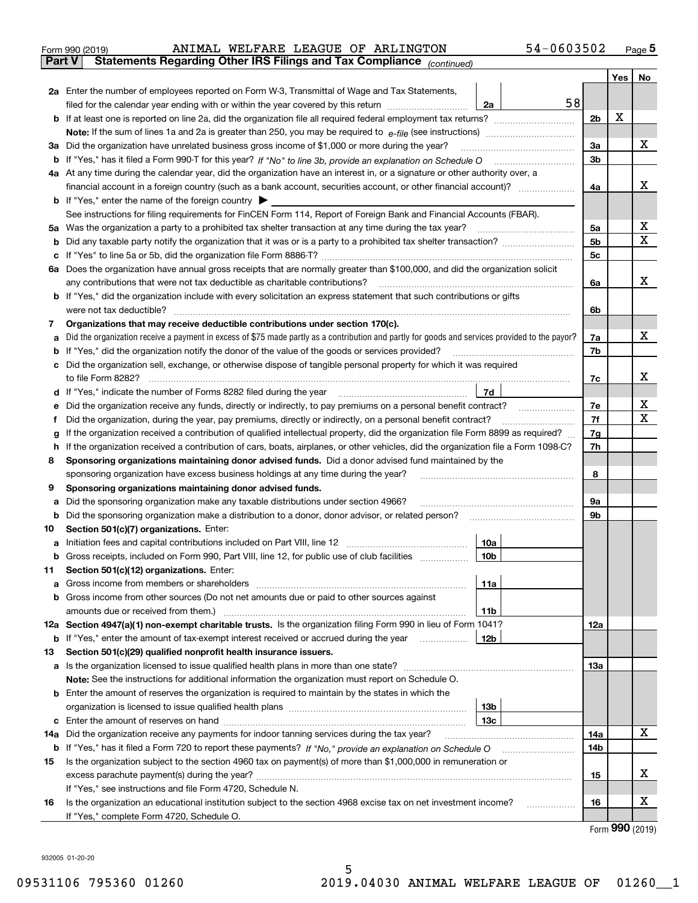| Form 990 (2019) |  |  | ANIMAL WELFARE LEAGUE OF ARLINGTON                                                       | 54-0603502 | Page 5 |
|-----------------|--|--|------------------------------------------------------------------------------------------|------------|--------|
|                 |  |  | <b>Part V</b> Statements Regarding Other IRS Filings and Tax Compliance $_{(continued)}$ |            |        |

|          |                                                                                                                                                                                                                                                    |    |                | Yes | <b>No</b> |
|----------|----------------------------------------------------------------------------------------------------------------------------------------------------------------------------------------------------------------------------------------------------|----|----------------|-----|-----------|
|          | 2a Enter the number of employees reported on Form W-3, Transmittal of Wage and Tax Statements,                                                                                                                                                     |    |                |     |           |
|          | filed for the calendar year ending with or within the year covered by this return<br>2a                                                                                                                                                            | 58 |                |     |           |
| b        | If at least one is reported on line 2a, did the organization file all required federal employment tax returns?                                                                                                                                     |    | 2 <sub>b</sub> | X   |           |
|          |                                                                                                                                                                                                                                                    |    |                |     |           |
|          | 3a Did the organization have unrelated business gross income of \$1,000 or more during the year?                                                                                                                                                   |    | 3a             |     | х         |
| b        |                                                                                                                                                                                                                                                    |    | 3b             |     |           |
|          | 4a At any time during the calendar year, did the organization have an interest in, or a signature or other authority over, a                                                                                                                       |    |                |     |           |
|          | financial account in a foreign country (such as a bank account, securities account, or other financial account)?                                                                                                                                   |    | 4a             |     | х         |
|          | <b>b</b> If "Yes," enter the name of the foreign country $\blacktriangleright$                                                                                                                                                                     |    |                |     |           |
|          | See instructions for filing requirements for FinCEN Form 114, Report of Foreign Bank and Financial Accounts (FBAR).                                                                                                                                |    |                |     |           |
| 5a       |                                                                                                                                                                                                                                                    |    | 5a             |     | x         |
| b        |                                                                                                                                                                                                                                                    |    | 5b             |     | х         |
| c        |                                                                                                                                                                                                                                                    |    | 5c             |     |           |
|          | 6a Does the organization have annual gross receipts that are normally greater than \$100,000, and did the organization solicit                                                                                                                     |    |                |     |           |
|          | any contributions that were not tax deductible as charitable contributions?                                                                                                                                                                        |    | 6a             |     | х         |
|          | <b>b</b> If "Yes," did the organization include with every solicitation an express statement that such contributions or gifts                                                                                                                      |    |                |     |           |
|          | were not tax deductible?                                                                                                                                                                                                                           |    | 6b             |     |           |
| 7        | Organizations that may receive deductible contributions under section 170(c).                                                                                                                                                                      |    |                |     | х         |
| а        | Did the organization receive a payment in excess of \$75 made partly as a contribution and partly for goods and services provided to the payor?<br>If "Yes," did the organization notify the donor of the value of the goods or services provided? |    | 7a<br>7b       |     |           |
| b<br>c   | Did the organization sell, exchange, or otherwise dispose of tangible personal property for which it was required                                                                                                                                  |    |                |     |           |
|          |                                                                                                                                                                                                                                                    |    | 7c             |     | х         |
|          | 7d<br>d If "Yes," indicate the number of Forms 8282 filed during the year manufactured in the second of the New York                                                                                                                               |    |                |     |           |
| е        | Did the organization receive any funds, directly or indirectly, to pay premiums on a personal benefit contract?                                                                                                                                    |    | 7е             |     | х         |
| Ť.       | Did the organization, during the year, pay premiums, directly or indirectly, on a personal benefit contract?                                                                                                                                       |    | 7f             |     | х         |
| g        | If the organization received a contribution of qualified intellectual property, did the organization file Form 8899 as required?                                                                                                                   |    | 7g             |     |           |
| h.       | If the organization received a contribution of cars, boats, airplanes, or other vehicles, did the organization file a Form 1098-C?                                                                                                                 |    | 7h             |     |           |
| 8        | Sponsoring organizations maintaining donor advised funds. Did a donor advised fund maintained by the                                                                                                                                               |    |                |     |           |
|          | sponsoring organization have excess business holdings at any time during the year?                                                                                                                                                                 |    | 8              |     |           |
| 9        | Sponsoring organizations maintaining donor advised funds.                                                                                                                                                                                          |    |                |     |           |
| а        | Did the sponsoring organization make any taxable distributions under section 4966?                                                                                                                                                                 |    | 9a             |     |           |
| b        | Did the sponsoring organization make a distribution to a donor, donor advisor, or related person?                                                                                                                                                  |    | 9b             |     |           |
| 10       | Section 501(c)(7) organizations. Enter:                                                                                                                                                                                                            |    |                |     |           |
| а        | 10a                                                                                                                                                                                                                                                |    |                |     |           |
| b        | 10 <sub>b</sub><br>Gross receipts, included on Form 990, Part VIII, line 12, for public use of club facilities                                                                                                                                     |    |                |     |           |
| 11       | Section 501(c)(12) organizations. Enter:                                                                                                                                                                                                           |    |                |     |           |
| а        | 11a                                                                                                                                                                                                                                                |    |                |     |           |
| b        | Gross income from other sources (Do not net amounts due or paid to other sources against                                                                                                                                                           |    |                |     |           |
|          | amounts due or received from them.)<br>11b                                                                                                                                                                                                         |    |                |     |           |
|          | 12a Section 4947(a)(1) non-exempt charitable trusts. Is the organization filing Form 990 in lieu of Form 1041?                                                                                                                                     |    | 12a            |     |           |
| b        | 12b<br>If "Yes," enter the amount of tax-exempt interest received or accrued during the year                                                                                                                                                       |    |                |     |           |
| 13       | Section 501(c)(29) qualified nonprofit health insurance issuers.                                                                                                                                                                                   |    |                |     |           |
| а        | Is the organization licensed to issue qualified health plans in more than one state?                                                                                                                                                               |    | 13а            |     |           |
|          | Note: See the instructions for additional information the organization must report on Schedule O.                                                                                                                                                  |    |                |     |           |
|          | <b>b</b> Enter the amount of reserves the organization is required to maintain by the states in which the                                                                                                                                          |    |                |     |           |
|          | 13b<br>13с                                                                                                                                                                                                                                         |    |                |     |           |
| c<br>14a | Did the organization receive any payments for indoor tanning services during the tax year?                                                                                                                                                         |    | 14a            |     | х         |
| b        |                                                                                                                                                                                                                                                    |    | 14b            |     |           |
| 15       | Is the organization subject to the section 4960 tax on payment(s) of more than \$1,000,000 in remuneration or                                                                                                                                      |    |                |     |           |
|          |                                                                                                                                                                                                                                                    |    | 15             |     | х         |
|          | If "Yes," see instructions and file Form 4720, Schedule N.                                                                                                                                                                                         |    |                |     |           |
| 16       | Is the organization an educational institution subject to the section 4968 excise tax on net investment income?                                                                                                                                    |    | 16             |     | х         |
|          | If "Yes," complete Form 4720, Schedule O.                                                                                                                                                                                                          |    |                |     |           |
|          |                                                                                                                                                                                                                                                    |    |                |     |           |

Form (2019) **990**

932005 01-20-20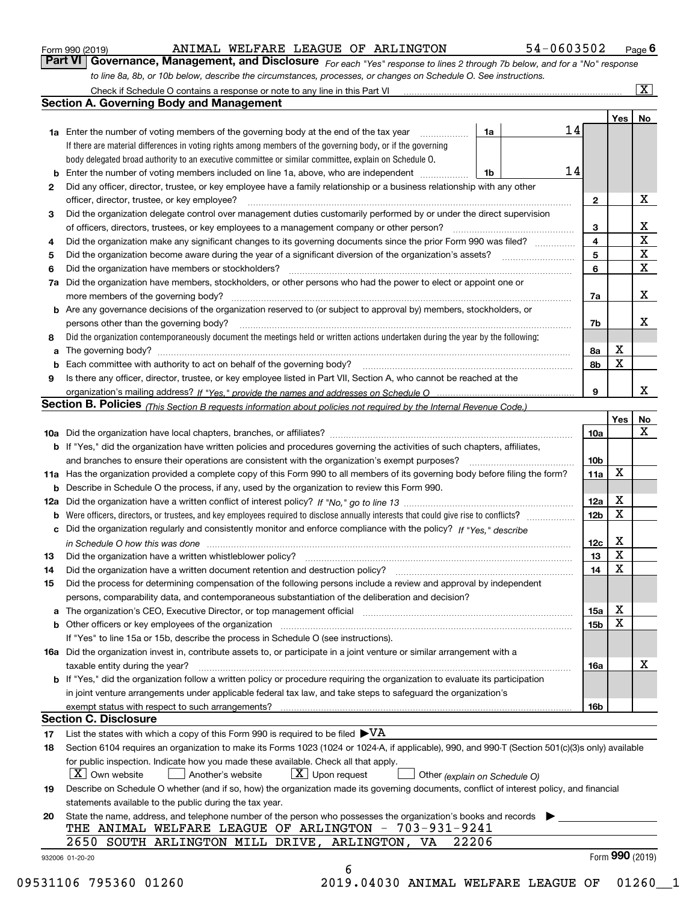#### Form 990 (2019) ANIMAL WELFARE LEAGUE OF ARLINGTON 54-0603502 Page ANIMAL WELFARE LEAGUE OF ARLINGTON 54-0603502

*For each "Yes" response to lines 2 through 7b below, and for a "No" response to line 8a, 8b, or 10b below, describe the circumstances, processes, or changes on Schedule O. See instructions.* **Part VI Governance, Management, and Disclosure** 

|    |                                                                                                                                                                            |    |    |                 | Yes         | No                      |
|----|----------------------------------------------------------------------------------------------------------------------------------------------------------------------------|----|----|-----------------|-------------|-------------------------|
|    | <b>1a</b> Enter the number of voting members of the governing body at the end of the tax year <i>manumum</i>                                                               | 1a | 14 |                 |             |                         |
|    | If there are material differences in voting rights among members of the governing body, or if the governing                                                                |    |    |                 |             |                         |
|    | body delegated broad authority to an executive committee or similar committee, explain on Schedule O.                                                                      |    |    |                 |             |                         |
|    |                                                                                                                                                                            | 1b | 14 |                 |             |                         |
| 2  | Did any officer, director, trustee, or key employee have a family relationship or a business relationship with any other                                                   |    |    |                 |             |                         |
|    | officer, director, trustee, or key employee?                                                                                                                               |    |    | $\mathbf{2}$    |             | X                       |
| 3  | Did the organization delegate control over management duties customarily performed by or under the direct supervision                                                      |    |    |                 |             |                         |
|    |                                                                                                                                                                            |    |    | 3               |             | X                       |
| 4  | Did the organization make any significant changes to its governing documents since the prior Form 990 was filed?                                                           |    |    | 4               |             | $\overline{\mathbf{x}}$ |
| 5  |                                                                                                                                                                            |    |    | 5               |             | $\mathbf X$             |
| 6  | Did the organization have members or stockholders?                                                                                                                         |    |    | 6               |             | $\mathbf X$             |
|    | 7a Did the organization have members, stockholders, or other persons who had the power to elect or appoint one or                                                          |    |    |                 |             |                         |
|    |                                                                                                                                                                            |    |    | 7a              |             | X                       |
|    | <b>b</b> Are any governance decisions of the organization reserved to (or subject to approval by) members, stockholders, or                                                |    |    |                 |             |                         |
|    | persons other than the governing body?                                                                                                                                     |    |    | 7b              |             | X                       |
| 8  | Did the organization contemporaneously document the meetings held or written actions undertaken during the year by the following:                                          |    |    |                 |             |                         |
| a  |                                                                                                                                                                            |    |    | 8a              | X           |                         |
|    |                                                                                                                                                                            |    |    | 8b              | X           |                         |
| 9  | Is there any officer, director, trustee, or key employee listed in Part VII, Section A, who cannot be reached at the                                                       |    |    |                 |             |                         |
|    |                                                                                                                                                                            |    |    | 9               |             | х                       |
|    | Section B. Policies (This Section B requests information about policies not required by the Internal Revenue Code.)                                                        |    |    |                 |             |                         |
|    |                                                                                                                                                                            |    |    |                 | Yes∣        | No                      |
|    |                                                                                                                                                                            |    |    | 10a             |             | X                       |
|    | <b>b</b> If "Yes," did the organization have written policies and procedures governing the activities of such chapters, affiliates,                                        |    |    |                 |             |                         |
|    |                                                                                                                                                                            |    |    | 10 <sub>b</sub> |             |                         |
|    | 11a Has the organization provided a complete copy of this Form 990 to all members of its governing body before filing the form?                                            |    |    | 11a             | $\mathbf X$ |                         |
|    | <b>b</b> Describe in Schedule O the process, if any, used by the organization to review this Form 990.                                                                     |    |    |                 |             |                         |
|    |                                                                                                                                                                            |    |    | 12a             | X           |                         |
| b  |                                                                                                                                                                            |    |    | 12b             | X           |                         |
|    | c Did the organization regularly and consistently monitor and enforce compliance with the policy? If "Yes," describe                                                       |    |    |                 |             |                         |
|    | in Schedule O how this was done measured and continuum control to the state of the state of the state of the s                                                             |    |    | 12c             | X           |                         |
| 13 |                                                                                                                                                                            |    |    | 13              | X           |                         |
| 14 | Did the organization have a written document retention and destruction policy? manufactured and the organization have a written document retention and destruction policy? |    |    | 14              | $\mathbf X$ |                         |
| 15 | Did the process for determining compensation of the following persons include a review and approval by independent                                                         |    |    |                 |             |                         |
|    | persons, comparability data, and contemporaneous substantiation of the deliberation and decision?                                                                          |    |    |                 |             |                         |
|    |                                                                                                                                                                            |    |    | 15a             | X           |                         |
|    | <b>b</b> Other officers or key employees of the organization                                                                                                               |    |    | 15b             | X           |                         |
|    | If "Yes" to line 15a or 15b, describe the process in Schedule O (see instructions).                                                                                        |    |    |                 |             |                         |
|    | 16a Did the organization invest in, contribute assets to, or participate in a joint venture or similar arrangement with a                                                  |    |    |                 |             |                         |
|    | taxable entity during the year?                                                                                                                                            |    |    | 16a             |             | X                       |
|    | <b>b</b> If "Yes," did the organization follow a written policy or procedure requiring the organization to evaluate its participation                                      |    |    |                 |             |                         |
|    | in joint venture arrangements under applicable federal tax law, and take steps to safeguard the organization's                                                             |    |    |                 |             |                         |
|    | exempt status with respect to such arrangements?                                                                                                                           |    |    | 16b             |             |                         |
|    | <b>Section C. Disclosure</b>                                                                                                                                               |    |    |                 |             |                         |
| 17 | List the states with which a copy of this Form 990 is required to be filed $\blacktriangleright\text{VA}$                                                                  |    |    |                 |             |                         |
| 18 | Section 6104 requires an organization to make its Forms 1023 (1024 or 1024-A, if applicable), 990, and 990-T (Section 501(c)(3)s only) available                           |    |    |                 |             |                         |
|    | for public inspection. Indicate how you made these available. Check all that apply.                                                                                        |    |    |                 |             |                         |
|    | $X$ Upon request<br>  X   Own website<br>Another's website<br>Other (explain on Schedule O)                                                                                |    |    |                 |             |                         |
| 19 | Describe on Schedule O whether (and if so, how) the organization made its governing documents, conflict of interest policy, and financial                                  |    |    |                 |             |                         |
|    | statements available to the public during the tax year.                                                                                                                    |    |    |                 |             |                         |
| 20 | State the name, address, and telephone number of the person who possesses the organization's books and records                                                             |    |    |                 |             |                         |
|    | THE ANIMAL WELFARE LEAGUE OF ARLINGTON - 703-931-9241                                                                                                                      |    |    |                 |             |                         |
|    | 2650 SOUTH ARLINGTON MILL DRIVE, ARLINGTON, VA<br>22206                                                                                                                    |    |    |                 |             |                         |
|    |                                                                                                                                                                            |    |    |                 |             | Form 990 (2019)         |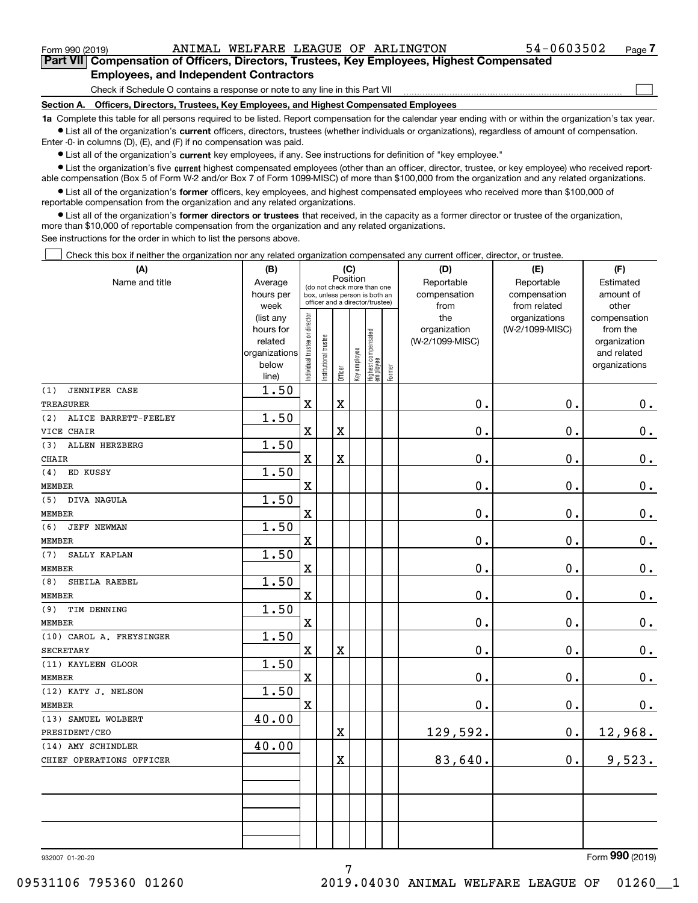$\begin{array}{c} \hline \end{array}$ 

**Part VII Compensation of Officers, Directors, Trustees, Key Employees, Highest Compensated Employees, and Independent Contractors**

Check if Schedule O contains a response or note to any line in this Part VII

**Section A. Officers, Directors, Trustees, Key Employees, and Highest Compensated Employees**

**1a**  Complete this table for all persons required to be listed. Report compensation for the calendar year ending with or within the organization's tax year.  $\bullet$  List all of the organization's current officers, directors, trustees (whether individuals or organizations), regardless of amount of compensation.

Enter -0- in columns (D), (E), and (F) if no compensation was paid.

**•** List all of the organization's current key employees, if any. See instructions for definition of "key employee."

**•** List the organization's five current highest compensated employees (other than an officer, director, trustee, or key employee) who received reportable compensation (Box 5 of Form W-2 and/or Box 7 of Form 1099-MISC) of more than \$100,000 from the organization and any related organizations.

 $\bullet$  List all of the organization's former officers, key employees, and highest compensated employees who received more than \$100,000 of reportable compensation from the organization and any related organizations.

**•** List all of the organization's former directors or trustees that received, in the capacity as a former director or trustee of the organization, more than \$10,000 of reportable compensation from the organization and any related organizations.

See instructions for the order in which to list the persons above.

Check this box if neither the organization nor any related organization compensated any current officer, director, or trustee.  $\Box$ 

| (A)                          | (B)                    |                                |                       |             | (C)          |                                                                  |        | (D)             | (E)             | (F)           |
|------------------------------|------------------------|--------------------------------|-----------------------|-------------|--------------|------------------------------------------------------------------|--------|-----------------|-----------------|---------------|
| Name and title               | Average                |                                |                       |             | Position     | (do not check more than one                                      |        | Reportable      | Reportable      | Estimated     |
|                              | hours per              |                                |                       |             |              | box, unless person is both an<br>officer and a director/trustee) |        | compensation    | compensation    | amount of     |
|                              | week                   |                                |                       |             |              |                                                                  |        | from            | from related    | other         |
|                              | (list any              |                                |                       |             |              |                                                                  |        | the             | organizations   | compensation  |
|                              | hours for              |                                |                       |             |              |                                                                  |        | organization    | (W-2/1099-MISC) | from the      |
|                              | related                |                                |                       |             |              |                                                                  |        | (W-2/1099-MISC) |                 | organization  |
|                              | organizations<br>below |                                |                       |             |              |                                                                  |        |                 |                 | and related   |
|                              | line)                  | Individual trustee or director | Institutional trustee | Officer     | Key employee | Highest compensated<br> employee                                 | Former |                 |                 | organizations |
| (1)<br>JENNIFER CASE         | $\overline{1.50}$      |                                |                       |             |              |                                                                  |        |                 |                 |               |
| <b>TREASURER</b>             |                        | $\overline{\textbf{X}}$        |                       | $\mathbf X$ |              |                                                                  |        | 0.              | 0.              | $0_{\bullet}$ |
| ALICE BARRETT-FEELEY<br>(2)  | 1.50                   |                                |                       |             |              |                                                                  |        |                 |                 |               |
| VICE CHAIR                   |                        | $\overline{\mathbf{X}}$        |                       | $\rm X$     |              |                                                                  |        | 0.              | $\mathbf 0$ .   | $\mathbf 0$ . |
| (3)<br><b>ALLEN HERZBERG</b> | 1.50                   |                                |                       |             |              |                                                                  |        |                 |                 |               |
| <b>CHAIR</b>                 |                        | $\overline{\textbf{X}}$        |                       | $\mathbf X$ |              |                                                                  |        | 0.              | $\mathbf 0$ .   | 0.            |
| ED KUSSY<br>(4)              | 1.50                   |                                |                       |             |              |                                                                  |        |                 |                 |               |
| MEMBER                       |                        | $\overline{\mathbf{X}}$        |                       |             |              |                                                                  |        | 0.              | $\mathbf 0$ .   | $0_{.}$       |
| DIVA NAGULA<br>(5)           | 1.50                   |                                |                       |             |              |                                                                  |        |                 |                 |               |
| <b>MEMBER</b>                |                        | $\overline{\textbf{X}}$        |                       |             |              |                                                                  |        | 0.              | $\mathbf 0$ .   | $\mathbf 0$ . |
| (6)<br><b>JEFF NEWMAN</b>    | 1.50                   |                                |                       |             |              |                                                                  |        |                 |                 |               |
| MEMBER                       |                        | $\overline{\mathbf{X}}$        |                       |             |              |                                                                  |        | 0.              | $\mathbf 0$ .   | $\mathbf 0$ . |
| (7)<br>SALLY KAPLAN          | 1.50                   |                                |                       |             |              |                                                                  |        |                 |                 |               |
| <b>MEMBER</b>                |                        | $\overline{\textbf{X}}$        |                       |             |              |                                                                  |        | 0.              | $\mathbf 0$ .   | $0_{\cdot}$   |
| SHEILA RAEBEL<br>(8)         | 1.50                   |                                |                       |             |              |                                                                  |        |                 |                 |               |
| <b>MEMBER</b>                |                        | $\overline{\mathbf{X}}$        |                       |             |              |                                                                  |        | 0.              | $\mathbf 0$ .   | $\mathbf 0$ . |
| (9)<br>TIM DENNING           | 1.50                   |                                |                       |             |              |                                                                  |        |                 |                 |               |
| <b>MEMBER</b>                |                        | $\overline{\textbf{X}}$        |                       |             |              |                                                                  |        | 0.              | $\mathbf 0$ .   | $\mathbf 0$ . |
| (10) CAROL A. FREYSINGER     | 1.50                   |                                |                       |             |              |                                                                  |        |                 |                 |               |
| <b>SECRETARY</b>             |                        | $\overline{\mathbf{X}}$        |                       | $\rm X$     |              |                                                                  |        | 0.              | $\mathbf 0$ .   | $\mathbf 0$ . |
| (11) KAYLEEN GLOOR           | 1.50                   |                                |                       |             |              |                                                                  |        |                 |                 |               |
| <b>MEMBER</b>                |                        | $\overline{\mathbf{X}}$        |                       |             |              |                                                                  |        | 0.              | $\mathbf 0$ .   | $\mathbf 0$ . |
| (12) KATY J. NELSON          | 1.50                   |                                |                       |             |              |                                                                  |        |                 |                 |               |
| <b>MEMBER</b>                |                        | $\rm X$                        |                       |             |              |                                                                  |        | 0.              | $\mathbf 0$ .   | 0.            |
| (13) SAMUEL WOLBERT          | 40.00                  |                                |                       |             |              |                                                                  |        |                 |                 |               |
| PRESIDENT/CEO                |                        |                                |                       | $\mathbf X$ |              |                                                                  |        | 129,592.        | $\mathbf 0$ .   | 12,968.       |
| (14) AMY SCHINDLER           | 40.00                  |                                |                       |             |              |                                                                  |        |                 |                 |               |
| CHIEF OPERATIONS OFFICER     |                        |                                |                       | $\mathbf X$ |              |                                                                  |        | 83,640.         | $\mathbf 0$ .   | 9,523.        |
|                              |                        |                                |                       |             |              |                                                                  |        |                 |                 |               |
|                              |                        |                                |                       |             |              |                                                                  |        |                 |                 |               |
|                              |                        |                                |                       |             |              |                                                                  |        |                 |                 |               |
|                              |                        |                                |                       |             |              |                                                                  |        |                 |                 |               |
|                              |                        |                                |                       |             |              |                                                                  |        |                 |                 |               |
|                              |                        |                                |                       |             |              |                                                                  |        |                 |                 |               |

7

932007 01-20-20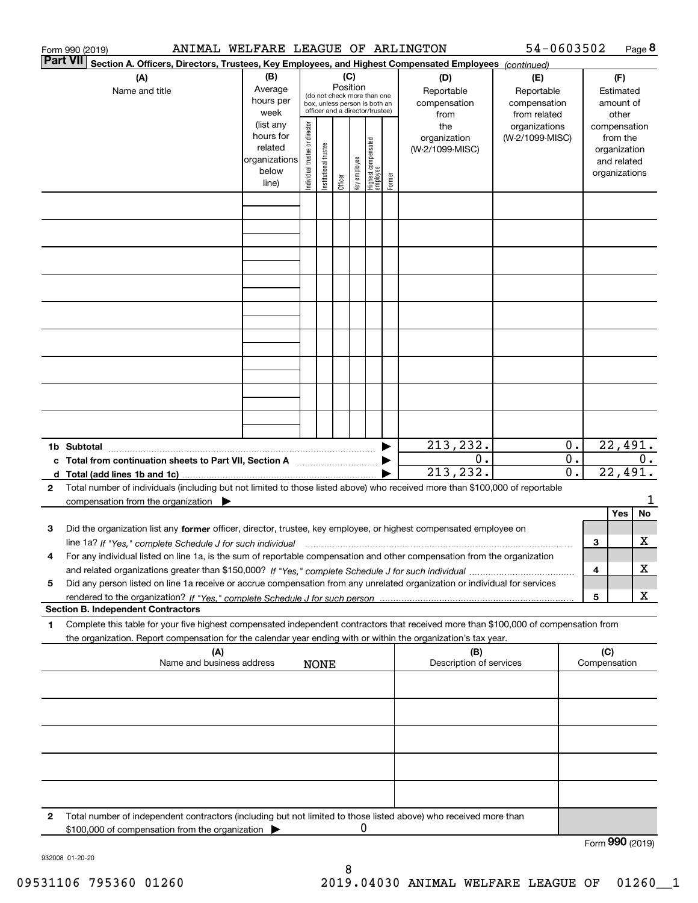|              | ANIMAL WELFARE LEAGUE OF ARLINGTON<br>Form 990 (2019)                                                                                                                                    |                                                               |                                                                                                                    |                       |         |              |                                  |        |                                                                  | 54-0603502                                                                            |                      |                     |                                                    | Page 8    |
|--------------|------------------------------------------------------------------------------------------------------------------------------------------------------------------------------------------|---------------------------------------------------------------|--------------------------------------------------------------------------------------------------------------------|-----------------------|---------|--------------|----------------------------------|--------|------------------------------------------------------------------|---------------------------------------------------------------------------------------|----------------------|---------------------|----------------------------------------------------|-----------|
|              | <b>Part VII</b><br>Section A. Officers, Directors, Trustees, Key Employees, and Highest Compensated Employees (continued)                                                                |                                                               |                                                                                                                    |                       |         |              |                                  |        |                                                                  |                                                                                       |                      |                     |                                                    |           |
|              | (A)<br>Name and title                                                                                                                                                                    | (B)<br>Average<br>hours per<br>week<br>(list any<br>hours for | (C)<br>Position<br>(do not check more than one<br>box, unless person is both an<br>officer and a director/trustee) |                       |         |              |                                  |        | (D)<br>Reportable<br>compensation<br>from<br>the<br>organization | (E)<br>Reportable<br>compensation<br>from related<br>organizations<br>(W-2/1099-MISC) |                      | compensation        | (F)<br>Estimated<br>amount of<br>other<br>from the |           |
|              |                                                                                                                                                                                          | related<br>organizations<br>below<br>line)                    | ndividual trustee or director                                                                                      | Institutional trustee | Officer | Key employee | Highest compensated<br> employee | Former | (W-2/1099-MISC)                                                  |                                                                                       |                      | organizations       | organization<br>and related                        |           |
|              |                                                                                                                                                                                          |                                                               |                                                                                                                    |                       |         |              |                                  |        |                                                                  |                                                                                       |                      |                     |                                                    |           |
|              |                                                                                                                                                                                          |                                                               |                                                                                                                    |                       |         |              |                                  |        |                                                                  |                                                                                       |                      |                     |                                                    |           |
|              |                                                                                                                                                                                          |                                                               |                                                                                                                    |                       |         |              |                                  |        |                                                                  |                                                                                       |                      |                     |                                                    |           |
|              |                                                                                                                                                                                          |                                                               |                                                                                                                    |                       |         |              |                                  |        |                                                                  |                                                                                       |                      |                     |                                                    |           |
|              |                                                                                                                                                                                          |                                                               |                                                                                                                    |                       |         |              |                                  |        |                                                                  |                                                                                       |                      |                     |                                                    |           |
|              |                                                                                                                                                                                          |                                                               |                                                                                                                    |                       |         |              |                                  |        |                                                                  |                                                                                       |                      |                     |                                                    |           |
|              | 1b Subtotal                                                                                                                                                                              |                                                               |                                                                                                                    |                       |         |              |                                  | ▶      | 213, 232.<br>0.<br>213, 232.                                     |                                                                                       | $0$ .<br>$0$ .<br>0. |                     | 22,491.<br>22,491.                                 | 0.        |
| $\mathbf{2}$ | Total number of individuals (including but not limited to those listed above) who received more than \$100,000 of reportable<br>compensation from the organization $\blacktriangleright$ |                                                               |                                                                                                                    |                       |         |              |                                  |        |                                                                  |                                                                                       |                      |                     |                                                    |           |
| 3            | Did the organization list any former officer, director, trustee, key employee, or highest compensated employee on                                                                        |                                                               |                                                                                                                    |                       |         |              |                                  |        |                                                                  |                                                                                       |                      |                     | Yes                                                | <b>No</b> |
| 4            | For any individual listed on line 1a, is the sum of reportable compensation and other compensation from the organization                                                                 |                                                               |                                                                                                                    |                       |         |              |                                  |        |                                                                  |                                                                                       |                      | 3<br>4              |                                                    | х<br>x    |
| 5            | Did any person listed on line 1a receive or accrue compensation from any unrelated organization or individual for services                                                               |                                                               |                                                                                                                    |                       |         |              |                                  |        |                                                                  |                                                                                       |                      | 5                   |                                                    | x         |
| 1            | <b>Section B. Independent Contractors</b><br>Complete this table for your five highest compensated independent contractors that received more than \$100,000 of compensation from        |                                                               |                                                                                                                    |                       |         |              |                                  |        |                                                                  |                                                                                       |                      |                     |                                                    |           |
|              | the organization. Report compensation for the calendar year ending with or within the organization's tax year.                                                                           |                                                               |                                                                                                                    |                       |         |              |                                  |        |                                                                  |                                                                                       |                      |                     |                                                    |           |
|              | (A)<br>Name and business address                                                                                                                                                         |                                                               |                                                                                                                    | <b>NONE</b>           |         |              |                                  |        | (B)<br>Description of services                                   |                                                                                       |                      | (C)<br>Compensation |                                                    |           |
|              |                                                                                                                                                                                          |                                                               |                                                                                                                    |                       |         |              |                                  |        |                                                                  |                                                                                       |                      |                     |                                                    |           |
|              |                                                                                                                                                                                          |                                                               |                                                                                                                    |                       |         |              |                                  |        |                                                                  |                                                                                       |                      |                     |                                                    |           |
|              |                                                                                                                                                                                          |                                                               |                                                                                                                    |                       |         |              |                                  |        |                                                                  |                                                                                       |                      |                     |                                                    |           |
| 2            | Total number of independent contractors (including but not limited to those listed above) who received more than<br>\$100,000 of compensation from the organization >                    |                                                               |                                                                                                                    |                       |         |              |                                  |        |                                                                  |                                                                                       |                      |                     |                                                    |           |
|              |                                                                                                                                                                                          |                                                               |                                                                                                                    |                       |         |              |                                  |        |                                                                  |                                                                                       |                      | Form 990 (2019)     |                                                    |           |

932008 01-20-20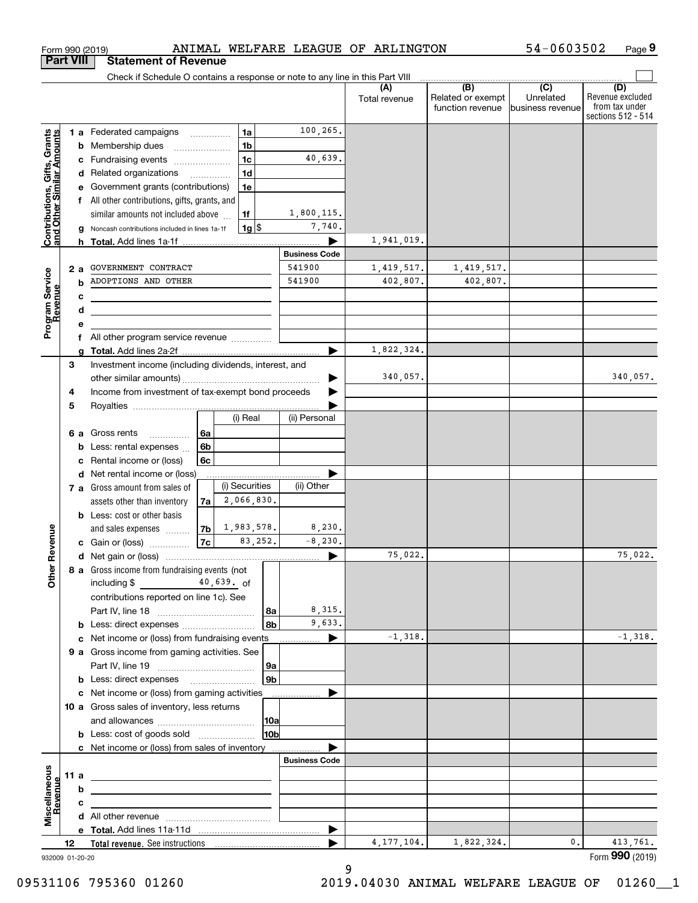|                                                                  |                  | Form 990 (2019)                                                                                                      |   |                          |                          |                      |                      | ANIMAL WELFARE LEAGUE OF ARLINGTON                                            |                                       | 54-0603502                     | Page 9                                                          |
|------------------------------------------------------------------|------------------|----------------------------------------------------------------------------------------------------------------------|---|--------------------------|--------------------------|----------------------|----------------------|-------------------------------------------------------------------------------|---------------------------------------|--------------------------------|-----------------------------------------------------------------|
|                                                                  | <b>Part VIII</b> | <b>Statement of Revenue</b>                                                                                          |   |                          |                          |                      |                      |                                                                               |                                       |                                |                                                                 |
|                                                                  |                  |                                                                                                                      |   |                          |                          |                      |                      | Check if Schedule O contains a response or note to any line in this Part VIII | (B)                                   | $\overline{(\overline{C})}$    |                                                                 |
|                                                                  |                  |                                                                                                                      |   |                          |                          |                      |                      | Total revenue                                                                 | Related or exempt<br>function revenue | Unrelated<br>Ibusiness revenue | (D)<br>Revenue excluded<br>from tax under<br>sections 512 - 514 |
|                                                                  |                  | 1 a Federated campaigns                                                                                              |   |                          | 1a                       |                      | 100,265.             |                                                                               |                                       |                                |                                                                 |
|                                                                  | b                | Membership dues                                                                                                      |   |                          | 1 <sub>b</sub>           |                      |                      |                                                                               |                                       |                                |                                                                 |
| <b>Contributions, Gifts, Grants</b><br>and Other Similar Amounts | с                | Fundraising events                                                                                                   |   |                          | 1 <sub>c</sub>           |                      | 40,639.              |                                                                               |                                       |                                |                                                                 |
|                                                                  |                  | Related organizations<br>d                                                                                           |   | $\overline{\phantom{a}}$ | 1 <sub>d</sub>           |                      |                      |                                                                               |                                       |                                |                                                                 |
|                                                                  |                  | Government grants (contributions)                                                                                    |   |                          | 1e                       |                      |                      |                                                                               |                                       |                                |                                                                 |
|                                                                  | f                | All other contributions, gifts, grants, and                                                                          |   |                          |                          |                      | 1,800,115.           |                                                                               |                                       |                                |                                                                 |
|                                                                  |                  | similar amounts not included above<br>Noncash contributions included in lines 1a-1f                                  |   |                          | 1f<br>$1g$ $\frac{1}{3}$ |                      | 7,740.               |                                                                               |                                       |                                |                                                                 |
|                                                                  |                  | h.                                                                                                                   |   |                          |                          |                      |                      | 1,941,019.                                                                    |                                       |                                |                                                                 |
|                                                                  |                  |                                                                                                                      |   |                          |                          |                      | <b>Business Code</b> |                                                                               |                                       |                                |                                                                 |
|                                                                  | 2 a              | GOVERNMENT CONTRACT                                                                                                  |   |                          |                          |                      | 541900               | 1,419,517.                                                                    | 1,419,517.                            |                                |                                                                 |
|                                                                  | b                | ADOPTIONS AND OTHER                                                                                                  |   |                          |                          |                      | 541900               | 402,807.                                                                      | 402,807.                              |                                |                                                                 |
| Program Service<br>Revenue                                       | с                |                                                                                                                      |   |                          |                          |                      |                      |                                                                               |                                       |                                |                                                                 |
|                                                                  | d                | <u> 1989 - Johann Barbara, martin amerikan basar dan berasal dalam basa dalam basar dalam basar dalam basa dalam</u> |   |                          |                          |                      |                      |                                                                               |                                       |                                |                                                                 |
|                                                                  |                  |                                                                                                                      |   |                          |                          |                      |                      |                                                                               |                                       |                                |                                                                 |
|                                                                  |                  | f All other program service revenue                                                                                  |   |                          |                          |                      |                      |                                                                               |                                       |                                |                                                                 |
|                                                                  |                  |                                                                                                                      |   |                          |                          |                      |                      | 1,822,324.                                                                    |                                       |                                |                                                                 |
|                                                                  | 3                | Investment income (including dividends, interest, and                                                                |   |                          |                          |                      |                      | 340,057.                                                                      |                                       |                                | 340,057.                                                        |
|                                                                  | 4                | Income from investment of tax-exempt bond proceeds                                                                   |   |                          |                          |                      |                      |                                                                               |                                       |                                |                                                                 |
|                                                                  | 5                |                                                                                                                      |   |                          |                          |                      |                      |                                                                               |                                       |                                |                                                                 |
|                                                                  |                  |                                                                                                                      |   |                          | (i) Real                 |                      | (ii) Personal        |                                                                               |                                       |                                |                                                                 |
|                                                                  | 6а               | Gross rents                                                                                                          | . | 6a                       |                          |                      |                      |                                                                               |                                       |                                |                                                                 |
|                                                                  |                  | Less: rental expenses                                                                                                |   | 6 <sub>b</sub>           |                          |                      |                      |                                                                               |                                       |                                |                                                                 |
|                                                                  |                  | Rental income or (loss)                                                                                              |   | 6c                       |                          |                      |                      |                                                                               |                                       |                                |                                                                 |
|                                                                  | d                | Net rental income or (loss)                                                                                          |   |                          |                          |                      |                      |                                                                               |                                       |                                |                                                                 |
|                                                                  |                  | 7 a Gross amount from sales of                                                                                       |   |                          | (i) Securities           |                      | (ii) Other           |                                                                               |                                       |                                |                                                                 |
|                                                                  |                  | assets other than inventory                                                                                          |   | 7a                       | 2,066,830.               |                      |                      |                                                                               |                                       |                                |                                                                 |
|                                                                  |                  | <b>b</b> Less: cost or other basis                                                                                   |   |                          | $7b$ 1, 983, 578.        |                      | 8,230.               |                                                                               |                                       |                                |                                                                 |
| evenue                                                           |                  | and sales expenses<br>c Gain or (loss)                                                                               |   | 7c                       | 83,252.                  |                      | $-8, 230.$           |                                                                               |                                       |                                |                                                                 |
|                                                                  |                  |                                                                                                                      |   |                          |                          |                      |                      | 75,022.                                                                       |                                       |                                | 75,022.                                                         |
| Other R                                                          |                  | 8 a Gross income from fundraising events (not                                                                        |   |                          |                          |                      |                      |                                                                               |                                       |                                |                                                                 |
|                                                                  |                  | including $$$                                                                                                        |   |                          | $40,639.$ of             |                      |                      |                                                                               |                                       |                                |                                                                 |
|                                                                  |                  | contributions reported on line 1c). See                                                                              |   |                          |                          |                      |                      |                                                                               |                                       |                                |                                                                 |
|                                                                  |                  |                                                                                                                      |   |                          |                          | l 8a                 | 8,315.               |                                                                               |                                       |                                |                                                                 |
|                                                                  |                  | <b>b</b> Less: direct expenses <i>manually contained</i>                                                             |   |                          |                          | 8b                   | 9,633.               |                                                                               |                                       |                                |                                                                 |
|                                                                  | c                | Net income or (loss) from fundraising events                                                                         |   |                          |                          |                      | ▶<br>.               | $-1,318.$                                                                     |                                       |                                | $-1,318.$                                                       |
|                                                                  |                  | 9 a Gross income from gaming activities. See                                                                         |   |                          |                          |                      |                      |                                                                               |                                       |                                |                                                                 |
|                                                                  |                  | <b>b</b> Less: direct expenses <b>contained b</b> Less:                                                              |   |                          |                          | 9a<br>9 <sub>b</sub> |                      |                                                                               |                                       |                                |                                                                 |
|                                                                  |                  | c Net income or (loss) from gaming activities                                                                        |   |                          |                          |                      | .                    |                                                                               |                                       |                                |                                                                 |
|                                                                  |                  | 10 a Gross sales of inventory, less returns                                                                          |   |                          |                          |                      |                      |                                                                               |                                       |                                |                                                                 |
|                                                                  |                  |                                                                                                                      |   |                          |                          | 10a                  |                      |                                                                               |                                       |                                |                                                                 |
|                                                                  |                  | <b>b</b> Less: cost of goods sold                                                                                    |   |                          |                          | 10b                  |                      |                                                                               |                                       |                                |                                                                 |
|                                                                  |                  | c Net income or (loss) from sales of inventory                                                                       |   |                          |                          |                      |                      |                                                                               |                                       |                                |                                                                 |
|                                                                  |                  |                                                                                                                      |   |                          |                          |                      | <b>Business Code</b> |                                                                               |                                       |                                |                                                                 |
|                                                                  | 11 a             | <u> 1989 - Johann Barn, amerikansk politiker (d. 1989)</u>                                                           |   |                          |                          |                      |                      |                                                                               |                                       |                                |                                                                 |
| evenue                                                           |                  | b                                                                                                                    |   |                          |                          |                      |                      |                                                                               |                                       |                                |                                                                 |
| Miscellaneous                                                    | c                |                                                                                                                      |   |                          |                          |                      |                      |                                                                               |                                       |                                |                                                                 |
|                                                                  |                  |                                                                                                                      |   |                          |                          |                      | ▶                    |                                                                               |                                       |                                |                                                                 |
|                                                                  | 12               |                                                                                                                      |   |                          |                          |                      |                      | 4, 177, 104.                                                                  | 1,822,324.                            | 0.                             | 413,761.                                                        |
|                                                                  | 932009 01-20-20  |                                                                                                                      |   |                          |                          |                      |                      |                                                                               |                                       |                                | Form 990 (2019)                                                 |

9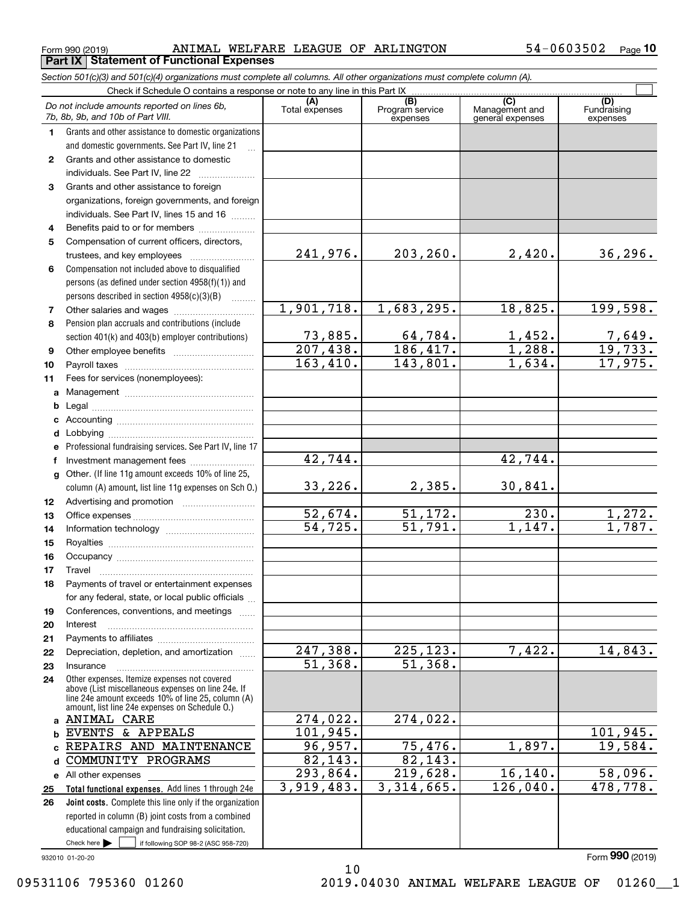$_{\rm Form}$   $_{990}$   $_{(2019)}$   $_{\rm PANIMAL}$  WELFARE LEAGUE OF ARLINGTON  $_{\rm 54-0603502}$   $_{\rm Page}$ **Porm 990 (2019)**<br>**Part IX** Statement of Functional Expenses

|    | Section 501(c)(3) and 501(c)(4) organizations must complete all columns. All other organizations must complete column (A).                                                                                                                                          |                                   |                                    |                                    |                                |  |  |  |  |  |  |  |  |
|----|---------------------------------------------------------------------------------------------------------------------------------------------------------------------------------------------------------------------------------------------------------------------|-----------------------------------|------------------------------------|------------------------------------|--------------------------------|--|--|--|--|--|--|--|--|
|    | Check if Schedule O contains a response or note to any line in this Part IX<br>(C)                                                                                                                                                                                  |                                   |                                    |                                    |                                |  |  |  |  |  |  |  |  |
|    | Do not include amounts reported on lines 6b,<br>7b, 8b, 9b, and 10b of Part VIII.                                                                                                                                                                                   | (A)<br>Total expenses             | (B)<br>Program service<br>expenses | Management and<br>general expenses | (D)<br>Fundraising<br>expenses |  |  |  |  |  |  |  |  |
| 1  | Grants and other assistance to domestic organizations                                                                                                                                                                                                               |                                   |                                    |                                    |                                |  |  |  |  |  |  |  |  |
|    | and domestic governments. See Part IV, line 21                                                                                                                                                                                                                      |                                   |                                    |                                    |                                |  |  |  |  |  |  |  |  |
| 2  | Grants and other assistance to domestic                                                                                                                                                                                                                             |                                   |                                    |                                    |                                |  |  |  |  |  |  |  |  |
|    | individuals. See Part IV, line 22<br>and a complete the complete state of the state of the state of the state of the state of the state of the state of the state of the state of the state of the state of the state of the state of the state of the state of the |                                   |                                    |                                    |                                |  |  |  |  |  |  |  |  |
| 3  | Grants and other assistance to foreign                                                                                                                                                                                                                              |                                   |                                    |                                    |                                |  |  |  |  |  |  |  |  |
|    | organizations, foreign governments, and foreign                                                                                                                                                                                                                     |                                   |                                    |                                    |                                |  |  |  |  |  |  |  |  |
|    | individuals. See Part IV, lines 15 and 16                                                                                                                                                                                                                           |                                   |                                    |                                    |                                |  |  |  |  |  |  |  |  |
| 4  | Benefits paid to or for members                                                                                                                                                                                                                                     |                                   |                                    |                                    |                                |  |  |  |  |  |  |  |  |
| 5  | Compensation of current officers, directors,                                                                                                                                                                                                                        |                                   |                                    |                                    |                                |  |  |  |  |  |  |  |  |
|    |                                                                                                                                                                                                                                                                     | 241,976.                          | 203, 260.                          | 2,420.                             | 36, 296.                       |  |  |  |  |  |  |  |  |
| 6  | Compensation not included above to disqualified                                                                                                                                                                                                                     |                                   |                                    |                                    |                                |  |  |  |  |  |  |  |  |
|    | persons (as defined under section 4958(f)(1)) and                                                                                                                                                                                                                   |                                   |                                    |                                    |                                |  |  |  |  |  |  |  |  |
|    | persons described in section 4958(c)(3)(B)                                                                                                                                                                                                                          |                                   |                                    |                                    |                                |  |  |  |  |  |  |  |  |
| 7  |                                                                                                                                                                                                                                                                     | 1,901,718.                        | 1,683,295.                         | 18,825.                            | 199,598.                       |  |  |  |  |  |  |  |  |
| 8  | Pension plan accruals and contributions (include                                                                                                                                                                                                                    |                                   |                                    |                                    |                                |  |  |  |  |  |  |  |  |
|    | section 401(k) and 403(b) employer contributions)                                                                                                                                                                                                                   | 73,885.<br>$\overline{207,438}$ . | $\frac{64,784}{186,417}$ .         | $\frac{1,452.}{1,288.}$            | $\frac{7,649}{19,733}$         |  |  |  |  |  |  |  |  |
| 9  |                                                                                                                                                                                                                                                                     |                                   |                                    |                                    |                                |  |  |  |  |  |  |  |  |
| 10 |                                                                                                                                                                                                                                                                     | 163,410.                          | 143,801.                           | 1,634.                             | 17,975.                        |  |  |  |  |  |  |  |  |
| 11 | Fees for services (nonemployees):                                                                                                                                                                                                                                   |                                   |                                    |                                    |                                |  |  |  |  |  |  |  |  |
| a  |                                                                                                                                                                                                                                                                     |                                   |                                    |                                    |                                |  |  |  |  |  |  |  |  |
| b  |                                                                                                                                                                                                                                                                     |                                   |                                    |                                    |                                |  |  |  |  |  |  |  |  |
|    |                                                                                                                                                                                                                                                                     |                                   |                                    |                                    |                                |  |  |  |  |  |  |  |  |
| d  |                                                                                                                                                                                                                                                                     |                                   |                                    |                                    |                                |  |  |  |  |  |  |  |  |
|    | Professional fundraising services. See Part IV, line 17                                                                                                                                                                                                             | 42,744.                           |                                    | 42,744.                            |                                |  |  |  |  |  |  |  |  |
| f  | Investment management fees<br>Other. (If line 11g amount exceeds 10% of line 25,                                                                                                                                                                                    |                                   |                                    |                                    |                                |  |  |  |  |  |  |  |  |
| g  | column (A) amount, list line 11g expenses on Sch O.)                                                                                                                                                                                                                | 33,226.                           | 2,385.                             | 30,841.                            |                                |  |  |  |  |  |  |  |  |
| 12 |                                                                                                                                                                                                                                                                     |                                   |                                    |                                    |                                |  |  |  |  |  |  |  |  |
| 13 |                                                                                                                                                                                                                                                                     | 52,674.                           | 51, 172.                           | 230.                               | 1,272.                         |  |  |  |  |  |  |  |  |
| 14 |                                                                                                                                                                                                                                                                     | $\overline{54, 725}$ .            | $\overline{51,791}$ .              | 1,147.                             | $\overline{1,787.}$            |  |  |  |  |  |  |  |  |
| 15 |                                                                                                                                                                                                                                                                     |                                   |                                    |                                    |                                |  |  |  |  |  |  |  |  |
| 16 |                                                                                                                                                                                                                                                                     |                                   |                                    |                                    |                                |  |  |  |  |  |  |  |  |
| 17 |                                                                                                                                                                                                                                                                     |                                   |                                    |                                    |                                |  |  |  |  |  |  |  |  |
| 18 | Payments of travel or entertainment expenses                                                                                                                                                                                                                        |                                   |                                    |                                    |                                |  |  |  |  |  |  |  |  |
|    | for any federal, state, or local public officials                                                                                                                                                                                                                   |                                   |                                    |                                    |                                |  |  |  |  |  |  |  |  |
| 19 | Conferences, conventions, and meetings                                                                                                                                                                                                                              |                                   |                                    |                                    |                                |  |  |  |  |  |  |  |  |
| 20 | Interest                                                                                                                                                                                                                                                            |                                   |                                    |                                    |                                |  |  |  |  |  |  |  |  |
| 21 |                                                                                                                                                                                                                                                                     | 247,388.                          | 225, 123.                          | 7,422.                             | 14,843.                        |  |  |  |  |  |  |  |  |
| 22 | Depreciation, depletion, and amortization                                                                                                                                                                                                                           | $\overline{51,368}$ .             | 51,368.                            |                                    |                                |  |  |  |  |  |  |  |  |
| 23 | Insurance<br>Other expenses. Itemize expenses not covered                                                                                                                                                                                                           |                                   |                                    |                                    |                                |  |  |  |  |  |  |  |  |
| 24 | above (List miscellaneous expenses on line 24e. If<br>line 24e amount exceeds 10% of line 25, column (A)<br>amount, list line 24e expenses on Schedule O.)                                                                                                          |                                   |                                    |                                    |                                |  |  |  |  |  |  |  |  |
| a  | ANIMAL CARE                                                                                                                                                                                                                                                         | 274,022.                          | 274,022.                           |                                    |                                |  |  |  |  |  |  |  |  |
| b  | EVENTS & APPEALS                                                                                                                                                                                                                                                    | 101,945.                          |                                    |                                    | 101,945.                       |  |  |  |  |  |  |  |  |
|    | REPAIRS AND MAINTENANCE                                                                                                                                                                                                                                             | 96,957.                           | 75,476.                            | 1,897.                             | 19,584.                        |  |  |  |  |  |  |  |  |
| d  | COMMUNITY PROGRAMS                                                                                                                                                                                                                                                  | 82, 143.                          | 82,143.                            |                                    |                                |  |  |  |  |  |  |  |  |
|    | e All other expenses                                                                                                                                                                                                                                                | 293,864.                          | 219,628.                           | 16, 140.                           | 58,096.                        |  |  |  |  |  |  |  |  |
| 25 | Total functional expenses. Add lines 1 through 24e                                                                                                                                                                                                                  | 3,919,483.                        | 3,314,665.                         | 126,040.                           | 478,778.                       |  |  |  |  |  |  |  |  |
| 26 | Joint costs. Complete this line only if the organization                                                                                                                                                                                                            |                                   |                                    |                                    |                                |  |  |  |  |  |  |  |  |
|    | reported in column (B) joint costs from a combined                                                                                                                                                                                                                  |                                   |                                    |                                    |                                |  |  |  |  |  |  |  |  |
|    | educational campaign and fundraising solicitation.                                                                                                                                                                                                                  |                                   |                                    |                                    |                                |  |  |  |  |  |  |  |  |
|    | Check here $\blacktriangleright$<br>if following SOP 98-2 (ASC 958-720)                                                                                                                                                                                             |                                   |                                    |                                    |                                |  |  |  |  |  |  |  |  |

10

932010 01-20-20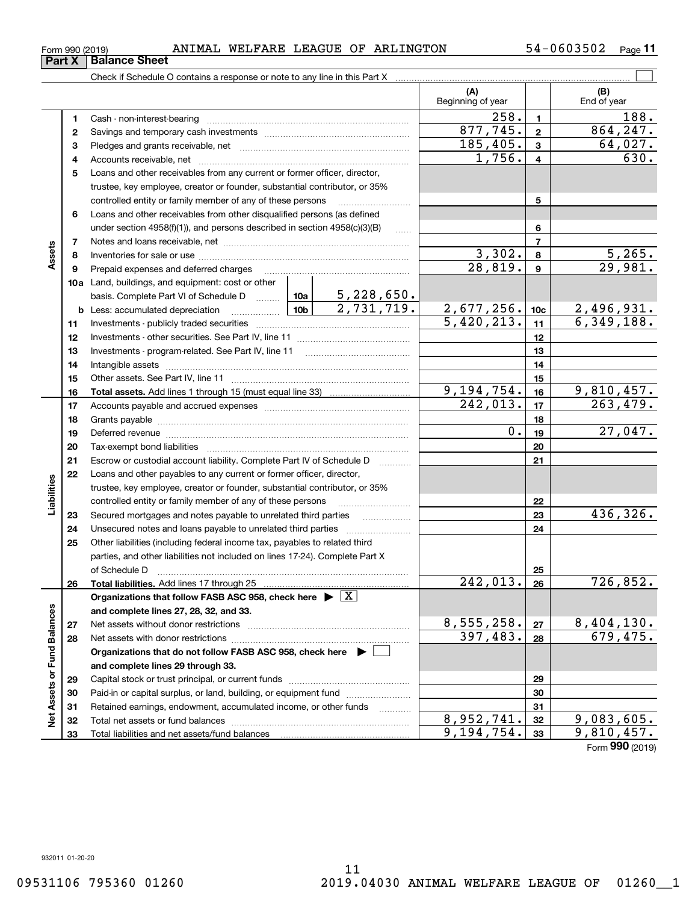**Part X** | Balance Sheet

| Form 990 (2019) |  | ANIMAL | WELFARE | LEAGUE | OF | <b>ARLINGTON</b> | 0603502<br>4، | -<br>Page |  |
|-----------------|--|--------|---------|--------|----|------------------|---------------|-----------|--|
|-----------------|--|--------|---------|--------|----|------------------|---------------|-----------|--|

|                             |    | Check if Schedule O contains a response or note to any line in this Part X                                                                                                                                                     |                       |                                 |                 |                                 |
|-----------------------------|----|--------------------------------------------------------------------------------------------------------------------------------------------------------------------------------------------------------------------------------|-----------------------|---------------------------------|-----------------|---------------------------------|
|                             |    |                                                                                                                                                                                                                                |                       | (A)<br>Beginning of year        |                 | (B)<br>End of year              |
|                             | 1  |                                                                                                                                                                                                                                |                       | 258.                            | $\mathbf{1}$    | 188.                            |
|                             | 2  |                                                                                                                                                                                                                                |                       | 877,745.                        | $\overline{2}$  | 864, 247.                       |
|                             | з  |                                                                                                                                                                                                                                |                       | 185,405.                        | 3               | 64,027.                         |
|                             | 4  |                                                                                                                                                                                                                                |                       | 1,756.                          | 4               | 630.                            |
|                             | 5  | Loans and other receivables from any current or former officer, director,                                                                                                                                                      |                       |                                 |                 |                                 |
|                             |    | trustee, key employee, creator or founder, substantial contributor, or 35%                                                                                                                                                     |                       |                                 |                 |                                 |
|                             |    | controlled entity or family member of any of these persons                                                                                                                                                                     |                       |                                 | 5               |                                 |
|                             | 6  | Loans and other receivables from other disqualified persons (as defined                                                                                                                                                        |                       |                                 |                 |                                 |
|                             |    | under section $4958(f)(1)$ , and persons described in section $4958(c)(3)(B)$                                                                                                                                                  | $\ldots$              |                                 | 6               |                                 |
|                             | 7  |                                                                                                                                                                                                                                |                       |                                 | $\overline{7}$  |                                 |
| Assets                      | 8  |                                                                                                                                                                                                                                |                       | 3,302.                          | 8               | $\frac{5,265}{29,981}$          |
|                             | 9  | Prepaid expenses and deferred charges                                                                                                                                                                                          | $\overline{28,819}$ . | $\boldsymbol{9}$                |                 |                                 |
|                             |    | <b>10a</b> Land, buildings, and equipment: cost or other                                                                                                                                                                       |                       |                                 |                 |                                 |
|                             |    | basis. Complete Part VI of Schedule D  10a   5, 228, 650.                                                                                                                                                                      |                       |                                 |                 |                                 |
|                             |    | 2,731,719.<br>10 <sub>b</sub><br><b>b</b> Less: accumulated depreciation<br>. 1                                                                                                                                                |                       | $\frac{2,677,256.}{5,420,213.}$ | 10 <sub>c</sub> | $\frac{2,496,931.}{6,349,188.}$ |
|                             | 11 |                                                                                                                                                                                                                                |                       | 11                              |                 |                                 |
|                             | 12 |                                                                                                                                                                                                                                |                       |                                 | 12              |                                 |
|                             | 13 | Investments - program-related. See Part IV, line 11                                                                                                                                                                            |                       |                                 | 13              |                                 |
|                             | 14 |                                                                                                                                                                                                                                |                       |                                 | 14              |                                 |
|                             | 15 |                                                                                                                                                                                                                                |                       | 15                              |                 |                                 |
|                             | 16 |                                                                                                                                                                                                                                |                       | 9,194,754.                      | 16              | $\frac{9,810,457.}{263,479.}$   |
|                             | 17 |                                                                                                                                                                                                                                |                       | 242,013.                        | 17              |                                 |
|                             | 18 |                                                                                                                                                                                                                                |                       |                                 | 18              |                                 |
|                             | 19 | Deferred revenue manual contracts and contracts are all the contracts and contracts are contracted and contracts are contracted and contract are contracted and contract are contracted and contract are contracted and contra |                       | $\overline{0}$ .                | 19              | 27,047.                         |
|                             | 20 |                                                                                                                                                                                                                                |                       |                                 | 20              |                                 |
|                             | 21 | Escrow or custodial account liability. Complete Part IV of Schedule D                                                                                                                                                          | .                     |                                 | 21              |                                 |
|                             | 22 | Loans and other payables to any current or former officer, director,                                                                                                                                                           |                       |                                 |                 |                                 |
| Liabilities                 |    | trustee, key employee, creator or founder, substantial contributor, or 35%                                                                                                                                                     |                       |                                 |                 |                                 |
|                             |    | controlled entity or family member of any of these persons                                                                                                                                                                     |                       |                                 | 22              |                                 |
|                             | 23 | Secured mortgages and notes payable to unrelated third parties                                                                                                                                                                 |                       |                                 | 23              | 436,326.                        |
|                             | 24 |                                                                                                                                                                                                                                |                       |                                 | 24              |                                 |
|                             | 25 | Other liabilities (including federal income tax, payables to related third                                                                                                                                                     |                       |                                 |                 |                                 |
|                             |    | parties, and other liabilities not included on lines 17-24). Complete Part X                                                                                                                                                   |                       |                                 |                 |                                 |
|                             |    | of Schedule D                                                                                                                                                                                                                  |                       |                                 | 25              |                                 |
|                             | 26 | Total liabilities. Add lines 17 through 25                                                                                                                                                                                     |                       | 242,013                         | 26              | 726,852.                        |
|                             |    | Organizations that follow FASB ASC 958, check here $\blacktriangleright \boxed{X}$                                                                                                                                             |                       |                                 |                 |                                 |
|                             |    | and complete lines 27, 28, 32, and 33.                                                                                                                                                                                         |                       |                                 |                 |                                 |
|                             | 27 | Net assets without donor restrictions                                                                                                                                                                                          |                       | 8,555,258.<br>397,483.          | 27              | $\frac{8,404,130}{679,475}$     |
|                             | 28 |                                                                                                                                                                                                                                |                       |                                 | 28              |                                 |
|                             |    | Organizations that do not follow FASB ASC 958, check here $\blacktriangleright$                                                                                                                                                |                       |                                 |                 |                                 |
|                             |    | and complete lines 29 through 33.                                                                                                                                                                                              |                       |                                 |                 |                                 |
|                             | 29 |                                                                                                                                                                                                                                |                       |                                 | 29              |                                 |
|                             | 30 | Paid-in or capital surplus, or land, building, or equipment fund                                                                                                                                                               |                       |                                 | 30              |                                 |
| Net Assets or Fund Balances | 31 | Retained earnings, endowment, accumulated income, or other funds                                                                                                                                                               | 1.1.1.1.1.1.1.1.1.1   | 8,952,741.                      | 31<br>32        | 9,083,605.                      |
|                             | 32 |                                                                                                                                                                                                                                |                       | 9,194,754.                      | 33              | 9,810,457.                      |
|                             | 33 |                                                                                                                                                                                                                                |                       |                                 |                 |                                 |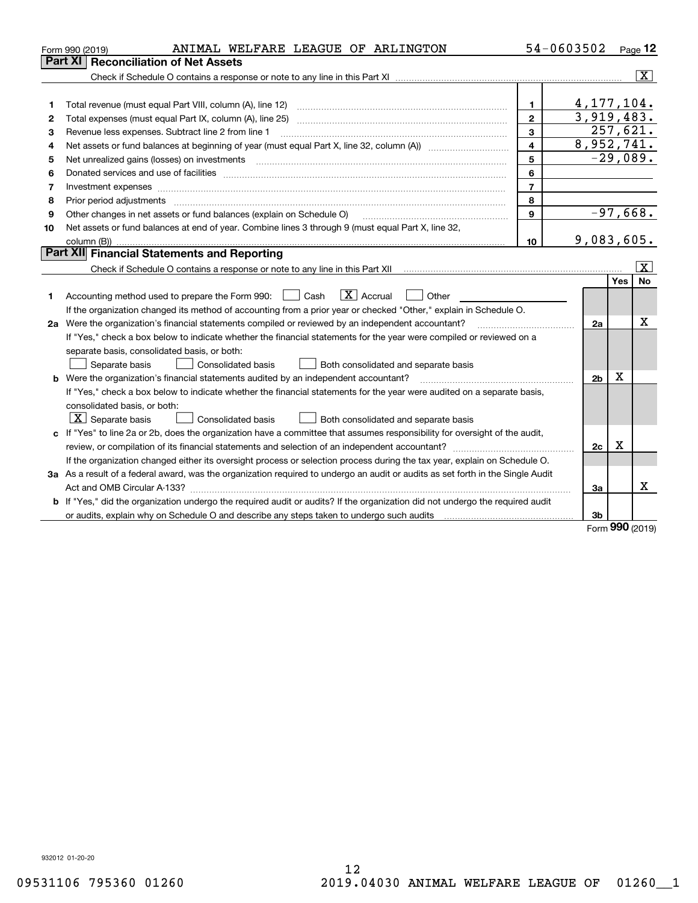| Part XI<br><b>Reconciliation of Net Assets</b><br>$\overline{\mathbf{x}}$<br>4, 177, 104.<br>$\mathbf{1}$<br>1<br>3,919,483.<br>$\overline{2}$<br>Total expenses (must equal Part IX, column (A), line 25)<br>2<br>257,621.<br>3<br>Revenue less expenses. Subtract line 2 from line 1<br>з<br>8,952,741.<br>$\overline{\mathbf{4}}$<br>4<br>$-29,089.$<br>5<br>5<br>6<br>6<br>$\overline{7}$<br>7<br>Investment expenses www.communication.com/www.communication.com/www.communication.com/www.communication.com<br>8<br>8<br>$-97,668.$<br>$\mathbf{9}$<br>Other changes in net assets or fund balances (explain on Schedule O)<br>9<br>Net assets or fund balances at end of year. Combine lines 3 through 9 (must equal Part X, line 32,<br>10<br>9,083,605.<br>10<br>Part XII Financial Statements and Reporting<br>x<br><b>No</b><br>Yes<br>$\boxed{\mathbf{X}}$ Accrual<br>Accounting method used to prepare the Form 990: <u>June</u> Cash<br>Other<br>1<br>If the organization changed its method of accounting from a prior year or checked "Other," explain in Schedule O.<br>х<br>2a Were the organization's financial statements compiled or reviewed by an independent accountant?<br>2a<br>If "Yes," check a box below to indicate whether the financial statements for the year were compiled or reviewed on a<br>separate basis, consolidated basis, or both:<br>Separate basis<br>Consolidated basis<br>Both consolidated and separate basis<br>Х<br><b>b</b> Were the organization's financial statements audited by an independent accountant?<br>2 <sub>b</sub><br>If "Yes," check a box below to indicate whether the financial statements for the year were audited on a separate basis,<br>consolidated basis, or both:<br>$\lfloor x \rfloor$ Separate basis<br>Consolidated basis<br>Both consolidated and separate basis<br>c If "Yes" to line 2a or 2b, does the organization have a committee that assumes responsibility for oversight of the audit,<br>X<br>2c<br>If the organization changed either its oversight process or selection process during the tax year, explain on Schedule O.<br>3a As a result of a federal award, was the organization required to undergo an audit or audits as set forth in the Single Audit<br>x<br>За<br>b If "Yes," did the organization undergo the required audit or audits? If the organization did not undergo the required audit<br>3b<br><b>000 -</b> | ANIMAL WELFARE LEAGUE OF ARLINGTON<br>Form 990 (2019) |  | 54-0603502 | Page $12$ |  |  |  |  |
|---------------------------------------------------------------------------------------------------------------------------------------------------------------------------------------------------------------------------------------------------------------------------------------------------------------------------------------------------------------------------------------------------------------------------------------------------------------------------------------------------------------------------------------------------------------------------------------------------------------------------------------------------------------------------------------------------------------------------------------------------------------------------------------------------------------------------------------------------------------------------------------------------------------------------------------------------------------------------------------------------------------------------------------------------------------------------------------------------------------------------------------------------------------------------------------------------------------------------------------------------------------------------------------------------------------------------------------------------------------------------------------------------------------------------------------------------------------------------------------------------------------------------------------------------------------------------------------------------------------------------------------------------------------------------------------------------------------------------------------------------------------------------------------------------------------------------------------------------------------------------------------------------------------------------------------------------------------------------------------------------------------------------------------------------------------------------------------------------------------------------------------------------------------------------------------------------------------------------------------------------------------------------------------------------------------------------------------------------------------------------------------------------------------------------------|-------------------------------------------------------|--|------------|-----------|--|--|--|--|
|                                                                                                                                                                                                                                                                                                                                                                                                                                                                                                                                                                                                                                                                                                                                                                                                                                                                                                                                                                                                                                                                                                                                                                                                                                                                                                                                                                                                                                                                                                                                                                                                                                                                                                                                                                                                                                                                                                                                                                                                                                                                                                                                                                                                                                                                                                                                                                                                                                 |                                                       |  |            |           |  |  |  |  |
|                                                                                                                                                                                                                                                                                                                                                                                                                                                                                                                                                                                                                                                                                                                                                                                                                                                                                                                                                                                                                                                                                                                                                                                                                                                                                                                                                                                                                                                                                                                                                                                                                                                                                                                                                                                                                                                                                                                                                                                                                                                                                                                                                                                                                                                                                                                                                                                                                                 |                                                       |  |            |           |  |  |  |  |
|                                                                                                                                                                                                                                                                                                                                                                                                                                                                                                                                                                                                                                                                                                                                                                                                                                                                                                                                                                                                                                                                                                                                                                                                                                                                                                                                                                                                                                                                                                                                                                                                                                                                                                                                                                                                                                                                                                                                                                                                                                                                                                                                                                                                                                                                                                                                                                                                                                 |                                                       |  |            |           |  |  |  |  |
|                                                                                                                                                                                                                                                                                                                                                                                                                                                                                                                                                                                                                                                                                                                                                                                                                                                                                                                                                                                                                                                                                                                                                                                                                                                                                                                                                                                                                                                                                                                                                                                                                                                                                                                                                                                                                                                                                                                                                                                                                                                                                                                                                                                                                                                                                                                                                                                                                                 |                                                       |  |            |           |  |  |  |  |
|                                                                                                                                                                                                                                                                                                                                                                                                                                                                                                                                                                                                                                                                                                                                                                                                                                                                                                                                                                                                                                                                                                                                                                                                                                                                                                                                                                                                                                                                                                                                                                                                                                                                                                                                                                                                                                                                                                                                                                                                                                                                                                                                                                                                                                                                                                                                                                                                                                 |                                                       |  |            |           |  |  |  |  |
|                                                                                                                                                                                                                                                                                                                                                                                                                                                                                                                                                                                                                                                                                                                                                                                                                                                                                                                                                                                                                                                                                                                                                                                                                                                                                                                                                                                                                                                                                                                                                                                                                                                                                                                                                                                                                                                                                                                                                                                                                                                                                                                                                                                                                                                                                                                                                                                                                                 |                                                       |  |            |           |  |  |  |  |
|                                                                                                                                                                                                                                                                                                                                                                                                                                                                                                                                                                                                                                                                                                                                                                                                                                                                                                                                                                                                                                                                                                                                                                                                                                                                                                                                                                                                                                                                                                                                                                                                                                                                                                                                                                                                                                                                                                                                                                                                                                                                                                                                                                                                                                                                                                                                                                                                                                 |                                                       |  |            |           |  |  |  |  |
|                                                                                                                                                                                                                                                                                                                                                                                                                                                                                                                                                                                                                                                                                                                                                                                                                                                                                                                                                                                                                                                                                                                                                                                                                                                                                                                                                                                                                                                                                                                                                                                                                                                                                                                                                                                                                                                                                                                                                                                                                                                                                                                                                                                                                                                                                                                                                                                                                                 |                                                       |  |            |           |  |  |  |  |
|                                                                                                                                                                                                                                                                                                                                                                                                                                                                                                                                                                                                                                                                                                                                                                                                                                                                                                                                                                                                                                                                                                                                                                                                                                                                                                                                                                                                                                                                                                                                                                                                                                                                                                                                                                                                                                                                                                                                                                                                                                                                                                                                                                                                                                                                                                                                                                                                                                 |                                                       |  |            |           |  |  |  |  |
|                                                                                                                                                                                                                                                                                                                                                                                                                                                                                                                                                                                                                                                                                                                                                                                                                                                                                                                                                                                                                                                                                                                                                                                                                                                                                                                                                                                                                                                                                                                                                                                                                                                                                                                                                                                                                                                                                                                                                                                                                                                                                                                                                                                                                                                                                                                                                                                                                                 |                                                       |  |            |           |  |  |  |  |
|                                                                                                                                                                                                                                                                                                                                                                                                                                                                                                                                                                                                                                                                                                                                                                                                                                                                                                                                                                                                                                                                                                                                                                                                                                                                                                                                                                                                                                                                                                                                                                                                                                                                                                                                                                                                                                                                                                                                                                                                                                                                                                                                                                                                                                                                                                                                                                                                                                 |                                                       |  |            |           |  |  |  |  |
|                                                                                                                                                                                                                                                                                                                                                                                                                                                                                                                                                                                                                                                                                                                                                                                                                                                                                                                                                                                                                                                                                                                                                                                                                                                                                                                                                                                                                                                                                                                                                                                                                                                                                                                                                                                                                                                                                                                                                                                                                                                                                                                                                                                                                                                                                                                                                                                                                                 |                                                       |  |            |           |  |  |  |  |
|                                                                                                                                                                                                                                                                                                                                                                                                                                                                                                                                                                                                                                                                                                                                                                                                                                                                                                                                                                                                                                                                                                                                                                                                                                                                                                                                                                                                                                                                                                                                                                                                                                                                                                                                                                                                                                                                                                                                                                                                                                                                                                                                                                                                                                                                                                                                                                                                                                 |                                                       |  |            |           |  |  |  |  |
|                                                                                                                                                                                                                                                                                                                                                                                                                                                                                                                                                                                                                                                                                                                                                                                                                                                                                                                                                                                                                                                                                                                                                                                                                                                                                                                                                                                                                                                                                                                                                                                                                                                                                                                                                                                                                                                                                                                                                                                                                                                                                                                                                                                                                                                                                                                                                                                                                                 |                                                       |  |            |           |  |  |  |  |
|                                                                                                                                                                                                                                                                                                                                                                                                                                                                                                                                                                                                                                                                                                                                                                                                                                                                                                                                                                                                                                                                                                                                                                                                                                                                                                                                                                                                                                                                                                                                                                                                                                                                                                                                                                                                                                                                                                                                                                                                                                                                                                                                                                                                                                                                                                                                                                                                                                 |                                                       |  |            |           |  |  |  |  |
|                                                                                                                                                                                                                                                                                                                                                                                                                                                                                                                                                                                                                                                                                                                                                                                                                                                                                                                                                                                                                                                                                                                                                                                                                                                                                                                                                                                                                                                                                                                                                                                                                                                                                                                                                                                                                                                                                                                                                                                                                                                                                                                                                                                                                                                                                                                                                                                                                                 |                                                       |  |            |           |  |  |  |  |
|                                                                                                                                                                                                                                                                                                                                                                                                                                                                                                                                                                                                                                                                                                                                                                                                                                                                                                                                                                                                                                                                                                                                                                                                                                                                                                                                                                                                                                                                                                                                                                                                                                                                                                                                                                                                                                                                                                                                                                                                                                                                                                                                                                                                                                                                                                                                                                                                                                 |                                                       |  |            |           |  |  |  |  |
|                                                                                                                                                                                                                                                                                                                                                                                                                                                                                                                                                                                                                                                                                                                                                                                                                                                                                                                                                                                                                                                                                                                                                                                                                                                                                                                                                                                                                                                                                                                                                                                                                                                                                                                                                                                                                                                                                                                                                                                                                                                                                                                                                                                                                                                                                                                                                                                                                                 |                                                       |  |            |           |  |  |  |  |
|                                                                                                                                                                                                                                                                                                                                                                                                                                                                                                                                                                                                                                                                                                                                                                                                                                                                                                                                                                                                                                                                                                                                                                                                                                                                                                                                                                                                                                                                                                                                                                                                                                                                                                                                                                                                                                                                                                                                                                                                                                                                                                                                                                                                                                                                                                                                                                                                                                 |                                                       |  |            |           |  |  |  |  |
|                                                                                                                                                                                                                                                                                                                                                                                                                                                                                                                                                                                                                                                                                                                                                                                                                                                                                                                                                                                                                                                                                                                                                                                                                                                                                                                                                                                                                                                                                                                                                                                                                                                                                                                                                                                                                                                                                                                                                                                                                                                                                                                                                                                                                                                                                                                                                                                                                                 |                                                       |  |            |           |  |  |  |  |
|                                                                                                                                                                                                                                                                                                                                                                                                                                                                                                                                                                                                                                                                                                                                                                                                                                                                                                                                                                                                                                                                                                                                                                                                                                                                                                                                                                                                                                                                                                                                                                                                                                                                                                                                                                                                                                                                                                                                                                                                                                                                                                                                                                                                                                                                                                                                                                                                                                 |                                                       |  |            |           |  |  |  |  |
|                                                                                                                                                                                                                                                                                                                                                                                                                                                                                                                                                                                                                                                                                                                                                                                                                                                                                                                                                                                                                                                                                                                                                                                                                                                                                                                                                                                                                                                                                                                                                                                                                                                                                                                                                                                                                                                                                                                                                                                                                                                                                                                                                                                                                                                                                                                                                                                                                                 |                                                       |  |            |           |  |  |  |  |
|                                                                                                                                                                                                                                                                                                                                                                                                                                                                                                                                                                                                                                                                                                                                                                                                                                                                                                                                                                                                                                                                                                                                                                                                                                                                                                                                                                                                                                                                                                                                                                                                                                                                                                                                                                                                                                                                                                                                                                                                                                                                                                                                                                                                                                                                                                                                                                                                                                 |                                                       |  |            |           |  |  |  |  |
|                                                                                                                                                                                                                                                                                                                                                                                                                                                                                                                                                                                                                                                                                                                                                                                                                                                                                                                                                                                                                                                                                                                                                                                                                                                                                                                                                                                                                                                                                                                                                                                                                                                                                                                                                                                                                                                                                                                                                                                                                                                                                                                                                                                                                                                                                                                                                                                                                                 |                                                       |  |            |           |  |  |  |  |
|                                                                                                                                                                                                                                                                                                                                                                                                                                                                                                                                                                                                                                                                                                                                                                                                                                                                                                                                                                                                                                                                                                                                                                                                                                                                                                                                                                                                                                                                                                                                                                                                                                                                                                                                                                                                                                                                                                                                                                                                                                                                                                                                                                                                                                                                                                                                                                                                                                 |                                                       |  |            |           |  |  |  |  |
|                                                                                                                                                                                                                                                                                                                                                                                                                                                                                                                                                                                                                                                                                                                                                                                                                                                                                                                                                                                                                                                                                                                                                                                                                                                                                                                                                                                                                                                                                                                                                                                                                                                                                                                                                                                                                                                                                                                                                                                                                                                                                                                                                                                                                                                                                                                                                                                                                                 |                                                       |  |            |           |  |  |  |  |
|                                                                                                                                                                                                                                                                                                                                                                                                                                                                                                                                                                                                                                                                                                                                                                                                                                                                                                                                                                                                                                                                                                                                                                                                                                                                                                                                                                                                                                                                                                                                                                                                                                                                                                                                                                                                                                                                                                                                                                                                                                                                                                                                                                                                                                                                                                                                                                                                                                 |                                                       |  |            |           |  |  |  |  |
|                                                                                                                                                                                                                                                                                                                                                                                                                                                                                                                                                                                                                                                                                                                                                                                                                                                                                                                                                                                                                                                                                                                                                                                                                                                                                                                                                                                                                                                                                                                                                                                                                                                                                                                                                                                                                                                                                                                                                                                                                                                                                                                                                                                                                                                                                                                                                                                                                                 |                                                       |  |            |           |  |  |  |  |
|                                                                                                                                                                                                                                                                                                                                                                                                                                                                                                                                                                                                                                                                                                                                                                                                                                                                                                                                                                                                                                                                                                                                                                                                                                                                                                                                                                                                                                                                                                                                                                                                                                                                                                                                                                                                                                                                                                                                                                                                                                                                                                                                                                                                                                                                                                                                                                                                                                 |                                                       |  |            |           |  |  |  |  |
|                                                                                                                                                                                                                                                                                                                                                                                                                                                                                                                                                                                                                                                                                                                                                                                                                                                                                                                                                                                                                                                                                                                                                                                                                                                                                                                                                                                                                                                                                                                                                                                                                                                                                                                                                                                                                                                                                                                                                                                                                                                                                                                                                                                                                                                                                                                                                                                                                                 |                                                       |  |            |           |  |  |  |  |
|                                                                                                                                                                                                                                                                                                                                                                                                                                                                                                                                                                                                                                                                                                                                                                                                                                                                                                                                                                                                                                                                                                                                                                                                                                                                                                                                                                                                                                                                                                                                                                                                                                                                                                                                                                                                                                                                                                                                                                                                                                                                                                                                                                                                                                                                                                                                                                                                                                 |                                                       |  |            |           |  |  |  |  |
|                                                                                                                                                                                                                                                                                                                                                                                                                                                                                                                                                                                                                                                                                                                                                                                                                                                                                                                                                                                                                                                                                                                                                                                                                                                                                                                                                                                                                                                                                                                                                                                                                                                                                                                                                                                                                                                                                                                                                                                                                                                                                                                                                                                                                                                                                                                                                                                                                                 |                                                       |  |            |           |  |  |  |  |
|                                                                                                                                                                                                                                                                                                                                                                                                                                                                                                                                                                                                                                                                                                                                                                                                                                                                                                                                                                                                                                                                                                                                                                                                                                                                                                                                                                                                                                                                                                                                                                                                                                                                                                                                                                                                                                                                                                                                                                                                                                                                                                                                                                                                                                                                                                                                                                                                                                 |                                                       |  |            |           |  |  |  |  |
|                                                                                                                                                                                                                                                                                                                                                                                                                                                                                                                                                                                                                                                                                                                                                                                                                                                                                                                                                                                                                                                                                                                                                                                                                                                                                                                                                                                                                                                                                                                                                                                                                                                                                                                                                                                                                                                                                                                                                                                                                                                                                                                                                                                                                                                                                                                                                                                                                                 |                                                       |  |            |           |  |  |  |  |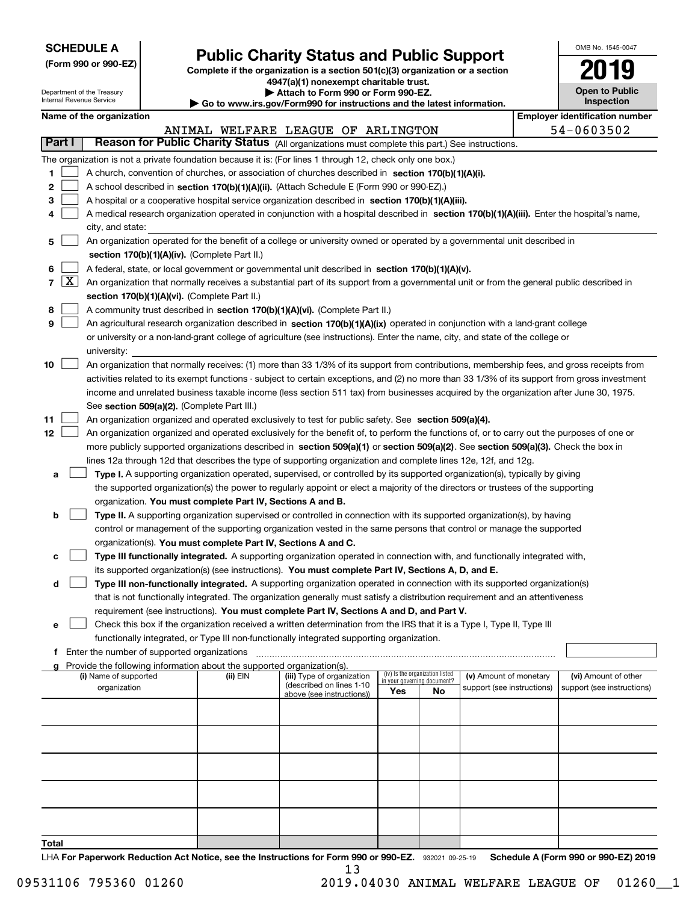| <b>SCHEDULE A</b> |  |
|-------------------|--|
|-------------------|--|

# **Public Charity Status and Public Support**<br> **Public Support**<br> **2019**

**(Form 990 or 990-EZ) Complete if the organization is a section 501(c)(3) organization or a section 4947(a)(1) nonexempt charitable trust. | Attach to Form 990 or Form 990-EZ.** 

| OMB No. 1545-0047            |
|------------------------------|
| 2019                         |
| Open to Public<br>Inenaction |

| Department of the Treasury<br>Internal Revenue Service |            |                                             |  | Attach to Form 990 or Form 990-EZ.<br>$\blacktriangleright$ Go to www.irs.gov/Form990 for instructions and the latest information. | <b>Open to Public</b><br><b>Inspection</b>                                                                                                                                                                                      |                                                                |    |                            |                                       |  |
|--------------------------------------------------------|------------|---------------------------------------------|--|------------------------------------------------------------------------------------------------------------------------------------|---------------------------------------------------------------------------------------------------------------------------------------------------------------------------------------------------------------------------------|----------------------------------------------------------------|----|----------------------------|---------------------------------------|--|
|                                                        |            | Name of the organization                    |  |                                                                                                                                    |                                                                                                                                                                                                                                 |                                                                |    |                            | <b>Employer identification number</b> |  |
|                                                        | Part I     |                                             |  |                                                                                                                                    | ANIMAL WELFARE LEAGUE OF ARLINGTON<br>Reason for Public Charity Status (All organizations must complete this part.) See instructions.                                                                                           |                                                                |    |                            | 54-0603502                            |  |
|                                                        |            |                                             |  |                                                                                                                                    |                                                                                                                                                                                                                                 |                                                                |    |                            |                                       |  |
| 1                                                      |            |                                             |  |                                                                                                                                    | The organization is not a private foundation because it is: (For lines 1 through 12, check only one box.)<br>A church, convention of churches, or association of churches described in section 170(b)(1)(A)(i).                 |                                                                |    |                            |                                       |  |
| 2                                                      |            |                                             |  |                                                                                                                                    | A school described in section 170(b)(1)(A)(ii). (Attach Schedule E (Form 990 or 990-EZ).)                                                                                                                                       |                                                                |    |                            |                                       |  |
| 3                                                      |            |                                             |  |                                                                                                                                    | A hospital or a cooperative hospital service organization described in section $170(b)(1)(A)(iii)$ .                                                                                                                            |                                                                |    |                            |                                       |  |
|                                                        |            |                                             |  |                                                                                                                                    | A medical research organization operated in conjunction with a hospital described in section 170(b)(1)(A)(iii). Enter the hospital's name,                                                                                      |                                                                |    |                            |                                       |  |
| 4                                                      |            | city, and state:                            |  |                                                                                                                                    |                                                                                                                                                                                                                                 |                                                                |    |                            |                                       |  |
| 5                                                      |            |                                             |  |                                                                                                                                    | An organization operated for the benefit of a college or university owned or operated by a governmental unit described in                                                                                                       |                                                                |    |                            |                                       |  |
|                                                        |            |                                             |  | section 170(b)(1)(A)(iv). (Complete Part II.)                                                                                      |                                                                                                                                                                                                                                 |                                                                |    |                            |                                       |  |
| 6                                                      |            |                                             |  |                                                                                                                                    | A federal, state, or local government or governmental unit described in section 170(b)(1)(A)(v).                                                                                                                                |                                                                |    |                            |                                       |  |
|                                                        | $7 \times$ |                                             |  |                                                                                                                                    | An organization that normally receives a substantial part of its support from a governmental unit or from the general public described in                                                                                       |                                                                |    |                            |                                       |  |
|                                                        |            |                                             |  | section 170(b)(1)(A)(vi). (Complete Part II.)                                                                                      |                                                                                                                                                                                                                                 |                                                                |    |                            |                                       |  |
| 8                                                      |            |                                             |  |                                                                                                                                    | A community trust described in section 170(b)(1)(A)(vi). (Complete Part II.)                                                                                                                                                    |                                                                |    |                            |                                       |  |
| 9                                                      |            |                                             |  |                                                                                                                                    | An agricultural research organization described in section 170(b)(1)(A)(ix) operated in conjunction with a land-grant college                                                                                                   |                                                                |    |                            |                                       |  |
|                                                        |            |                                             |  |                                                                                                                                    | or university or a non-land-grant college of agriculture (see instructions). Enter the name, city, and state of the college or                                                                                                  |                                                                |    |                            |                                       |  |
|                                                        |            | university:                                 |  |                                                                                                                                    |                                                                                                                                                                                                                                 |                                                                |    |                            |                                       |  |
| 10                                                     |            |                                             |  |                                                                                                                                    | An organization that normally receives: (1) more than 33 1/3% of its support from contributions, membership fees, and gross receipts from                                                                                       |                                                                |    |                            |                                       |  |
|                                                        |            |                                             |  |                                                                                                                                    | activities related to its exempt functions - subject to certain exceptions, and (2) no more than 33 1/3% of its support from gross investment                                                                                   |                                                                |    |                            |                                       |  |
|                                                        |            |                                             |  |                                                                                                                                    | income and unrelated business taxable income (less section 511 tax) from businesses acquired by the organization after June 30, 1975.                                                                                           |                                                                |    |                            |                                       |  |
|                                                        |            |                                             |  | See section 509(a)(2). (Complete Part III.)                                                                                        |                                                                                                                                                                                                                                 |                                                                |    |                            |                                       |  |
| 11                                                     |            |                                             |  |                                                                                                                                    | An organization organized and operated exclusively to test for public safety. See section 509(a)(4).                                                                                                                            |                                                                |    |                            |                                       |  |
| 12                                                     |            |                                             |  |                                                                                                                                    | An organization organized and operated exclusively for the benefit of, to perform the functions of, or to carry out the purposes of one or                                                                                      |                                                                |    |                            |                                       |  |
|                                                        |            |                                             |  |                                                                                                                                    | more publicly supported organizations described in section 509(a)(1) or section 509(a)(2). See section 509(a)(3). Check the box in                                                                                              |                                                                |    |                            |                                       |  |
|                                                        |            |                                             |  |                                                                                                                                    | lines 12a through 12d that describes the type of supporting organization and complete lines 12e, 12f, and 12g.                                                                                                                  |                                                                |    |                            |                                       |  |
| а                                                      |            |                                             |  |                                                                                                                                    | Type I. A supporting organization operated, supervised, or controlled by its supported organization(s), typically by giving                                                                                                     |                                                                |    |                            |                                       |  |
|                                                        |            |                                             |  |                                                                                                                                    | the supported organization(s) the power to regularly appoint or elect a majority of the directors or trustees of the supporting                                                                                                 |                                                                |    |                            |                                       |  |
|                                                        |            |                                             |  | organization. You must complete Part IV, Sections A and B.                                                                         |                                                                                                                                                                                                                                 |                                                                |    |                            |                                       |  |
| b                                                      |            |                                             |  |                                                                                                                                    | Type II. A supporting organization supervised or controlled in connection with its supported organization(s), by having                                                                                                         |                                                                |    |                            |                                       |  |
|                                                        |            |                                             |  |                                                                                                                                    | control or management of the supporting organization vested in the same persons that control or manage the supported                                                                                                            |                                                                |    |                            |                                       |  |
|                                                        |            |                                             |  | organization(s). You must complete Part IV, Sections A and C.                                                                      |                                                                                                                                                                                                                                 |                                                                |    |                            |                                       |  |
| с                                                      |            |                                             |  |                                                                                                                                    | Type III functionally integrated. A supporting organization operated in connection with, and functionally integrated with,                                                                                                      |                                                                |    |                            |                                       |  |
| d                                                      |            |                                             |  |                                                                                                                                    | its supported organization(s) (see instructions). You must complete Part IV, Sections A, D, and E.<br>Type III non-functionally integrated. A supporting organization operated in connection with its supported organization(s) |                                                                |    |                            |                                       |  |
|                                                        |            |                                             |  |                                                                                                                                    | that is not functionally integrated. The organization generally must satisfy a distribution requirement and an attentiveness                                                                                                    |                                                                |    |                            |                                       |  |
|                                                        |            |                                             |  |                                                                                                                                    | requirement (see instructions). You must complete Part IV, Sections A and D, and Part V.                                                                                                                                        |                                                                |    |                            |                                       |  |
| е                                                      |            |                                             |  |                                                                                                                                    | Check this box if the organization received a written determination from the IRS that it is a Type I, Type II, Type III                                                                                                         |                                                                |    |                            |                                       |  |
|                                                        |            |                                             |  |                                                                                                                                    | functionally integrated, or Type III non-functionally integrated supporting organization.                                                                                                                                       |                                                                |    |                            |                                       |  |
| f                                                      |            | Enter the number of supported organizations |  |                                                                                                                                    |                                                                                                                                                                                                                                 |                                                                |    |                            |                                       |  |
|                                                        |            |                                             |  | Provide the following information about the supported organization(s).                                                             |                                                                                                                                                                                                                                 |                                                                |    |                            |                                       |  |
|                                                        |            | (i) Name of supported                       |  | (ii) EIN                                                                                                                           | (iii) Type of organization<br>(described on lines 1-10                                                                                                                                                                          | (iv) Is the organization listed<br>in your governing document? |    | (v) Amount of monetary     | (vi) Amount of other                  |  |
|                                                        |            | organization                                |  |                                                                                                                                    | above (see instructions))                                                                                                                                                                                                       | Yes                                                            | No | support (see instructions) | support (see instructions)            |  |
|                                                        |            |                                             |  |                                                                                                                                    |                                                                                                                                                                                                                                 |                                                                |    |                            |                                       |  |
|                                                        |            |                                             |  |                                                                                                                                    |                                                                                                                                                                                                                                 |                                                                |    |                            |                                       |  |
|                                                        |            |                                             |  |                                                                                                                                    |                                                                                                                                                                                                                                 |                                                                |    |                            |                                       |  |
|                                                        |            |                                             |  |                                                                                                                                    |                                                                                                                                                                                                                                 |                                                                |    |                            |                                       |  |
|                                                        |            |                                             |  |                                                                                                                                    |                                                                                                                                                                                                                                 |                                                                |    |                            |                                       |  |
|                                                        |            |                                             |  |                                                                                                                                    |                                                                                                                                                                                                                                 |                                                                |    |                            |                                       |  |
|                                                        |            |                                             |  |                                                                                                                                    |                                                                                                                                                                                                                                 |                                                                |    |                            |                                       |  |

LHA For Paperwork Reduction Act Notice, see the Instructions for Form 990 or 990-EZ. 932021 09-25-19 Schedule A (Form 990 or 990-EZ) 2019 13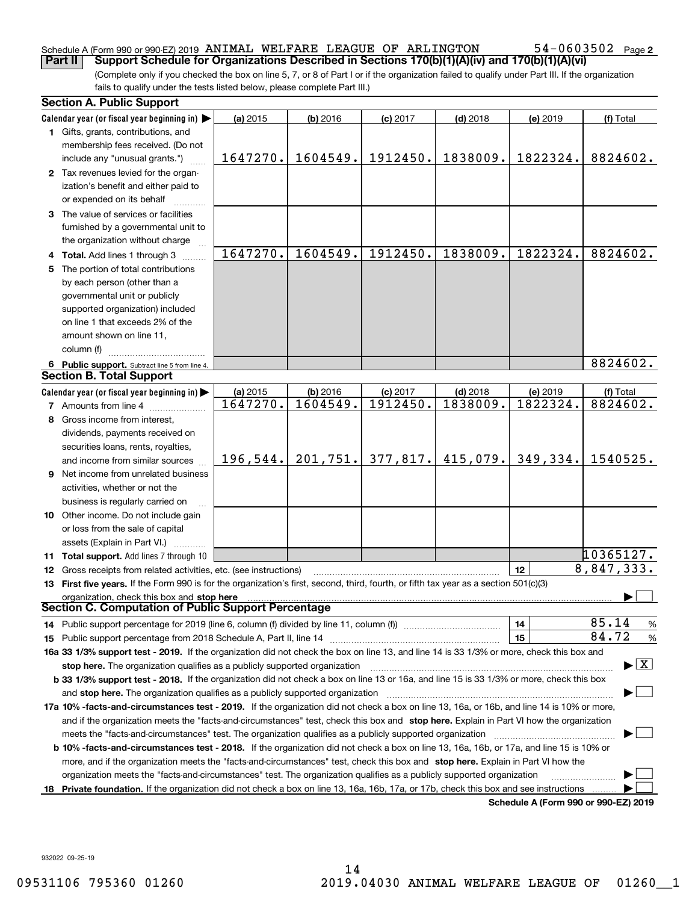## Schedule A (Form 990 or 990-EZ) 2019 ANIMAL WELFARE LEAGUE OF ARLINGTON  $54-0603502$  Page

(Complete only if you checked the box on line 5, 7, or 8 of Part I or if the organization failed to qualify under Part III. If the organization fails to qualify under the tests listed below, please complete Part III.) **Part II** | Support Schedule for Organizations Described in Sections 170(b)(1)(A)(iv) and 170(b)(1)(A)(vi)

|    | <b>Section A. Public Support</b>                                                                                                               |          |            |            |            |                                      |                                |  |  |
|----|------------------------------------------------------------------------------------------------------------------------------------------------|----------|------------|------------|------------|--------------------------------------|--------------------------------|--|--|
|    | Calendar year (or fiscal year beginning in) $\blacktriangleright$                                                                              | (a) 2015 | $(b)$ 2016 | $(c)$ 2017 | $(d)$ 2018 | (e) 2019                             | (f) Total                      |  |  |
|    | 1 Gifts, grants, contributions, and                                                                                                            |          |            |            |            |                                      |                                |  |  |
|    | membership fees received. (Do not                                                                                                              |          |            |            |            |                                      |                                |  |  |
|    | include any "unusual grants.")                                                                                                                 | 1647270. | 1604549.   | 1912450.   | 1838009.   | 1822324.                             | 8824602.                       |  |  |
|    | 2 Tax revenues levied for the organ-                                                                                                           |          |            |            |            |                                      |                                |  |  |
|    | ization's benefit and either paid to                                                                                                           |          |            |            |            |                                      |                                |  |  |
|    | or expended on its behalf                                                                                                                      |          |            |            |            |                                      |                                |  |  |
|    | 3 The value of services or facilities                                                                                                          |          |            |            |            |                                      |                                |  |  |
|    | furnished by a governmental unit to                                                                                                            |          |            |            |            |                                      |                                |  |  |
|    | the organization without charge                                                                                                                |          |            |            |            |                                      |                                |  |  |
|    | 4 Total. Add lines 1 through 3                                                                                                                 | 1647270. | 1604549.   | 1912450.   | 1838009.   | 1822324.                             | 8824602.                       |  |  |
| 5. | The portion of total contributions                                                                                                             |          |            |            |            |                                      |                                |  |  |
|    | by each person (other than a                                                                                                                   |          |            |            |            |                                      |                                |  |  |
|    | governmental unit or publicly                                                                                                                  |          |            |            |            |                                      |                                |  |  |
|    | supported organization) included                                                                                                               |          |            |            |            |                                      |                                |  |  |
|    | on line 1 that exceeds 2% of the                                                                                                               |          |            |            |            |                                      |                                |  |  |
|    | amount shown on line 11,                                                                                                                       |          |            |            |            |                                      |                                |  |  |
|    | column (f)                                                                                                                                     |          |            |            |            |                                      |                                |  |  |
|    | 6 Public support. Subtract line 5 from line 4.                                                                                                 |          |            |            |            |                                      | 8824602.                       |  |  |
|    | <b>Section B. Total Support</b>                                                                                                                |          |            |            |            |                                      |                                |  |  |
|    | Calendar year (or fiscal year beginning in) $\blacktriangleright$                                                                              | (a) 2015 | (b) 2016   | $(c)$ 2017 | $(d)$ 2018 | (e) 2019                             | (f) Total                      |  |  |
|    | 7 Amounts from line 4                                                                                                                          | 1647270. | 1604549.   | 1912450.   | 1838009.   | 1822324.                             | 8824602.                       |  |  |
| 8  | Gross income from interest,                                                                                                                    |          |            |            |            |                                      |                                |  |  |
|    | dividends, payments received on                                                                                                                |          |            |            |            |                                      |                                |  |  |
|    | securities loans, rents, royalties,                                                                                                            |          |            |            |            |                                      |                                |  |  |
|    | and income from similar sources                                                                                                                | 196,544. | 201, 751.  | 377,817.   | 415,079.   | 349,334.                             | 1540525.                       |  |  |
| 9  | Net income from unrelated business                                                                                                             |          |            |            |            |                                      |                                |  |  |
|    |                                                                                                                                                |          |            |            |            |                                      |                                |  |  |
|    | activities, whether or not the                                                                                                                 |          |            |            |            |                                      |                                |  |  |
|    | business is regularly carried on                                                                                                               |          |            |            |            |                                      |                                |  |  |
|    | <b>10</b> Other income. Do not include gain                                                                                                    |          |            |            |            |                                      |                                |  |  |
|    | or loss from the sale of capital                                                                                                               |          |            |            |            |                                      |                                |  |  |
|    | assets (Explain in Part VI.)                                                                                                                   |          |            |            |            |                                      | 10365127.                      |  |  |
|    | 11 Total support. Add lines 7 through 10                                                                                                       |          |            |            |            | 12                                   | 8,847,333.                     |  |  |
|    | 12 Gross receipts from related activities, etc. (see instructions)                                                                             |          |            |            |            |                                      |                                |  |  |
|    | 13 First five years. If the Form 990 is for the organization's first, second, third, fourth, or fifth tax year as a section 501(c)(3)          |          |            |            |            |                                      |                                |  |  |
|    | organization, check this box and stop here<br><b>Section C. Computation of Public Support Percentage</b>                                       |          |            |            |            |                                      |                                |  |  |
|    |                                                                                                                                                |          |            |            |            |                                      | 85.14                          |  |  |
|    | 14 Public support percentage for 2019 (line 6, column (f) divided by line 11, column (f) <i>mummumumum</i>                                     |          |            |            |            | 14<br>15                             | $\frac{9}{6}$<br>84.72         |  |  |
|    |                                                                                                                                                |          |            |            |            |                                      | %                              |  |  |
|    | 16a 33 1/3% support test - 2019. If the organization did not check the box on line 13, and line 14 is 33 1/3% or more, check this box and      |          |            |            |            |                                      | $\blacktriangleright$ $\mid$ X |  |  |
|    | stop here. The organization qualifies as a publicly supported organization                                                                     |          |            |            |            |                                      |                                |  |  |
|    | b 33 1/3% support test - 2018. If the organization did not check a box on line 13 or 16a, and line 15 is 33 1/3% or more, check this box       |          |            |            |            |                                      |                                |  |  |
|    | and stop here. The organization qualifies as a publicly supported organization                                                                 |          |            |            |            |                                      |                                |  |  |
|    | 17a 10% -facts-and-circumstances test - 2019. If the organization did not check a box on line 13, 16a, or 16b, and line 14 is 10% or more,     |          |            |            |            |                                      |                                |  |  |
|    | and if the organization meets the "facts-and-circumstances" test, check this box and stop here. Explain in Part VI how the organization        |          |            |            |            |                                      |                                |  |  |
|    | meets the "facts-and-circumstances" test. The organization qualifies as a publicly supported organization                                      |          |            |            |            |                                      |                                |  |  |
|    | <b>b 10% -facts-and-circumstances test - 2018.</b> If the organization did not check a box on line 13, 16a, 16b, or 17a, and line 15 is 10% or |          |            |            |            |                                      |                                |  |  |
|    | more, and if the organization meets the "facts-and-circumstances" test, check this box and stop here. Explain in Part VI how the               |          |            |            |            |                                      |                                |  |  |
|    | organization meets the "facts-and-circumstances" test. The organization qualifies as a publicly supported organization                         |          |            |            |            |                                      |                                |  |  |
|    | 18 Private foundation. If the organization did not check a box on line 13, 16a, 16b, 17a, or 17b, check this box and see instructions          |          |            |            |            | Schedule A (Form 990 or 990-F7) 2019 |                                |  |  |

**Schedule A (Form 990 or 990-EZ) 2019**

932022 09-25-19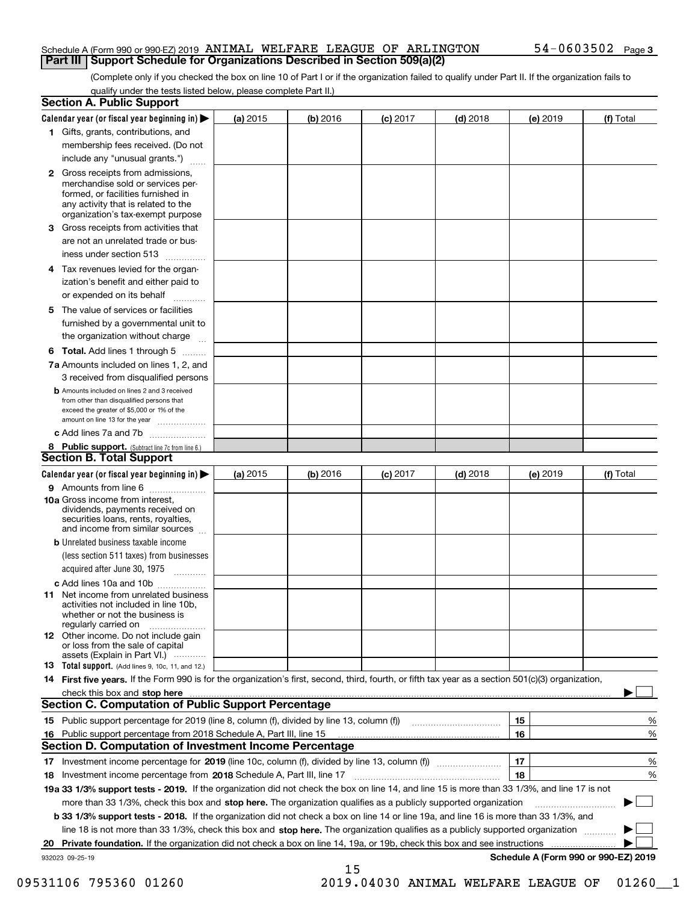#### Schedule A (Form 990 or 990-EZ) 2019 ANIMAL WELFARE LEAGUE OF ARLINGTON  $54-0603502$  Page **Part III | Support Schedule for Organizations Described in Section 509(a)(2)**

(Complete only if you checked the box on line 10 of Part I or if the organization failed to qualify under Part II. If the organization fails to qualify under the tests listed below, please complete Part II.)

|    | <b>Section A. Public Support</b>                                                                                                                                                                |          |          |                 |            |          |                                      |
|----|-------------------------------------------------------------------------------------------------------------------------------------------------------------------------------------------------|----------|----------|-----------------|------------|----------|--------------------------------------|
|    | Calendar year (or fiscal year beginning in) $\blacktriangleright$                                                                                                                               | (a) 2015 | (b) 2016 | <b>(c)</b> 2017 | $(d)$ 2018 | (e) 2019 | (f) Total                            |
|    | 1 Gifts, grants, contributions, and                                                                                                                                                             |          |          |                 |            |          |                                      |
|    | membership fees received. (Do not                                                                                                                                                               |          |          |                 |            |          |                                      |
|    | include any "unusual grants.")                                                                                                                                                                  |          |          |                 |            |          |                                      |
|    | <b>2</b> Gross receipts from admissions,<br>merchandise sold or services per-<br>formed, or facilities furnished in<br>any activity that is related to the<br>organization's tax-exempt purpose |          |          |                 |            |          |                                      |
| З  | Gross receipts from activities that                                                                                                                                                             |          |          |                 |            |          |                                      |
|    | are not an unrelated trade or bus-                                                                                                                                                              |          |          |                 |            |          |                                      |
|    | iness under section 513                                                                                                                                                                         |          |          |                 |            |          |                                      |
|    | 4 Tax revenues levied for the organ-                                                                                                                                                            |          |          |                 |            |          |                                      |
|    | ization's benefit and either paid to<br>or expended on its behalf                                                                                                                               |          |          |                 |            |          |                                      |
|    |                                                                                                                                                                                                 |          |          |                 |            |          |                                      |
| 5. | The value of services or facilities<br>furnished by a governmental unit to                                                                                                                      |          |          |                 |            |          |                                      |
|    | the organization without charge                                                                                                                                                                 |          |          |                 |            |          |                                      |
|    |                                                                                                                                                                                                 |          |          |                 |            |          |                                      |
|    | <b>6 Total.</b> Add lines 1 through 5 $\ldots$<br>7a Amounts included on lines 1, 2, and                                                                                                        |          |          |                 |            |          |                                      |
|    | 3 received from disqualified persons                                                                                                                                                            |          |          |                 |            |          |                                      |
|    | <b>b</b> Amounts included on lines 2 and 3 received<br>from other than disqualified persons that<br>exceed the greater of \$5,000 or 1% of the<br>amount on line 13 for the year                |          |          |                 |            |          |                                      |
|    | c Add lines 7a and 7b                                                                                                                                                                           |          |          |                 |            |          |                                      |
|    | 8 Public support. (Subtract line 7c from line 6.)                                                                                                                                               |          |          |                 |            |          |                                      |
|    | <b>Section B. Total Support</b>                                                                                                                                                                 |          |          |                 |            |          |                                      |
|    | Calendar year (or fiscal year beginning in) $\blacktriangleright$                                                                                                                               | (a) 2015 | (b) 2016 | $(c)$ 2017      | $(d)$ 2018 | (e) 2019 | (f) Total                            |
|    | 9 Amounts from line 6                                                                                                                                                                           |          |          |                 |            |          |                                      |
|    | 10a Gross income from interest,<br>dividends, payments received on<br>securities loans, rents, royalties,<br>and income from similar sources                                                    |          |          |                 |            |          |                                      |
|    | <b>b</b> Unrelated business taxable income                                                                                                                                                      |          |          |                 |            |          |                                      |
|    | (less section 511 taxes) from businesses                                                                                                                                                        |          |          |                 |            |          |                                      |
|    | acquired after June 30, 1975                                                                                                                                                                    |          |          |                 |            |          |                                      |
|    | c Add lines 10a and 10b                                                                                                                                                                         |          |          |                 |            |          |                                      |
|    | <b>11</b> Net income from unrelated business<br>activities not included in line 10b,<br>whether or not the business is<br>regularly carried on                                                  |          |          |                 |            |          |                                      |
|    | <b>12</b> Other income. Do not include gain<br>or loss from the sale of capital<br>assets (Explain in Part VI.)                                                                                 |          |          |                 |            |          |                                      |
|    | 13 Total support. (Add lines 9, 10c, 11, and 12.)                                                                                                                                               |          |          |                 |            |          |                                      |
|    | 14 First five years. If the Form 990 is for the organization's first, second, third, fourth, or fifth tax year as a section 501(c)(3) organization,                                             |          |          |                 |            |          |                                      |
|    | check this box and stop here measurements are constructed as the state of the construction of the state of the                                                                                  |          |          |                 |            |          |                                      |
|    | <b>Section C. Computation of Public Support Percentage</b>                                                                                                                                      |          |          |                 |            |          |                                      |
|    |                                                                                                                                                                                                 |          |          |                 |            | 15       | %                                    |
|    | 16 Public support percentage from 2018 Schedule A, Part III, line 15                                                                                                                            |          |          |                 |            | 16       | %                                    |
|    | Section D. Computation of Investment Income Percentage                                                                                                                                          |          |          |                 |            |          |                                      |
|    |                                                                                                                                                                                                 |          |          |                 |            | 17       | %                                    |
|    | 18 Investment income percentage from 2018 Schedule A, Part III, line 17                                                                                                                         |          |          |                 |            | 18       | %                                    |
|    | 19a 33 1/3% support tests - 2019. If the organization did not check the box on line 14, and line 15 is more than 33 1/3%, and line 17 is not                                                    |          |          |                 |            |          |                                      |
|    | more than 33 1/3%, check this box and stop here. The organization qualifies as a publicly supported organization                                                                                |          |          |                 |            |          |                                      |
|    | b 33 1/3% support tests - 2018. If the organization did not check a box on line 14 or line 19a, and line 16 is more than 33 1/3%, and                                                           |          |          |                 |            |          |                                      |
|    | line 18 is not more than 33 1/3%, check this box and stop here. The organization qualifies as a publicly supported organization                                                                 |          |          |                 |            |          |                                      |
| 20 | <b>Private foundation.</b> If the organization did not check a box on line 14, 19a, or 19b, check this box and see instructions                                                                 |          |          |                 |            |          |                                      |
|    | 932023 09-25-19                                                                                                                                                                                 |          | 15       |                 |            |          | Schedule A (Form 990 or 990-EZ) 2019 |

09531106 795360 01260 2019.04030 ANIMAL WELFARE LEAGUE OF 01260\_1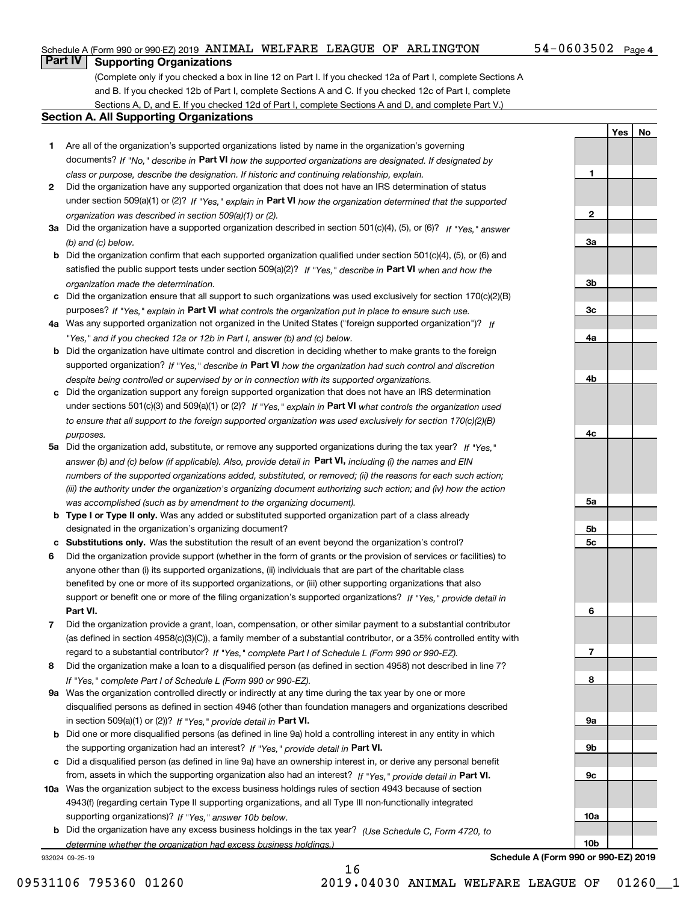#### Schedule A (Form 990 or 990-EZ) 2019 ANIMAL WELFARE LEAGUE OF ARLINGTON  $54-0603502$  Page

#### $54 - 0603502$  Page 4

**1**

**2**

**3a**

**3b**

**3c**

**4a**

**4b**

**4c**

**5a**

Yes | No

## **Part IV Supporting Organizations**

(Complete only if you checked a box in line 12 on Part I. If you checked 12a of Part I, complete Sections A and B. If you checked 12b of Part I, complete Sections A and C. If you checked 12c of Part I, complete Sections A, D, and E. If you checked 12d of Part I, complete Sections A and D, and complete Part V.)

#### **Section A. All Supporting Organizations**

- **1** Are all of the organization's supported organizations listed by name in the organization's governing documents? If "No," describe in Part VI how the supported organizations are designated. If designated by *class or purpose, describe the designation. If historic and continuing relationship, explain.*
- **2** Did the organization have any supported organization that does not have an IRS determination of status under section 509(a)(1) or (2)? If "Yes," explain in Part VI how the organization determined that the supported *organization was described in section 509(a)(1) or (2).*
- **3a** Did the organization have a supported organization described in section 501(c)(4), (5), or (6)? If "Yes," answer *(b) and (c) below.*
- **b** Did the organization confirm that each supported organization qualified under section 501(c)(4), (5), or (6) and satisfied the public support tests under section 509(a)(2)? If "Yes," describe in Part VI when and how the *organization made the determination.*
- **c** Did the organization ensure that all support to such organizations was used exclusively for section 170(c)(2)(B) purposes? If "Yes," explain in Part VI what controls the organization put in place to ensure such use.
- **4 a** *If* Was any supported organization not organized in the United States ("foreign supported organization")? *"Yes," and if you checked 12a or 12b in Part I, answer (b) and (c) below.*
- **b** Did the organization have ultimate control and discretion in deciding whether to make grants to the foreign supported organization? If "Yes," describe in Part VI how the organization had such control and discretion *despite being controlled or supervised by or in connection with its supported organizations.*
- **c** Did the organization support any foreign supported organization that does not have an IRS determination under sections 501(c)(3) and 509(a)(1) or (2)? If "Yes," explain in Part VI what controls the organization used *to ensure that all support to the foreign supported organization was used exclusively for section 170(c)(2)(B) purposes.*
- **5a** Did the organization add, substitute, or remove any supported organizations during the tax year? If "Yes," answer (b) and (c) below (if applicable). Also, provide detail in **Part VI,** including (i) the names and EIN *numbers of the supported organizations added, substituted, or removed; (ii) the reasons for each such action; (iii) the authority under the organization's organizing document authorizing such action; and (iv) how the action was accomplished (such as by amendment to the organizing document).*
- **b Type I or Type II only.** Was any added or substituted supported organization part of a class already designated in the organization's organizing document?
- **c Substitutions only.**  Was the substitution the result of an event beyond the organization's control?
- **6** Did the organization provide support (whether in the form of grants or the provision of services or facilities) to **Part VI.** *If "Yes," provide detail in* support or benefit one or more of the filing organization's supported organizations? anyone other than (i) its supported organizations, (ii) individuals that are part of the charitable class benefited by one or more of its supported organizations, or (iii) other supporting organizations that also
- **7** Did the organization provide a grant, loan, compensation, or other similar payment to a substantial contributor regard to a substantial contributor? If "Yes," complete Part I of Schedule L (Form 990 or 990-EZ). (as defined in section 4958(c)(3)(C)), a family member of a substantial contributor, or a 35% controlled entity with
- **8** Did the organization make a loan to a disqualified person (as defined in section 4958) not described in line 7? *If "Yes," complete Part I of Schedule L (Form 990 or 990-EZ).*
- **9 a** Was the organization controlled directly or indirectly at any time during the tax year by one or more in section 509(a)(1) or (2))? If "Yes," provide detail in Part VI. disqualified persons as defined in section 4946 (other than foundation managers and organizations described
- **b** Did one or more disqualified persons (as defined in line 9a) hold a controlling interest in any entity in which the supporting organization had an interest? If "Yes," provide detail in Part VI.
- **c** Did a disqualified person (as defined in line 9a) have an ownership interest in, or derive any personal benefit from, assets in which the supporting organization also had an interest? If "Yes," provide detail in Part VI.
- **10 a** Was the organization subject to the excess business holdings rules of section 4943 because of section supporting organizations)? If "Yes," answer 10b below. 4943(f) (regarding certain Type II supporting organizations, and all Type III non-functionally integrated
- **b** Did the organization have any excess business holdings in the tax year? (Use Schedule C, Form 4720, to *determine whether the organization had excess business holdings.)*

16

932024 09-25-19

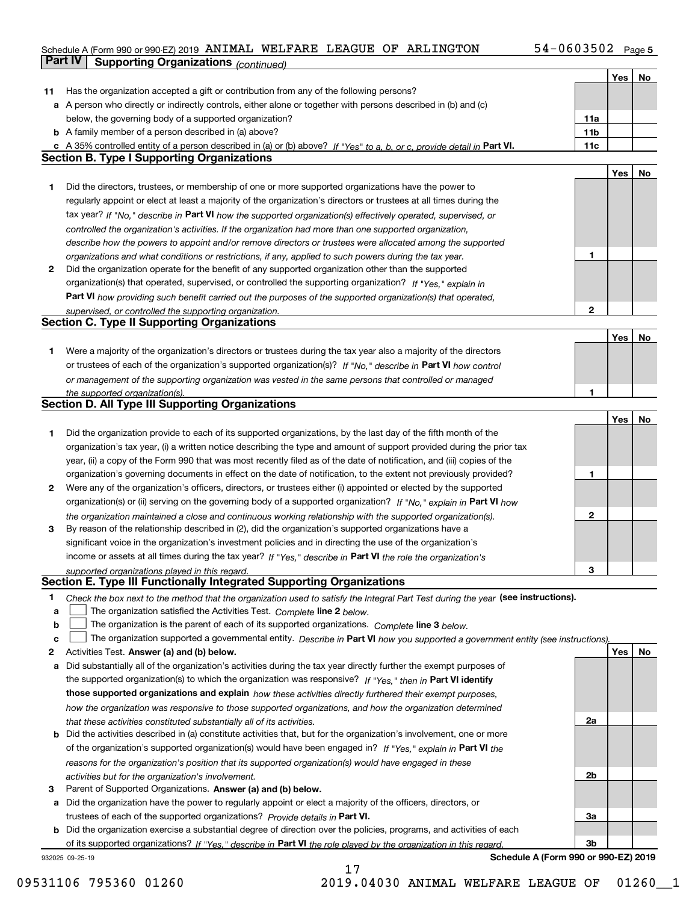#### Schedule A (Form 990 or 990-EZ) 2019 **AN IMAL WELF'ARE LEAGUE OF ARLING'I'ON** 5 4-U 6 U 3 5 U 2 Page 5 ANIMAL WELFARE LEAGUE OF ARLINGTON 54-0603502

|    | <b>Part IV</b><br><b>Supporting Organizations (continued)</b>                                                                     |              |     |    |
|----|-----------------------------------------------------------------------------------------------------------------------------------|--------------|-----|----|
|    |                                                                                                                                   |              | Yes | No |
| 11 | Has the organization accepted a gift or contribution from any of the following persons?                                           |              |     |    |
|    | a A person who directly or indirectly controls, either alone or together with persons described in (b) and (c)                    |              |     |    |
|    | below, the governing body of a supported organization?                                                                            | 11a          |     |    |
|    | <b>b</b> A family member of a person described in (a) above?                                                                      | 11b          |     |    |
|    | c A 35% controlled entity of a person described in (a) or (b) above? If "Yes" to a, b, or c, provide detail in Part VI.           | 11c          |     |    |
|    | <b>Section B. Type I Supporting Organizations</b>                                                                                 |              |     |    |
|    |                                                                                                                                   |              | Yes | No |
| 1  | Did the directors, trustees, or membership of one or more supported organizations have the power to                               |              |     |    |
|    | regularly appoint or elect at least a majority of the organization's directors or trustees at all times during the                |              |     |    |
|    | tax year? If "No," describe in Part VI how the supported organization(s) effectively operated, supervised, or                     |              |     |    |
|    | controlled the organization's activities. If the organization had more than one supported organization,                           |              |     |    |
|    | describe how the powers to appoint and/or remove directors or trustees were allocated among the supported                         |              |     |    |
|    | organizations and what conditions or restrictions, if any, applied to such powers during the tax year.                            | 1            |     |    |
| 2  | Did the organization operate for the benefit of any supported organization other than the supported                               |              |     |    |
|    | organization(s) that operated, supervised, or controlled the supporting organization? If "Yes," explain in                        |              |     |    |
|    | Part VI how providing such benefit carried out the purposes of the supported organization(s) that operated,                       |              |     |    |
|    | supervised, or controlled the supporting organization.                                                                            | $\mathbf{2}$ |     |    |
|    | <b>Section C. Type II Supporting Organizations</b>                                                                                |              |     |    |
|    |                                                                                                                                   |              | Yes | No |
| 1  | Were a majority of the organization's directors or trustees during the tax year also a majority of the directors                  |              |     |    |
|    | or trustees of each of the organization's supported organization(s)? If "No," describe in Part VI how control                     |              |     |    |
|    | or management of the supporting organization was vested in the same persons that controlled or managed                            |              |     |    |
|    | the supported organization(s).                                                                                                    | $\mathbf{1}$ |     |    |
|    | <b>Section D. All Type III Supporting Organizations</b>                                                                           |              |     |    |
|    |                                                                                                                                   |              | Yes | No |
| 1  | Did the organization provide to each of its supported organizations, by the last day of the fifth month of the                    |              |     |    |
|    | organization's tax year, (i) a written notice describing the type and amount of support provided during the prior tax             |              |     |    |
|    | year, (ii) a copy of the Form 990 that was most recently filed as of the date of notification, and (iii) copies of the            |              |     |    |
|    | organization's governing documents in effect on the date of notification, to the extent not previously provided?                  | 1            |     |    |
| 2  | Were any of the organization's officers, directors, or trustees either (i) appointed or elected by the supported                  |              |     |    |
|    | organization(s) or (ii) serving on the governing body of a supported organization? If "No," explain in Part VI how                |              |     |    |
|    | the organization maintained a close and continuous working relationship with the supported organization(s).                       | $\mathbf{2}$ |     |    |
| 3  | By reason of the relationship described in (2), did the organization's supported organizations have a                             |              |     |    |
|    | significant voice in the organization's investment policies and in directing the use of the organization's                        |              |     |    |
|    | income or assets at all times during the tax year? If "Yes," describe in Part VI the role the organization's                      |              |     |    |
|    | supported organizations played in this regard.                                                                                    | з            |     |    |
|    | Section E. Type III Functionally Integrated Supporting Organizations                                                              |              |     |    |
| 1  | Check the box next to the method that the organization used to satisfy the Integral Part Test during the year (see instructions). |              |     |    |
| a  | The organization satisfied the Activities Test. Complete line 2 below.                                                            |              |     |    |
| b  | The organization is the parent of each of its supported organizations. Complete line 3 below.                                     |              |     |    |
| c  | The organization supported a governmental entity. Describe in Part VI how you supported a government entity (see instructions).   |              |     |    |
| 2  | Activities Test. Answer (a) and (b) below.                                                                                        |              | Yes | No |
| а  | Did substantially all of the organization's activities during the tax year directly further the exempt purposes of                |              |     |    |
|    | the supported organization(s) to which the organization was responsive? If "Yes," then in Part VI identify                        |              |     |    |
|    | those supported organizations and explain how these activities directly furthered their exempt purposes,                          |              |     |    |
|    | how the organization was responsive to those supported organizations, and how the organization determined                         |              |     |    |
|    | that these activities constituted substantially all of its activities.                                                            | 2a           |     |    |
|    | <b>b</b> Did the activities described in (a) constitute activities that, but for the organization's involvement, one or more      |              |     |    |
|    | of the organization's supported organization(s) would have been engaged in? If "Yes," explain in Part VI the                      |              |     |    |
|    | reasons for the organization's position that its supported organization(s) would have engaged in these                            |              |     |    |
|    | activities but for the organization's involvement.                                                                                | 2b           |     |    |
| з  | Parent of Supported Organizations. Answer (a) and (b) below.                                                                      |              |     |    |
| а  | Did the organization have the power to regularly appoint or elect a majority of the officers, directors, or                       |              |     |    |
|    | trustees of each of the supported organizations? Provide details in Part VI.                                                      | За           |     |    |
|    | <b>b</b> Did the organization exercise a substantial degree of direction over the policies, programs, and activities of each      |              |     |    |
|    | of its supported organizations? If "Yes," describe in Part VI the role played by the organization in this regard.                 | 3b           |     |    |
|    |                                                                                                                                   |              |     |    |

17

932025 09-25-19

**Schedule A (Form 990 or 990-EZ) 2019**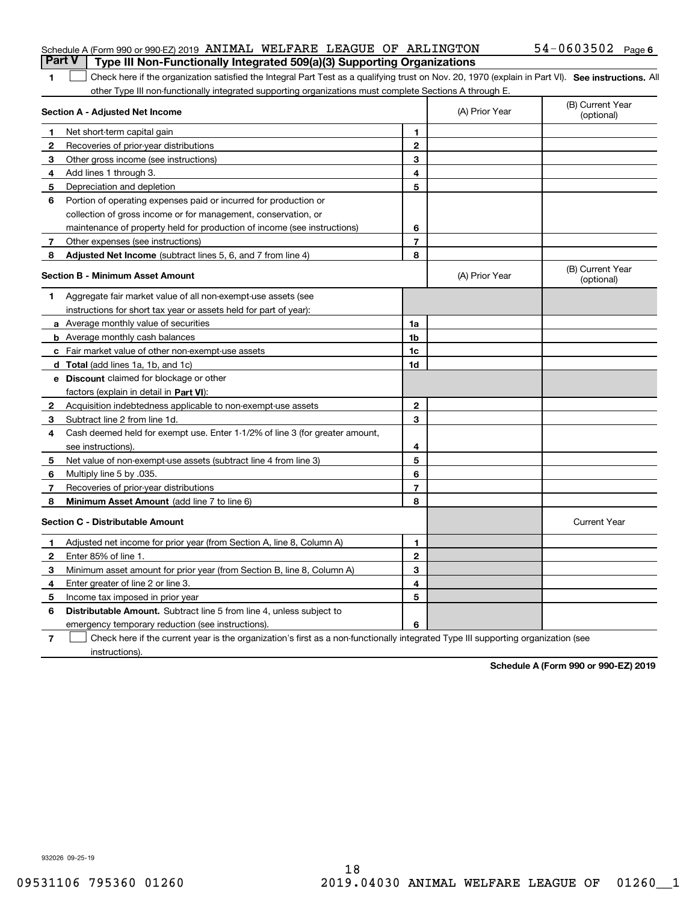#### Schedule A (Form 990 or 990-EZ) 2019 ANIMAL WELFARE LEAGUE OF ARLINGTON  $54-0603502$  Page **Part V Type III Non-Functionally Integrated 509(a)(3) Supporting Organizations**

### 1 **1** Check here if the organization satisfied the Integral Part Test as a qualifying trust on Nov. 20, 1970 (explain in Part VI). See instructions. All other Type III non-functionally integrated supporting organizations must complete Sections A through E.

| Section A - Adjusted Net Income |                                                                              |                | (A) Prior Year | (B) Current Year<br>(optional) |
|---------------------------------|------------------------------------------------------------------------------|----------------|----------------|--------------------------------|
| 1.                              | Net short-term capital gain                                                  | 1              |                |                                |
| $\mathbf{2}$                    | Recoveries of prior-year distributions                                       | $\overline{2}$ |                |                                |
| З                               | Other gross income (see instructions)                                        | 3              |                |                                |
| 4                               | Add lines 1 through 3.                                                       | 4              |                |                                |
| 5                               | Depreciation and depletion                                                   | 5              |                |                                |
| 6                               | Portion of operating expenses paid or incurred for production or             |                |                |                                |
|                                 | collection of gross income or for management, conservation, or               |                |                |                                |
|                                 | maintenance of property held for production of income (see instructions)     | 6              |                |                                |
| 7                               | Other expenses (see instructions)                                            | $\overline{7}$ |                |                                |
| 8                               | Adjusted Net Income (subtract lines 5, 6, and 7 from line 4)                 | 8              |                |                                |
|                                 | <b>Section B - Minimum Asset Amount</b>                                      |                | (A) Prior Year | (B) Current Year<br>(optional) |
| 1                               | Aggregate fair market value of all non-exempt-use assets (see                |                |                |                                |
|                                 | instructions for short tax year or assets held for part of year):            |                |                |                                |
|                                 | <b>a</b> Average monthly value of securities                                 | 1a             |                |                                |
|                                 | <b>b</b> Average monthly cash balances                                       | 1b             |                |                                |
|                                 | c Fair market value of other non-exempt-use assets                           | 1c             |                |                                |
|                                 | d Total (add lines 1a, 1b, and 1c)                                           | 1d             |                |                                |
|                                 | e Discount claimed for blockage or other                                     |                |                |                                |
|                                 | factors (explain in detail in Part VI):                                      |                |                |                                |
| 2                               | Acquisition indebtedness applicable to non-exempt-use assets                 | $\mathbf{2}$   |                |                                |
| 3                               | Subtract line 2 from line 1d.                                                | 3              |                |                                |
| 4                               | Cash deemed held for exempt use. Enter 1-1/2% of line 3 (for greater amount, |                |                |                                |
|                                 | see instructions).                                                           | 4              |                |                                |
| 5                               | Net value of non-exempt-use assets (subtract line 4 from line 3)             | 5              |                |                                |
| 6                               | Multiply line 5 by .035.                                                     | 6              |                |                                |
| 7                               | Recoveries of prior-year distributions                                       | $\overline{7}$ |                |                                |
| 8                               | <b>Minimum Asset Amount</b> (add line 7 to line 6)                           | 8              |                |                                |
|                                 | <b>Section C - Distributable Amount</b>                                      |                |                | <b>Current Year</b>            |
| 1                               | Adjusted net income for prior year (from Section A, line 8, Column A)        | 1              |                |                                |
| $\mathbf{2}$                    | Enter 85% of line 1.                                                         | $\overline{2}$ |                |                                |
| 3                               | Minimum asset amount for prior year (from Section B, line 8, Column A)       | 3              |                |                                |
| 4                               | Enter greater of line 2 or line 3.                                           | 4              |                |                                |
| 5                               | Income tax imposed in prior year                                             | 5              |                |                                |
| 6                               | <b>Distributable Amount.</b> Subtract line 5 from line 4, unless subject to  |                |                |                                |
|                                 | emergency temporary reduction (see instructions).                            | 6              |                |                                |
|                                 |                                                                              |                |                |                                |

**7** Check here if the current year is the organization's first as a non-functionally integrated Type III supporting organization (see instructions).

**Schedule A (Form 990 or 990-EZ) 2019**

932026 09-25-19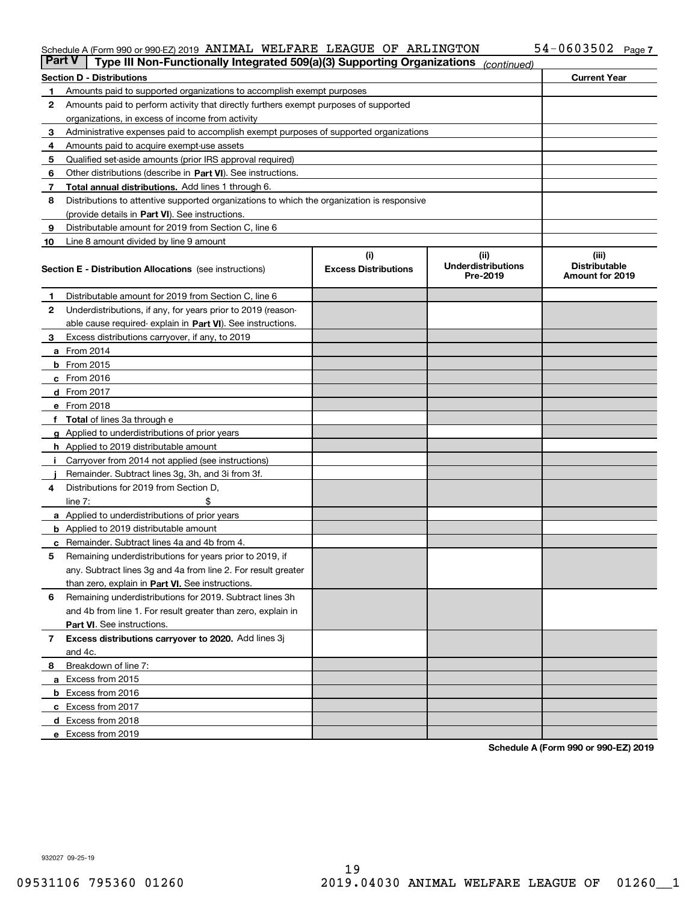#### Schedule A (Form 990 or 990-EZ) 2019 AN I MALI WELFARE LEAGUE OF ARLINGTON 54-0603502 Page ANIMAL WELFARE LEAGUE OF ARLINGTON 54-0603502

| <b>Part V</b><br>Type III Non-Functionally Integrated 509(a)(3) Supporting Organizations<br>(continued) |                                                                                            |                             |                                       |                                         |  |  |  |
|---------------------------------------------------------------------------------------------------------|--------------------------------------------------------------------------------------------|-----------------------------|---------------------------------------|-----------------------------------------|--|--|--|
|                                                                                                         | <b>Current Year</b><br><b>Section D - Distributions</b>                                    |                             |                                       |                                         |  |  |  |
| 1.                                                                                                      | Amounts paid to supported organizations to accomplish exempt purposes                      |                             |                                       |                                         |  |  |  |
| 2                                                                                                       | Amounts paid to perform activity that directly furthers exempt purposes of supported       |                             |                                       |                                         |  |  |  |
|                                                                                                         | organizations, in excess of income from activity                                           |                             |                                       |                                         |  |  |  |
| 3                                                                                                       | Administrative expenses paid to accomplish exempt purposes of supported organizations      |                             |                                       |                                         |  |  |  |
| 4                                                                                                       | Amounts paid to acquire exempt-use assets                                                  |                             |                                       |                                         |  |  |  |
| 5                                                                                                       | Qualified set-aside amounts (prior IRS approval required)                                  |                             |                                       |                                         |  |  |  |
| 6                                                                                                       | Other distributions (describe in Part VI). See instructions.                               |                             |                                       |                                         |  |  |  |
| 7                                                                                                       | <b>Total annual distributions.</b> Add lines 1 through 6.                                  |                             |                                       |                                         |  |  |  |
| 8                                                                                                       | Distributions to attentive supported organizations to which the organization is responsive |                             |                                       |                                         |  |  |  |
|                                                                                                         | (provide details in Part VI). See instructions.                                            |                             |                                       |                                         |  |  |  |
| 9                                                                                                       | Distributable amount for 2019 from Section C, line 6                                       |                             |                                       |                                         |  |  |  |
| 10                                                                                                      | Line 8 amount divided by line 9 amount                                                     |                             |                                       |                                         |  |  |  |
|                                                                                                         |                                                                                            | (i)                         | (iii)                                 | (iii)                                   |  |  |  |
|                                                                                                         | <b>Section E - Distribution Allocations</b> (see instructions)                             | <b>Excess Distributions</b> | <b>Underdistributions</b><br>Pre-2019 | <b>Distributable</b><br>Amount for 2019 |  |  |  |
| 1                                                                                                       | Distributable amount for 2019 from Section C, line 6                                       |                             |                                       |                                         |  |  |  |
| $\mathbf{2}$                                                                                            | Underdistributions, if any, for years prior to 2019 (reason-                               |                             |                                       |                                         |  |  |  |
|                                                                                                         | able cause required-explain in Part VI). See instructions.                                 |                             |                                       |                                         |  |  |  |
| 3                                                                                                       | Excess distributions carryover, if any, to 2019                                            |                             |                                       |                                         |  |  |  |
|                                                                                                         | <b>a</b> From 2014                                                                         |                             |                                       |                                         |  |  |  |
|                                                                                                         | <b>b</b> From $2015$                                                                       |                             |                                       |                                         |  |  |  |
|                                                                                                         | c From 2016                                                                                |                             |                                       |                                         |  |  |  |
|                                                                                                         | <b>d</b> From 2017                                                                         |                             |                                       |                                         |  |  |  |
|                                                                                                         | e From 2018                                                                                |                             |                                       |                                         |  |  |  |
|                                                                                                         | f Total of lines 3a through e                                                              |                             |                                       |                                         |  |  |  |
|                                                                                                         | <b>g</b> Applied to underdistributions of prior years                                      |                             |                                       |                                         |  |  |  |
|                                                                                                         | <b>h</b> Applied to 2019 distributable amount                                              |                             |                                       |                                         |  |  |  |
| -1                                                                                                      | Carryover from 2014 not applied (see instructions)                                         |                             |                                       |                                         |  |  |  |
|                                                                                                         | Remainder. Subtract lines 3g, 3h, and 3i from 3f.                                          |                             |                                       |                                         |  |  |  |
| 4                                                                                                       | Distributions for 2019 from Section D,                                                     |                             |                                       |                                         |  |  |  |
|                                                                                                         | line $7:$                                                                                  |                             |                                       |                                         |  |  |  |
|                                                                                                         | a Applied to underdistributions of prior years                                             |                             |                                       |                                         |  |  |  |
|                                                                                                         | <b>b</b> Applied to 2019 distributable amount                                              |                             |                                       |                                         |  |  |  |
|                                                                                                         | c Remainder. Subtract lines 4a and 4b from 4.                                              |                             |                                       |                                         |  |  |  |
| 5                                                                                                       | Remaining underdistributions for years prior to 2019, if                                   |                             |                                       |                                         |  |  |  |
|                                                                                                         | any. Subtract lines 3g and 4a from line 2. For result greater                              |                             |                                       |                                         |  |  |  |
|                                                                                                         | than zero, explain in Part VI. See instructions.                                           |                             |                                       |                                         |  |  |  |
| 6                                                                                                       | Remaining underdistributions for 2019. Subtract lines 3h                                   |                             |                                       |                                         |  |  |  |
|                                                                                                         | and 4b from line 1. For result greater than zero, explain in                               |                             |                                       |                                         |  |  |  |
|                                                                                                         | Part VI. See instructions.                                                                 |                             |                                       |                                         |  |  |  |
| 7                                                                                                       | Excess distributions carryover to 2020. Add lines 3j                                       |                             |                                       |                                         |  |  |  |
|                                                                                                         | and 4c.                                                                                    |                             |                                       |                                         |  |  |  |
| 8                                                                                                       | Breakdown of line 7:                                                                       |                             |                                       |                                         |  |  |  |
|                                                                                                         | a Excess from 2015                                                                         |                             |                                       |                                         |  |  |  |
|                                                                                                         | <b>b</b> Excess from 2016                                                                  |                             |                                       |                                         |  |  |  |
|                                                                                                         | c Excess from 2017                                                                         |                             |                                       |                                         |  |  |  |
|                                                                                                         | d Excess from 2018                                                                         |                             |                                       |                                         |  |  |  |
|                                                                                                         | e Excess from 2019                                                                         |                             |                                       |                                         |  |  |  |

**Schedule A (Form 990 or 990-EZ) 2019**

932027 09-25-19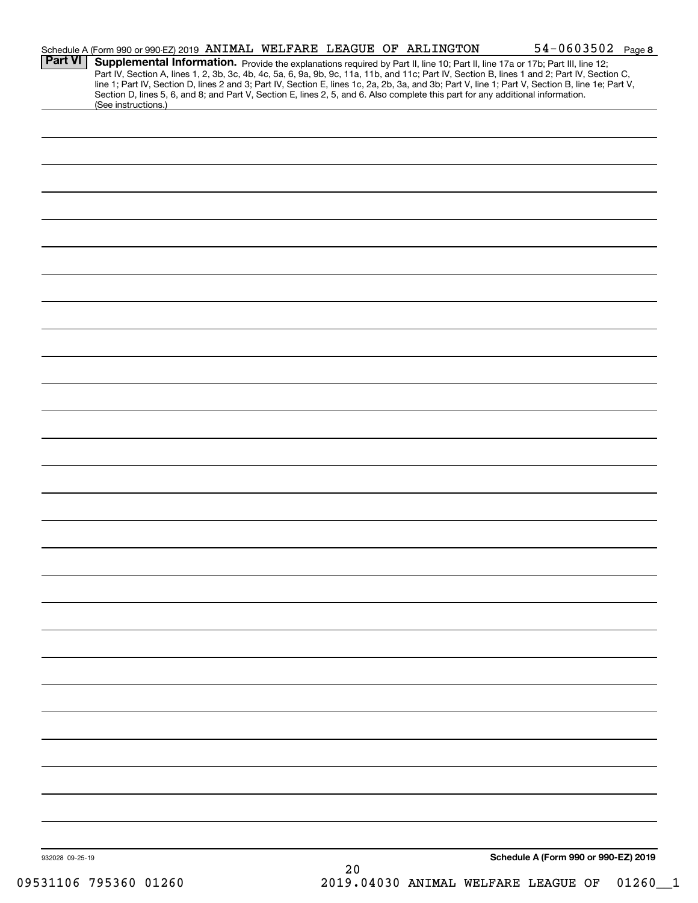|                 | Schedule A (Form 990 or 990-EZ) 2019 ANIMAL WELFARE LEAGUE OF ARLINGTON                                                                                |      | $54 - 0603502$ Page 8                                                                                                                                                                                                                                                                            |  |
|-----------------|--------------------------------------------------------------------------------------------------------------------------------------------------------|------|--------------------------------------------------------------------------------------------------------------------------------------------------------------------------------------------------------------------------------------------------------------------------------------------------|--|
| <b>Part VI</b>  | Supplemental Information. Provide the explanations required by Part II, line 10; Part II, line 17a or 17b; Part III, line 12;                          |      | Part IV, Section A, lines 1, 2, 3b, 3c, 4b, 4c, 5a, 6, 9a, 9b, 9c, 11a, 11b, and 11c; Part IV, Section B, lines 1 and 2; Part IV, Section C,<br>line 1; Part IV, Section D, lines 2 and 3; Part IV, Section E, lines 1c, 2a, 2b, 3a, and 3b; Part V, line 1; Part V, Section B, line 1e; Part V, |  |
|                 | Section D, lines 5, 6, and 8; and Part V, Section E, lines 2, 5, and 6. Also complete this part for any additional information.<br>(See instructions.) |      |                                                                                                                                                                                                                                                                                                  |  |
|                 |                                                                                                                                                        |      |                                                                                                                                                                                                                                                                                                  |  |
|                 |                                                                                                                                                        |      |                                                                                                                                                                                                                                                                                                  |  |
|                 |                                                                                                                                                        |      |                                                                                                                                                                                                                                                                                                  |  |
|                 |                                                                                                                                                        |      |                                                                                                                                                                                                                                                                                                  |  |
|                 |                                                                                                                                                        |      |                                                                                                                                                                                                                                                                                                  |  |
|                 |                                                                                                                                                        |      |                                                                                                                                                                                                                                                                                                  |  |
|                 |                                                                                                                                                        |      |                                                                                                                                                                                                                                                                                                  |  |
|                 |                                                                                                                                                        |      |                                                                                                                                                                                                                                                                                                  |  |
|                 |                                                                                                                                                        |      |                                                                                                                                                                                                                                                                                                  |  |
|                 |                                                                                                                                                        |      |                                                                                                                                                                                                                                                                                                  |  |
|                 |                                                                                                                                                        |      |                                                                                                                                                                                                                                                                                                  |  |
|                 |                                                                                                                                                        |      |                                                                                                                                                                                                                                                                                                  |  |
|                 |                                                                                                                                                        |      |                                                                                                                                                                                                                                                                                                  |  |
|                 |                                                                                                                                                        |      |                                                                                                                                                                                                                                                                                                  |  |
|                 |                                                                                                                                                        |      |                                                                                                                                                                                                                                                                                                  |  |
|                 |                                                                                                                                                        |      |                                                                                                                                                                                                                                                                                                  |  |
|                 |                                                                                                                                                        |      |                                                                                                                                                                                                                                                                                                  |  |
|                 |                                                                                                                                                        |      |                                                                                                                                                                                                                                                                                                  |  |
|                 |                                                                                                                                                        |      |                                                                                                                                                                                                                                                                                                  |  |
|                 |                                                                                                                                                        |      |                                                                                                                                                                                                                                                                                                  |  |
|                 |                                                                                                                                                        |      |                                                                                                                                                                                                                                                                                                  |  |
|                 |                                                                                                                                                        |      |                                                                                                                                                                                                                                                                                                  |  |
|                 |                                                                                                                                                        |      |                                                                                                                                                                                                                                                                                                  |  |
|                 |                                                                                                                                                        |      |                                                                                                                                                                                                                                                                                                  |  |
|                 |                                                                                                                                                        |      |                                                                                                                                                                                                                                                                                                  |  |
|                 |                                                                                                                                                        |      |                                                                                                                                                                                                                                                                                                  |  |
|                 |                                                                                                                                                        |      |                                                                                                                                                                                                                                                                                                  |  |
|                 |                                                                                                                                                        |      |                                                                                                                                                                                                                                                                                                  |  |
|                 |                                                                                                                                                        |      |                                                                                                                                                                                                                                                                                                  |  |
|                 |                                                                                                                                                        |      |                                                                                                                                                                                                                                                                                                  |  |
|                 |                                                                                                                                                        |      |                                                                                                                                                                                                                                                                                                  |  |
|                 |                                                                                                                                                        |      |                                                                                                                                                                                                                                                                                                  |  |
|                 |                                                                                                                                                        |      |                                                                                                                                                                                                                                                                                                  |  |
|                 |                                                                                                                                                        |      |                                                                                                                                                                                                                                                                                                  |  |
|                 |                                                                                                                                                        |      |                                                                                                                                                                                                                                                                                                  |  |
|                 |                                                                                                                                                        |      |                                                                                                                                                                                                                                                                                                  |  |
|                 |                                                                                                                                                        |      | Schedule A (Form 990 or 990-EZ) 2019                                                                                                                                                                                                                                                             |  |
| 932028 09-25-19 |                                                                                                                                                        | $20$ |                                                                                                                                                                                                                                                                                                  |  |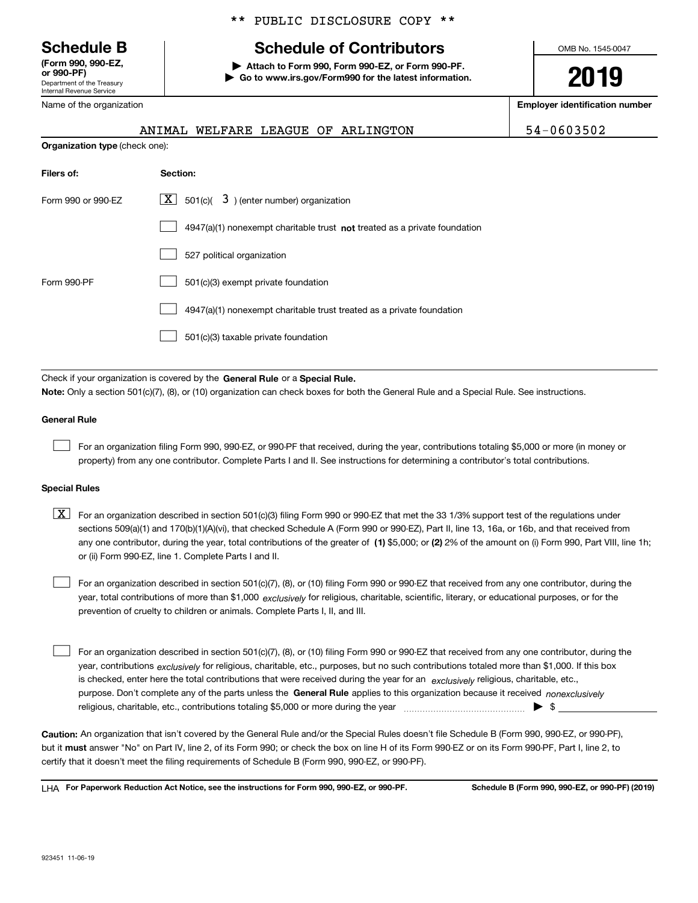Department of the Treasury Internal Revenue Service **(Form 990, 990-EZ,**

Name of the organization

**Organization type** (check one):

#### \*\* PUBLIC DISCLOSURE COPY \*\*

# **Schedule B Schedule of Contributors**

**or 990-PF) | Attach to Form 990, Form 990-EZ, or Form 990-PF. | Go to www.irs.gov/Form990 for the latest information.** OMB No. 1545-0047

**2019**

**Employer identification number**

|  |  | ANIMAL WELFARE LEAGUE OF ARLINGTON | 54-0603502 |
|--|--|------------------------------------|------------|
|  |  |                                    |            |

| Filers of:         | Section:                                                                    |  |  |
|--------------------|-----------------------------------------------------------------------------|--|--|
| Form 990 or 990-FZ | $\boxed{\textbf{X}}$ 501(c)( 3) (enter number) organization                 |  |  |
|                    | $4947(a)(1)$ nonexempt charitable trust not treated as a private foundation |  |  |
|                    | 527 political organization                                                  |  |  |
| Form 990-PF        | 501(c)(3) exempt private foundation                                         |  |  |
|                    | 4947(a)(1) nonexempt charitable trust treated as a private foundation       |  |  |
|                    | 501(c)(3) taxable private foundation                                        |  |  |

Check if your organization is covered by the General Rule or a Special Rule. **Note:**  Only a section 501(c)(7), (8), or (10) organization can check boxes for both the General Rule and a Special Rule. See instructions.

#### **General Rule**

 $\begin{array}{c} \hline \end{array}$ 

For an organization filing Form 990, 990-EZ, or 990-PF that received, during the year, contributions totaling \$5,000 or more (in money or property) from any one contributor. Complete Parts I and II. See instructions for determining a contributor's total contributions.

#### **Special Rules**

any one contributor, during the year, total contributions of the greater of  $\,$  (1) \$5,000; or (2) 2% of the amount on (i) Form 990, Part VIII, line 1h;  $\boxed{\textbf{X}}$  For an organization described in section 501(c)(3) filing Form 990 or 990-EZ that met the 33 1/3% support test of the regulations under sections 509(a)(1) and 170(b)(1)(A)(vi), that checked Schedule A (Form 990 or 990-EZ), Part II, line 13, 16a, or 16b, and that received from or (ii) Form 990-EZ, line 1. Complete Parts I and II.

year, total contributions of more than \$1,000 *exclusively* for religious, charitable, scientific, literary, or educational purposes, or for the For an organization described in section 501(c)(7), (8), or (10) filing Form 990 or 990-EZ that received from any one contributor, during the prevention of cruelty to children or animals. Complete Parts I, II, and III.  $\begin{array}{c} \hline \end{array}$ 

purpose. Don't complete any of the parts unless the General Rule applies to this organization because it received *nonexclusively* year, contributions <sub>exclusively</sub> for religious, charitable, etc., purposes, but no such contributions totaled more than \$1,000. If this box is checked, enter here the total contributions that were received during the year for an *exclusively* religious, charitable, etc., For an organization described in section 501(c)(7), (8), or (10) filing Form 990 or 990-EZ that received from any one contributor, during the religious, charitable, etc., contributions totaling \$5,000 or more during the year  $\Box$ — $\Box$   $\Box$  $\begin{array}{c} \hline \end{array}$ 

**Caution:**  An organization that isn't covered by the General Rule and/or the Special Rules doesn't file Schedule B (Form 990, 990-EZ, or 990-PF),  **must** but it answer "No" on Part IV, line 2, of its Form 990; or check the box on line H of its Form 990-EZ or on its Form 990-PF, Part I, line 2, to certify that it doesn't meet the filing requirements of Schedule B (Form 990, 990-EZ, or 990-PF).

**For Paperwork Reduction Act Notice, see the instructions for Form 990, 990-EZ, or 990-PF. Schedule B (Form 990, 990-EZ, or 990-PF) (2019)** LHA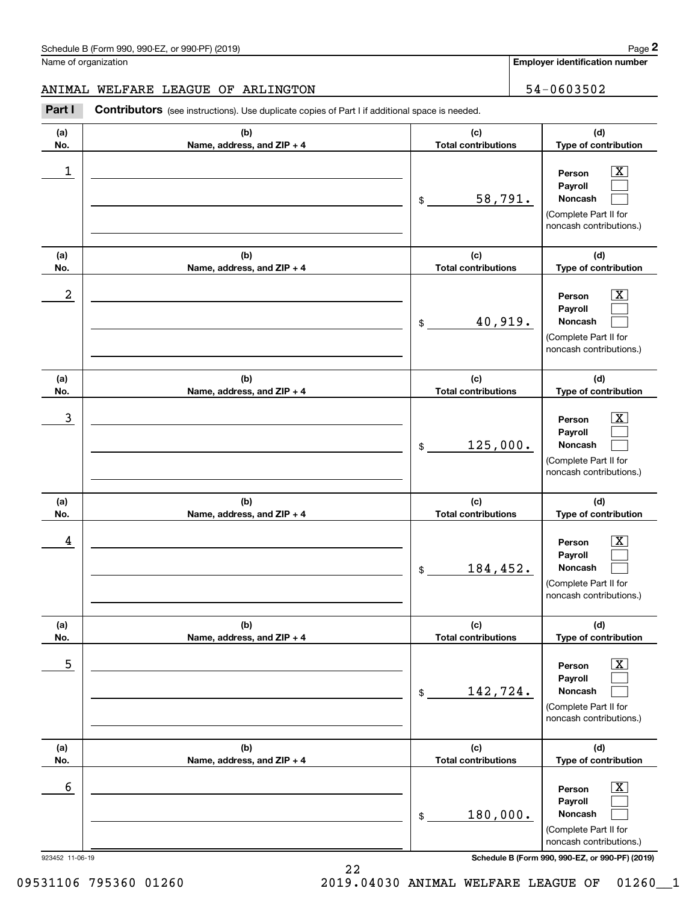**Employer identification number**

# ANIMAL WELFARE LEAGUE OF ARLINGTON | 54-0603502

**Part I** Contributors (see instructions). Use duplicate copies of Part I if additional space is needed.

| (a)<br>No.      | (b)<br>Name, address, and ZIP + 4 | (c)<br><b>Total contributions</b> | (d)<br>Type of contribution                                                                                                                               |
|-----------------|-----------------------------------|-----------------------------------|-----------------------------------------------------------------------------------------------------------------------------------------------------------|
| 1               |                                   | 58,791.<br>\$                     | $\overline{\mathbf{x}}$<br>Person<br>Payroll<br>Noncash<br>(Complete Part II for<br>noncash contributions.)                                               |
| (a)<br>No.      | (b)<br>Name, address, and ZIP + 4 | (c)<br><b>Total contributions</b> | (d)<br>Type of contribution                                                                                                                               |
| 2               |                                   | 40,919.<br>\$                     | $\overline{\mathbf{x}}$<br>Person<br>Payroll<br>Noncash<br>(Complete Part II for<br>noncash contributions.)                                               |
| (a)<br>No.      | (b)<br>Name, address, and ZIP + 4 | (c)<br><b>Total contributions</b> | (d)<br>Type of contribution                                                                                                                               |
| 3               |                                   | 125,000.<br>\$                    | $\overline{\mathbf{x}}$<br>Person<br>Payroll<br>Noncash<br>(Complete Part II for<br>noncash contributions.)                                               |
| (a)<br>No.      | (b)<br>Name, address, and ZIP + 4 | (c)<br><b>Total contributions</b> | (d)<br>Type of contribution                                                                                                                               |
| 4               |                                   | 184,452.<br>\$                    | $\overline{\texttt{X}}$<br>Person<br>Payroll<br>Noncash<br>(Complete Part II for<br>noncash contributions.)                                               |
| (a)<br>No.      | (b)<br>Name, address, and ZIP + 4 | (c)<br><b>Total contributions</b> | (d)<br>Type of contribution                                                                                                                               |
| 5               |                                   | 142,724.<br>\$                    | $\boxed{\text{X}}$<br>Person<br>Payroll<br>Noncash<br>(Complete Part II for<br>noncash contributions.)                                                    |
| (a)<br>No.      | (b)<br>Name, address, and ZIP + 4 | (c)<br><b>Total contributions</b> | (d)<br>Type of contribution                                                                                                                               |
| 6               |                                   | 180,000.<br>\$                    | $\boxed{\text{X}}$<br>Person<br>Payroll<br>Noncash<br>(Complete Part II for<br>noncash contributions.)<br>Schedule B (Form 990, 990-EZ, or 990-PF) (2019) |
| 923452 11-06-19 |                                   |                                   |                                                                                                                                                           |

22

09531106 795360 01260 2019.04030 ANIMAL WELFARE LEAGUE OF 01260\_1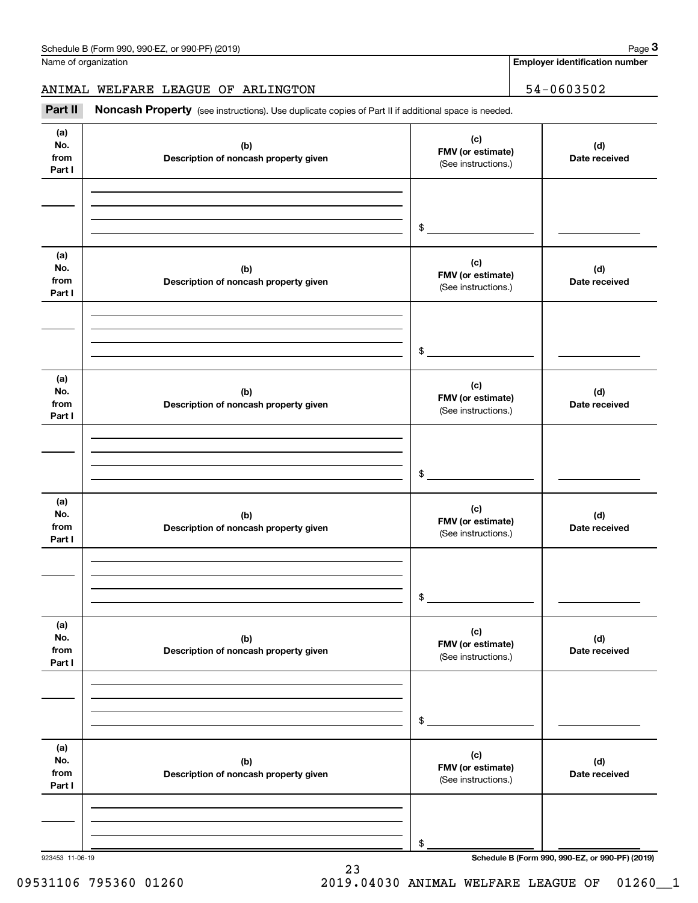**3**

**Employer identification number**

ANIMAL WELFARE LEAGUE OF ARLINGTON | 54-0603502

Part II Noncash Property (see instructions). Use duplicate copies of Part II if additional space is needed.

| (a)<br>No.<br>from<br>Part I | (b)<br>Description of noncash property given | (c)<br>FMV (or estimate)<br>(See instructions.) | (d)<br>Date received                            |
|------------------------------|----------------------------------------------|-------------------------------------------------|-------------------------------------------------|
|                              |                                              |                                                 |                                                 |
|                              |                                              | \$                                              |                                                 |
| (a)<br>No.<br>from<br>Part I | (b)<br>Description of noncash property given | (c)<br>FMV (or estimate)<br>(See instructions.) | (d)<br>Date received                            |
|                              |                                              | \$                                              |                                                 |
|                              |                                              |                                                 |                                                 |
| (a)<br>No.<br>from<br>Part I | (b)<br>Description of noncash property given | (c)<br>FMV (or estimate)<br>(See instructions.) | (d)<br>Date received                            |
|                              |                                              |                                                 |                                                 |
|                              |                                              | \$                                              |                                                 |
| (a)                          |                                              |                                                 |                                                 |
| No.<br>from<br>Part I        | (b)<br>Description of noncash property given | (c)<br>FMV (or estimate)<br>(See instructions.) | (d)<br>Date received                            |
|                              |                                              |                                                 |                                                 |
|                              |                                              |                                                 |                                                 |
|                              |                                              | \$                                              |                                                 |
| (a)<br>No.<br>from<br>Part I | (b)<br>Description of noncash property given | (c)<br>FMV (or estimate)<br>(See instructions.) | (d)<br>Date received                            |
|                              |                                              |                                                 |                                                 |
|                              |                                              |                                                 |                                                 |
|                              |                                              | \$                                              |                                                 |
| (a)                          |                                              |                                                 |                                                 |
| No.<br>from                  | (b)<br>Description of noncash property given | (c)<br>FMV (or estimate)                        | (d)<br>Date received                            |
| Part I                       |                                              | (See instructions.)                             |                                                 |
|                              |                                              |                                                 |                                                 |
|                              |                                              |                                                 |                                                 |
| 923453 11-06-19              |                                              | \$                                              | Schedule B (Form 990, 990-EZ, or 990-PF) (2019) |

23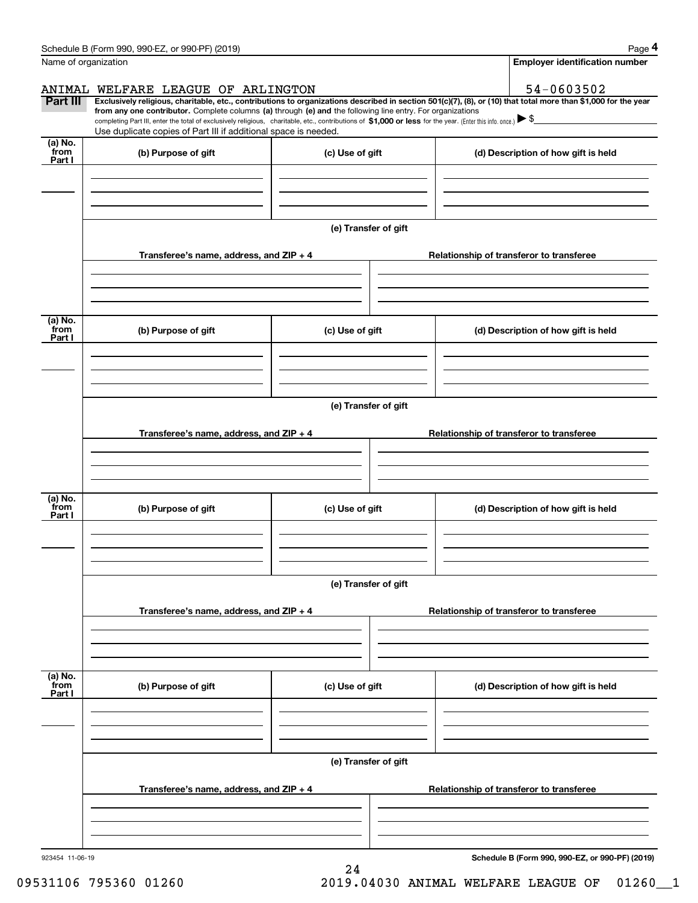| Name of organization      | Schedule B (Form 990, 990-EZ, or 990-PF) (2019)                                                                                                                                                                     |                      | Page 4<br><b>Employer identification number</b>                                                                                                                                                                                                                                                                                                              |  |  |  |
|---------------------------|---------------------------------------------------------------------------------------------------------------------------------------------------------------------------------------------------------------------|----------------------|--------------------------------------------------------------------------------------------------------------------------------------------------------------------------------------------------------------------------------------------------------------------------------------------------------------------------------------------------------------|--|--|--|
|                           |                                                                                                                                                                                                                     |                      |                                                                                                                                                                                                                                                                                                                                                              |  |  |  |
| Part III                  | ANIMAL WELFARE LEAGUE OF ARLINGTON<br>from any one contributor. Complete columns (a) through (e) and the following line entry. For organizations<br>Use duplicate copies of Part III if additional space is needed. |                      | 54-0603502<br>Exclusively religious, charitable, etc., contributions to organizations described in section 501(c)(7), (8), or (10) that total more than \$1,000 for the year<br>completing Part III, enter the total of exclusively religious, charitable, etc., contributions of \$1,000 or less for the year. (Enter this info. once.) $\triangleright$ \$ |  |  |  |
| (a) No.<br>from<br>Part I | (b) Purpose of gift                                                                                                                                                                                                 | (c) Use of gift      | (d) Description of how gift is held                                                                                                                                                                                                                                                                                                                          |  |  |  |
|                           |                                                                                                                                                                                                                     |                      |                                                                                                                                                                                                                                                                                                                                                              |  |  |  |
|                           |                                                                                                                                                                                                                     | (e) Transfer of gift |                                                                                                                                                                                                                                                                                                                                                              |  |  |  |
|                           | Transferee's name, address, and ZIP + 4                                                                                                                                                                             |                      | Relationship of transferor to transferee                                                                                                                                                                                                                                                                                                                     |  |  |  |
| (a) No.<br>from<br>Part I | (b) Purpose of gift                                                                                                                                                                                                 | (c) Use of gift      | (d) Description of how gift is held                                                                                                                                                                                                                                                                                                                          |  |  |  |
|                           |                                                                                                                                                                                                                     |                      |                                                                                                                                                                                                                                                                                                                                                              |  |  |  |
|                           | (e) Transfer of gift                                                                                                                                                                                                |                      |                                                                                                                                                                                                                                                                                                                                                              |  |  |  |
|                           | Transferee's name, address, and ZIP + 4                                                                                                                                                                             |                      | Relationship of transferor to transferee                                                                                                                                                                                                                                                                                                                     |  |  |  |
| (a) No.<br>from           | (b) Purpose of gift                                                                                                                                                                                                 | (c) Use of gift      | (d) Description of how gift is held                                                                                                                                                                                                                                                                                                                          |  |  |  |
| Part I                    |                                                                                                                                                                                                                     |                      |                                                                                                                                                                                                                                                                                                                                                              |  |  |  |
|                           |                                                                                                                                                                                                                     | (e) Transfer of gift |                                                                                                                                                                                                                                                                                                                                                              |  |  |  |
|                           | Transferee's name, address, and $ZIP + 4$                                                                                                                                                                           |                      | Relationship of transferor to transferee                                                                                                                                                                                                                                                                                                                     |  |  |  |
| (a) No.<br>from<br>Part I | (b) Purpose of gift                                                                                                                                                                                                 | (c) Use of gift      | (d) Description of how gift is held                                                                                                                                                                                                                                                                                                                          |  |  |  |
|                           |                                                                                                                                                                                                                     |                      |                                                                                                                                                                                                                                                                                                                                                              |  |  |  |
|                           | (e) Transfer of gift                                                                                                                                                                                                |                      |                                                                                                                                                                                                                                                                                                                                                              |  |  |  |
|                           | Transferee's name, address, and ZIP + 4                                                                                                                                                                             |                      | Relationship of transferor to transferee                                                                                                                                                                                                                                                                                                                     |  |  |  |
|                           |                                                                                                                                                                                                                     |                      |                                                                                                                                                                                                                                                                                                                                                              |  |  |  |
| 923454 11-06-19           |                                                                                                                                                                                                                     |                      | Schedule B (Form 990, 990-EZ, or 990-PF) (2019)                                                                                                                                                                                                                                                                                                              |  |  |  |

24

or 990-PF)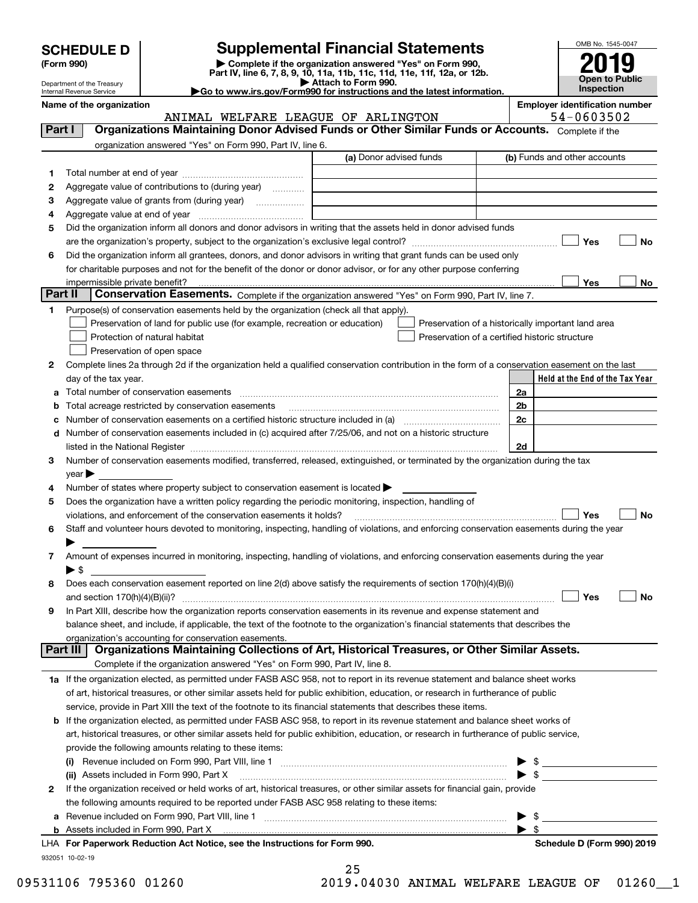| <b>SCHEDULE D</b> |  |
|-------------------|--|
|-------------------|--|

| (Form 990) |  |
|------------|--|
|------------|--|

**(Form 990) | Complete if the organization answered "Yes" on Form 990, Part IV, line 6, 7, 8, 9, 10, 11a, 11b, 11c, 11d, 11e, 11f, 12a, or 12b. SCHEDULE D Supplemental Financial Statements**<br> **Form 990**<br>
Part IV, line 6, 7, 8, 9, 10, 11a, 11b, 11c, 11d, 11e, 11f, 12a, or 12b.



Department of the Treasury Internal Revenue Service

**| Attach to Form 990. |Go to www.irs.gov/Form990 for instructions and the latest information.**

**Name of the organization Employer identification number**

ANIMAL WELFARE LEAGUE OF ARLINGTON 54-0603502

| Part I  | Organizations Maintaining Donor Advised Funds or Other Similar Funds or Accounts. Complete if the                                              |                         |                                                    |
|---------|------------------------------------------------------------------------------------------------------------------------------------------------|-------------------------|----------------------------------------------------|
|         | organization answered "Yes" on Form 990, Part IV, line 6.                                                                                      |                         |                                                    |
|         |                                                                                                                                                | (a) Donor advised funds | (b) Funds and other accounts                       |
| 1       |                                                                                                                                                |                         |                                                    |
| 2       | Aggregate value of contributions to (during year)                                                                                              |                         |                                                    |
| з       |                                                                                                                                                |                         |                                                    |
| 4       |                                                                                                                                                |                         |                                                    |
| 5       | Did the organization inform all donors and donor advisors in writing that the assets held in donor advised funds                               |                         |                                                    |
|         |                                                                                                                                                |                         | Yes<br>No                                          |
| 6       | Did the organization inform all grantees, donors, and donor advisors in writing that grant funds can be used only                              |                         |                                                    |
|         | for charitable purposes and not for the benefit of the donor or donor advisor, or for any other purpose conferring                             |                         |                                                    |
|         |                                                                                                                                                |                         | Yes<br>No                                          |
| Part II | Conservation Easements. Complete if the organization answered "Yes" on Form 990, Part IV, line 7.                                              |                         |                                                    |
| 1.      | Purpose(s) of conservation easements held by the organization (check all that apply).                                                          |                         |                                                    |
|         | Preservation of land for public use (for example, recreation or education)                                                                     |                         | Preservation of a historically important land area |
|         | Protection of natural habitat                                                                                                                  |                         | Preservation of a certified historic structure     |
|         | Preservation of open space                                                                                                                     |                         |                                                    |
| 2       | Complete lines 2a through 2d if the organization held a qualified conservation contribution in the form of a conservation easement on the last |                         |                                                    |
|         | day of the tax year.                                                                                                                           |                         | Held at the End of the Tax Year                    |
| а       | Total number of conservation easements                                                                                                         |                         | 2a                                                 |
| b       | Total acreage restricted by conservation easements                                                                                             |                         | 2 <sub>b</sub>                                     |
| с       | Number of conservation easements on a certified historic structure included in (a) manufacture included in (a)                                 |                         | 2c                                                 |
| d       | Number of conservation easements included in (c) acquired after 7/25/06, and not on a historic structure                                       |                         |                                                    |
|         |                                                                                                                                                |                         | 2d                                                 |
| 3       | Number of conservation easements modified, transferred, released, extinguished, or terminated by the organization during the tax               |                         |                                                    |
|         | year                                                                                                                                           |                         |                                                    |
| 4       | Number of states where property subject to conservation easement is located >                                                                  |                         |                                                    |
| 5       | Does the organization have a written policy regarding the periodic monitoring, inspection, handling of                                         |                         |                                                    |
|         | violations, and enforcement of the conservation easements it holds?                                                                            |                         | Yes<br>No                                          |
| 6       | Staff and volunteer hours devoted to monitoring, inspecting, handling of violations, and enforcing conservation easements during the year      |                         |                                                    |
|         |                                                                                                                                                |                         |                                                    |
| 7       | Amount of expenses incurred in monitoring, inspecting, handling of violations, and enforcing conservation easements during the year            |                         |                                                    |
|         | $\blacktriangleright$ s                                                                                                                        |                         |                                                    |
| 8       | Does each conservation easement reported on line 2(d) above satisfy the requirements of section 170(h)(4)(B)(i)                                |                         |                                                    |
|         |                                                                                                                                                |                         | Yes<br>No                                          |
| 9       | In Part XIII, describe how the organization reports conservation easements in its revenue and expense statement and                            |                         |                                                    |
|         | balance sheet, and include, if applicable, the text of the footnote to the organization's financial statements that describes the              |                         |                                                    |
|         | organization's accounting for conservation easements.                                                                                          |                         |                                                    |
|         | Organizations Maintaining Collections of Art, Historical Treasures, or Other Similar Assets.<br>Part III                                       |                         |                                                    |
|         | Complete if the organization answered "Yes" on Form 990, Part IV, line 8.                                                                      |                         |                                                    |
|         | 1a If the organization elected, as permitted under FASB ASC 958, not to report in its revenue statement and balance sheet works                |                         |                                                    |
|         | of art, historical treasures, or other similar assets held for public exhibition, education, or research in furtherance of public              |                         |                                                    |
|         | service, provide in Part XIII the text of the footnote to its financial statements that describes these items.                                 |                         |                                                    |
| b       | If the organization elected, as permitted under FASB ASC 958, to report in its revenue statement and balance sheet works of                    |                         |                                                    |
|         | art, historical treasures, or other similar assets held for public exhibition, education, or research in furtherance of public service,        |                         |                                                    |
|         | provide the following amounts relating to these items:                                                                                         |                         |                                                    |
|         |                                                                                                                                                |                         |                                                    |
|         | (ii) Assets included in Form 990, Part X                                                                                                       |                         | $\triangleright$ \$                                |
| 2       | If the organization received or held works of art, historical treasures, or other similar assets for financial gain, provide                   |                         |                                                    |
|         | the following amounts required to be reported under FASB ASC 958 relating to these items:                                                      |                         |                                                    |
|         |                                                                                                                                                |                         | \$                                                 |
|         |                                                                                                                                                |                         | $\blacktriangleright$ \$                           |
|         | LHA For Paperwork Reduction Act Notice, see the Instructions for Form 990.                                                                     |                         | Schedule D (Form 990) 2019                         |
|         | 932051 10-02-19                                                                                                                                |                         |                                                    |

| 09531106 795360 01260 | 2019.04030 ANIMAL WELFARE LEAGUE OF 01260 1 |  |  |  |
|-----------------------|---------------------------------------------|--|--|--|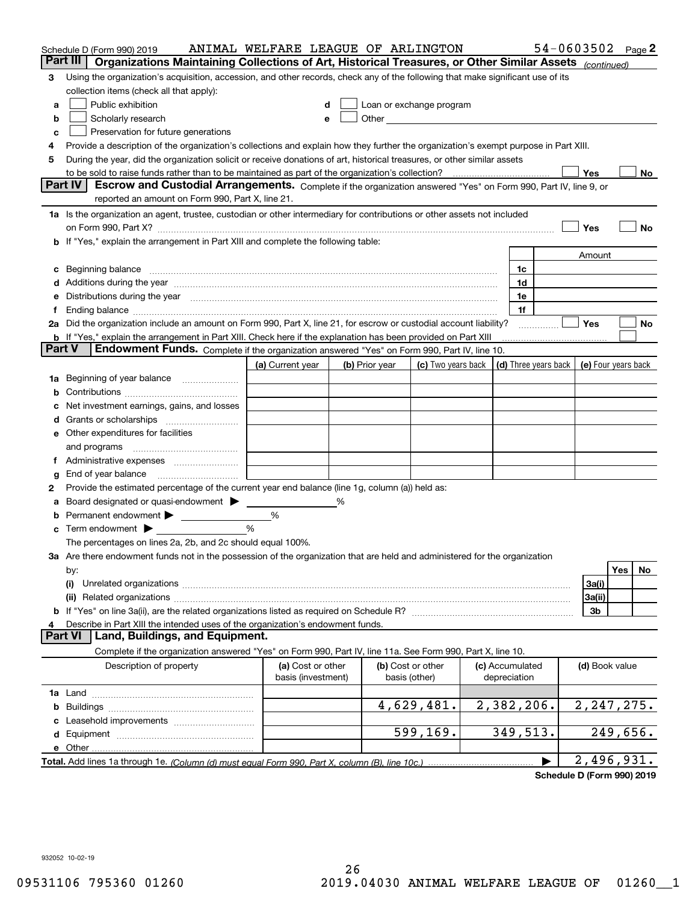| Part III<br>Organizations Maintaining Collections of Art, Historical Treasures, or Other Similar Assets (continued)<br>Using the organization's acquisition, accession, and other records, check any of the following that make significant use of its<br>3<br>collection items (check all that apply):<br>Public exhibition<br>Loan or exchange program<br>a<br>Other and the contract of the contract of the contract of the contract of the contract of the contract of the contract of the contract of the contract of the contract of the contract of the contract of the contract of the<br>Scholarly research<br>b<br>Preservation for future generations<br>с<br>Provide a description of the organization's collections and explain how they further the organization's exempt purpose in Part XIII.<br>4<br>During the year, did the organization solicit or receive donations of art, historical treasures, or other similar assets<br>5<br>to be sold to raise funds rather than to be maintained as part of the organization's collection?<br>Yes<br>No<br><b>Part IV</b><br>Escrow and Custodial Arrangements. Complete if the organization answered "Yes" on Form 990, Part IV, line 9, or<br>reported an amount on Form 990, Part X, line 21.<br>1a Is the organization an agent, trustee, custodian or other intermediary for contributions or other assets not included<br>Yes<br>No<br>on Form 990, Part X? <b>Entitled Structure Construction</b> Construction Construction Construction Construction Const<br>If "Yes," explain the arrangement in Part XIII and complete the following table:<br>b<br>Amount<br>Beginning balance manufactured and contain an account of the state of the state of the state of the state of the state of the state of the state of the state of the state of the state of the state of the state of the state<br>1c<br>с<br>1d<br>Additions during the year manufactured and an account of the year manufactured and account of the year manufactured and account of the state of the state of the state of the state of the state of the state of the state of<br>1e<br>Distributions during the year manufactured and contain an account of the year manufactured and the year manufactured and the year manufactured and the year manufactured and the year manufactured and the year manufactured a<br>е<br>1f<br>Ending balance measurements are all the contract of the contract of the contract of the contract of the contract of the contract of the contract of the contract of the contract of the contract of the contract of the contra<br>Ť.<br>2a Did the organization include an amount on Form 990, Part X, line 21, for escrow or custodial account liability?<br>Yes<br>No<br>.<br><b>b</b> If "Yes," explain the arrangement in Part XIII. Check here if the explanation has been provided on Part XIII<br><b>Part V</b><br>Endowment Funds. Complete if the organization answered "Yes" on Form 990, Part IV, line 10.<br>(d) Three years back<br>(c) Two years back<br>(e) Four years back<br>(a) Current year<br>(b) Prior year<br>Beginning of year balance<br>1a<br>b<br>Net investment earnings, gains, and losses<br>a<br>e Other expenditures for facilities<br>and programs<br>End of year balance<br>g<br>Provide the estimated percentage of the current year end balance (line 1g, column (a)) held as:<br>2<br>Board designated or quasi-endowment<br>%<br>а<br>Permanent endowment > 1<br>%<br>%<br>Term endowment $\blacktriangleright$<br>с<br>The percentages on lines 2a, 2b, and 2c should equal 100%.<br>3a Are there endowment funds not in the possession of the organization that are held and administered for the organization<br>Yes<br>No.<br>by:<br>3a(i)<br>(i)<br>3a(ii)<br>3b<br>Describe in Part XIII the intended uses of the organization's endowment funds.<br>Land, Buildings, and Equipment.<br><b>Part VI</b><br>Complete if the organization answered "Yes" on Form 990, Part IV, line 11a. See Form 990, Part X, line 10.<br>Description of property<br>(a) Cost or other<br>(b) Cost or other<br>(c) Accumulated<br>(d) Book value<br>basis (investment)<br>basis (other)<br>depreciation<br>4,629,481.<br>2,382,206.<br>2, 247, 275.<br>b<br>Leasehold improvements<br>599,169.<br>349,513.<br>249,656.<br>e Other<br>2,496,931. | Schedule D (Form 990) 2019 | ANIMAL WELFARE LEAGUE OF ARLINGTON |  |  |  | 54-0603502 | Page $2$ |
|-------------------------------------------------------------------------------------------------------------------------------------------------------------------------------------------------------------------------------------------------------------------------------------------------------------------------------------------------------------------------------------------------------------------------------------------------------------------------------------------------------------------------------------------------------------------------------------------------------------------------------------------------------------------------------------------------------------------------------------------------------------------------------------------------------------------------------------------------------------------------------------------------------------------------------------------------------------------------------------------------------------------------------------------------------------------------------------------------------------------------------------------------------------------------------------------------------------------------------------------------------------------------------------------------------------------------------------------------------------------------------------------------------------------------------------------------------------------------------------------------------------------------------------------------------------------------------------------------------------------------------------------------------------------------------------------------------------------------------------------------------------------------------------------------------------------------------------------------------------------------------------------------------------------------------------------------------------------------------------------------------------------------------------------------------------------------------------------------------------------------------------------------------------------------------------------------------------------------------------------------------------------------------------------------------------------------------------------------------------------------------------------------------------------------------------------------------------------------------------------------------------------------------------------------------------------------------------------------------------------------------------------------------------------------------------------------------------------------------------------------------------------------------------------------------------------------------------------------------------------------------------------------------------------------------------------------------------------------------------------------------------------------------------------------------------------------------------------------------------------------------------------------------------------------------------------------------------------------------------------------------------------------------------------------------------------------------------------------------------------------------------------------------------------------------------------------------------------------------------------------------------------------------------------------------------------------------------------------------------------------------------------------------------------------------------------------------------------------------------------------------------------------------------------------------------------------------------------------------------------------------------------------------------------------------------------------------------------------------------------------------------------------------------------------------------------------------------------------------------------------------------------------------------------------------------------------------------------------------------------------------------------------------------------------------------------------------------------------------|----------------------------|------------------------------------|--|--|--|------------|----------|
|                                                                                                                                                                                                                                                                                                                                                                                                                                                                                                                                                                                                                                                                                                                                                                                                                                                                                                                                                                                                                                                                                                                                                                                                                                                                                                                                                                                                                                                                                                                                                                                                                                                                                                                                                                                                                                                                                                                                                                                                                                                                                                                                                                                                                                                                                                                                                                                                                                                                                                                                                                                                                                                                                                                                                                                                                                                                                                                                                                                                                                                                                                                                                                                                                                                                                                                                                                                                                                                                                                                                                                                                                                                                                                                                                                                                                                                                                                                                                                                                                                                                                                                                                                                                                                                                                                                                                       |                            |                                    |  |  |  |            |          |
|                                                                                                                                                                                                                                                                                                                                                                                                                                                                                                                                                                                                                                                                                                                                                                                                                                                                                                                                                                                                                                                                                                                                                                                                                                                                                                                                                                                                                                                                                                                                                                                                                                                                                                                                                                                                                                                                                                                                                                                                                                                                                                                                                                                                                                                                                                                                                                                                                                                                                                                                                                                                                                                                                                                                                                                                                                                                                                                                                                                                                                                                                                                                                                                                                                                                                                                                                                                                                                                                                                                                                                                                                                                                                                                                                                                                                                                                                                                                                                                                                                                                                                                                                                                                                                                                                                                                                       |                            |                                    |  |  |  |            |          |
|                                                                                                                                                                                                                                                                                                                                                                                                                                                                                                                                                                                                                                                                                                                                                                                                                                                                                                                                                                                                                                                                                                                                                                                                                                                                                                                                                                                                                                                                                                                                                                                                                                                                                                                                                                                                                                                                                                                                                                                                                                                                                                                                                                                                                                                                                                                                                                                                                                                                                                                                                                                                                                                                                                                                                                                                                                                                                                                                                                                                                                                                                                                                                                                                                                                                                                                                                                                                                                                                                                                                                                                                                                                                                                                                                                                                                                                                                                                                                                                                                                                                                                                                                                                                                                                                                                                                                       |                            |                                    |  |  |  |            |          |
|                                                                                                                                                                                                                                                                                                                                                                                                                                                                                                                                                                                                                                                                                                                                                                                                                                                                                                                                                                                                                                                                                                                                                                                                                                                                                                                                                                                                                                                                                                                                                                                                                                                                                                                                                                                                                                                                                                                                                                                                                                                                                                                                                                                                                                                                                                                                                                                                                                                                                                                                                                                                                                                                                                                                                                                                                                                                                                                                                                                                                                                                                                                                                                                                                                                                                                                                                                                                                                                                                                                                                                                                                                                                                                                                                                                                                                                                                                                                                                                                                                                                                                                                                                                                                                                                                                                                                       |                            |                                    |  |  |  |            |          |
|                                                                                                                                                                                                                                                                                                                                                                                                                                                                                                                                                                                                                                                                                                                                                                                                                                                                                                                                                                                                                                                                                                                                                                                                                                                                                                                                                                                                                                                                                                                                                                                                                                                                                                                                                                                                                                                                                                                                                                                                                                                                                                                                                                                                                                                                                                                                                                                                                                                                                                                                                                                                                                                                                                                                                                                                                                                                                                                                                                                                                                                                                                                                                                                                                                                                                                                                                                                                                                                                                                                                                                                                                                                                                                                                                                                                                                                                                                                                                                                                                                                                                                                                                                                                                                                                                                                                                       |                            |                                    |  |  |  |            |          |
|                                                                                                                                                                                                                                                                                                                                                                                                                                                                                                                                                                                                                                                                                                                                                                                                                                                                                                                                                                                                                                                                                                                                                                                                                                                                                                                                                                                                                                                                                                                                                                                                                                                                                                                                                                                                                                                                                                                                                                                                                                                                                                                                                                                                                                                                                                                                                                                                                                                                                                                                                                                                                                                                                                                                                                                                                                                                                                                                                                                                                                                                                                                                                                                                                                                                                                                                                                                                                                                                                                                                                                                                                                                                                                                                                                                                                                                                                                                                                                                                                                                                                                                                                                                                                                                                                                                                                       |                            |                                    |  |  |  |            |          |
|                                                                                                                                                                                                                                                                                                                                                                                                                                                                                                                                                                                                                                                                                                                                                                                                                                                                                                                                                                                                                                                                                                                                                                                                                                                                                                                                                                                                                                                                                                                                                                                                                                                                                                                                                                                                                                                                                                                                                                                                                                                                                                                                                                                                                                                                                                                                                                                                                                                                                                                                                                                                                                                                                                                                                                                                                                                                                                                                                                                                                                                                                                                                                                                                                                                                                                                                                                                                                                                                                                                                                                                                                                                                                                                                                                                                                                                                                                                                                                                                                                                                                                                                                                                                                                                                                                                                                       |                            |                                    |  |  |  |            |          |
|                                                                                                                                                                                                                                                                                                                                                                                                                                                                                                                                                                                                                                                                                                                                                                                                                                                                                                                                                                                                                                                                                                                                                                                                                                                                                                                                                                                                                                                                                                                                                                                                                                                                                                                                                                                                                                                                                                                                                                                                                                                                                                                                                                                                                                                                                                                                                                                                                                                                                                                                                                                                                                                                                                                                                                                                                                                                                                                                                                                                                                                                                                                                                                                                                                                                                                                                                                                                                                                                                                                                                                                                                                                                                                                                                                                                                                                                                                                                                                                                                                                                                                                                                                                                                                                                                                                                                       |                            |                                    |  |  |  |            |          |
|                                                                                                                                                                                                                                                                                                                                                                                                                                                                                                                                                                                                                                                                                                                                                                                                                                                                                                                                                                                                                                                                                                                                                                                                                                                                                                                                                                                                                                                                                                                                                                                                                                                                                                                                                                                                                                                                                                                                                                                                                                                                                                                                                                                                                                                                                                                                                                                                                                                                                                                                                                                                                                                                                                                                                                                                                                                                                                                                                                                                                                                                                                                                                                                                                                                                                                                                                                                                                                                                                                                                                                                                                                                                                                                                                                                                                                                                                                                                                                                                                                                                                                                                                                                                                                                                                                                                                       |                            |                                    |  |  |  |            |          |
|                                                                                                                                                                                                                                                                                                                                                                                                                                                                                                                                                                                                                                                                                                                                                                                                                                                                                                                                                                                                                                                                                                                                                                                                                                                                                                                                                                                                                                                                                                                                                                                                                                                                                                                                                                                                                                                                                                                                                                                                                                                                                                                                                                                                                                                                                                                                                                                                                                                                                                                                                                                                                                                                                                                                                                                                                                                                                                                                                                                                                                                                                                                                                                                                                                                                                                                                                                                                                                                                                                                                                                                                                                                                                                                                                                                                                                                                                                                                                                                                                                                                                                                                                                                                                                                                                                                                                       |                            |                                    |  |  |  |            |          |
|                                                                                                                                                                                                                                                                                                                                                                                                                                                                                                                                                                                                                                                                                                                                                                                                                                                                                                                                                                                                                                                                                                                                                                                                                                                                                                                                                                                                                                                                                                                                                                                                                                                                                                                                                                                                                                                                                                                                                                                                                                                                                                                                                                                                                                                                                                                                                                                                                                                                                                                                                                                                                                                                                                                                                                                                                                                                                                                                                                                                                                                                                                                                                                                                                                                                                                                                                                                                                                                                                                                                                                                                                                                                                                                                                                                                                                                                                                                                                                                                                                                                                                                                                                                                                                                                                                                                                       |                            |                                    |  |  |  |            |          |
|                                                                                                                                                                                                                                                                                                                                                                                                                                                                                                                                                                                                                                                                                                                                                                                                                                                                                                                                                                                                                                                                                                                                                                                                                                                                                                                                                                                                                                                                                                                                                                                                                                                                                                                                                                                                                                                                                                                                                                                                                                                                                                                                                                                                                                                                                                                                                                                                                                                                                                                                                                                                                                                                                                                                                                                                                                                                                                                                                                                                                                                                                                                                                                                                                                                                                                                                                                                                                                                                                                                                                                                                                                                                                                                                                                                                                                                                                                                                                                                                                                                                                                                                                                                                                                                                                                                                                       |                            |                                    |  |  |  |            |          |
|                                                                                                                                                                                                                                                                                                                                                                                                                                                                                                                                                                                                                                                                                                                                                                                                                                                                                                                                                                                                                                                                                                                                                                                                                                                                                                                                                                                                                                                                                                                                                                                                                                                                                                                                                                                                                                                                                                                                                                                                                                                                                                                                                                                                                                                                                                                                                                                                                                                                                                                                                                                                                                                                                                                                                                                                                                                                                                                                                                                                                                                                                                                                                                                                                                                                                                                                                                                                                                                                                                                                                                                                                                                                                                                                                                                                                                                                                                                                                                                                                                                                                                                                                                                                                                                                                                                                                       |                            |                                    |  |  |  |            |          |
|                                                                                                                                                                                                                                                                                                                                                                                                                                                                                                                                                                                                                                                                                                                                                                                                                                                                                                                                                                                                                                                                                                                                                                                                                                                                                                                                                                                                                                                                                                                                                                                                                                                                                                                                                                                                                                                                                                                                                                                                                                                                                                                                                                                                                                                                                                                                                                                                                                                                                                                                                                                                                                                                                                                                                                                                                                                                                                                                                                                                                                                                                                                                                                                                                                                                                                                                                                                                                                                                                                                                                                                                                                                                                                                                                                                                                                                                                                                                                                                                                                                                                                                                                                                                                                                                                                                                                       |                            |                                    |  |  |  |            |          |
|                                                                                                                                                                                                                                                                                                                                                                                                                                                                                                                                                                                                                                                                                                                                                                                                                                                                                                                                                                                                                                                                                                                                                                                                                                                                                                                                                                                                                                                                                                                                                                                                                                                                                                                                                                                                                                                                                                                                                                                                                                                                                                                                                                                                                                                                                                                                                                                                                                                                                                                                                                                                                                                                                                                                                                                                                                                                                                                                                                                                                                                                                                                                                                                                                                                                                                                                                                                                                                                                                                                                                                                                                                                                                                                                                                                                                                                                                                                                                                                                                                                                                                                                                                                                                                                                                                                                                       |                            |                                    |  |  |  |            |          |
|                                                                                                                                                                                                                                                                                                                                                                                                                                                                                                                                                                                                                                                                                                                                                                                                                                                                                                                                                                                                                                                                                                                                                                                                                                                                                                                                                                                                                                                                                                                                                                                                                                                                                                                                                                                                                                                                                                                                                                                                                                                                                                                                                                                                                                                                                                                                                                                                                                                                                                                                                                                                                                                                                                                                                                                                                                                                                                                                                                                                                                                                                                                                                                                                                                                                                                                                                                                                                                                                                                                                                                                                                                                                                                                                                                                                                                                                                                                                                                                                                                                                                                                                                                                                                                                                                                                                                       |                            |                                    |  |  |  |            |          |
|                                                                                                                                                                                                                                                                                                                                                                                                                                                                                                                                                                                                                                                                                                                                                                                                                                                                                                                                                                                                                                                                                                                                                                                                                                                                                                                                                                                                                                                                                                                                                                                                                                                                                                                                                                                                                                                                                                                                                                                                                                                                                                                                                                                                                                                                                                                                                                                                                                                                                                                                                                                                                                                                                                                                                                                                                                                                                                                                                                                                                                                                                                                                                                                                                                                                                                                                                                                                                                                                                                                                                                                                                                                                                                                                                                                                                                                                                                                                                                                                                                                                                                                                                                                                                                                                                                                                                       |                            |                                    |  |  |  |            |          |
|                                                                                                                                                                                                                                                                                                                                                                                                                                                                                                                                                                                                                                                                                                                                                                                                                                                                                                                                                                                                                                                                                                                                                                                                                                                                                                                                                                                                                                                                                                                                                                                                                                                                                                                                                                                                                                                                                                                                                                                                                                                                                                                                                                                                                                                                                                                                                                                                                                                                                                                                                                                                                                                                                                                                                                                                                                                                                                                                                                                                                                                                                                                                                                                                                                                                                                                                                                                                                                                                                                                                                                                                                                                                                                                                                                                                                                                                                                                                                                                                                                                                                                                                                                                                                                                                                                                                                       |                            |                                    |  |  |  |            |          |
|                                                                                                                                                                                                                                                                                                                                                                                                                                                                                                                                                                                                                                                                                                                                                                                                                                                                                                                                                                                                                                                                                                                                                                                                                                                                                                                                                                                                                                                                                                                                                                                                                                                                                                                                                                                                                                                                                                                                                                                                                                                                                                                                                                                                                                                                                                                                                                                                                                                                                                                                                                                                                                                                                                                                                                                                                                                                                                                                                                                                                                                                                                                                                                                                                                                                                                                                                                                                                                                                                                                                                                                                                                                                                                                                                                                                                                                                                                                                                                                                                                                                                                                                                                                                                                                                                                                                                       |                            |                                    |  |  |  |            |          |
|                                                                                                                                                                                                                                                                                                                                                                                                                                                                                                                                                                                                                                                                                                                                                                                                                                                                                                                                                                                                                                                                                                                                                                                                                                                                                                                                                                                                                                                                                                                                                                                                                                                                                                                                                                                                                                                                                                                                                                                                                                                                                                                                                                                                                                                                                                                                                                                                                                                                                                                                                                                                                                                                                                                                                                                                                                                                                                                                                                                                                                                                                                                                                                                                                                                                                                                                                                                                                                                                                                                                                                                                                                                                                                                                                                                                                                                                                                                                                                                                                                                                                                                                                                                                                                                                                                                                                       |                            |                                    |  |  |  |            |          |
|                                                                                                                                                                                                                                                                                                                                                                                                                                                                                                                                                                                                                                                                                                                                                                                                                                                                                                                                                                                                                                                                                                                                                                                                                                                                                                                                                                                                                                                                                                                                                                                                                                                                                                                                                                                                                                                                                                                                                                                                                                                                                                                                                                                                                                                                                                                                                                                                                                                                                                                                                                                                                                                                                                                                                                                                                                                                                                                                                                                                                                                                                                                                                                                                                                                                                                                                                                                                                                                                                                                                                                                                                                                                                                                                                                                                                                                                                                                                                                                                                                                                                                                                                                                                                                                                                                                                                       |                            |                                    |  |  |  |            |          |
|                                                                                                                                                                                                                                                                                                                                                                                                                                                                                                                                                                                                                                                                                                                                                                                                                                                                                                                                                                                                                                                                                                                                                                                                                                                                                                                                                                                                                                                                                                                                                                                                                                                                                                                                                                                                                                                                                                                                                                                                                                                                                                                                                                                                                                                                                                                                                                                                                                                                                                                                                                                                                                                                                                                                                                                                                                                                                                                                                                                                                                                                                                                                                                                                                                                                                                                                                                                                                                                                                                                                                                                                                                                                                                                                                                                                                                                                                                                                                                                                                                                                                                                                                                                                                                                                                                                                                       |                            |                                    |  |  |  |            |          |
|                                                                                                                                                                                                                                                                                                                                                                                                                                                                                                                                                                                                                                                                                                                                                                                                                                                                                                                                                                                                                                                                                                                                                                                                                                                                                                                                                                                                                                                                                                                                                                                                                                                                                                                                                                                                                                                                                                                                                                                                                                                                                                                                                                                                                                                                                                                                                                                                                                                                                                                                                                                                                                                                                                                                                                                                                                                                                                                                                                                                                                                                                                                                                                                                                                                                                                                                                                                                                                                                                                                                                                                                                                                                                                                                                                                                                                                                                                                                                                                                                                                                                                                                                                                                                                                                                                                                                       |                            |                                    |  |  |  |            |          |
|                                                                                                                                                                                                                                                                                                                                                                                                                                                                                                                                                                                                                                                                                                                                                                                                                                                                                                                                                                                                                                                                                                                                                                                                                                                                                                                                                                                                                                                                                                                                                                                                                                                                                                                                                                                                                                                                                                                                                                                                                                                                                                                                                                                                                                                                                                                                                                                                                                                                                                                                                                                                                                                                                                                                                                                                                                                                                                                                                                                                                                                                                                                                                                                                                                                                                                                                                                                                                                                                                                                                                                                                                                                                                                                                                                                                                                                                                                                                                                                                                                                                                                                                                                                                                                                                                                                                                       |                            |                                    |  |  |  |            |          |
|                                                                                                                                                                                                                                                                                                                                                                                                                                                                                                                                                                                                                                                                                                                                                                                                                                                                                                                                                                                                                                                                                                                                                                                                                                                                                                                                                                                                                                                                                                                                                                                                                                                                                                                                                                                                                                                                                                                                                                                                                                                                                                                                                                                                                                                                                                                                                                                                                                                                                                                                                                                                                                                                                                                                                                                                                                                                                                                                                                                                                                                                                                                                                                                                                                                                                                                                                                                                                                                                                                                                                                                                                                                                                                                                                                                                                                                                                                                                                                                                                                                                                                                                                                                                                                                                                                                                                       |                            |                                    |  |  |  |            |          |
|                                                                                                                                                                                                                                                                                                                                                                                                                                                                                                                                                                                                                                                                                                                                                                                                                                                                                                                                                                                                                                                                                                                                                                                                                                                                                                                                                                                                                                                                                                                                                                                                                                                                                                                                                                                                                                                                                                                                                                                                                                                                                                                                                                                                                                                                                                                                                                                                                                                                                                                                                                                                                                                                                                                                                                                                                                                                                                                                                                                                                                                                                                                                                                                                                                                                                                                                                                                                                                                                                                                                                                                                                                                                                                                                                                                                                                                                                                                                                                                                                                                                                                                                                                                                                                                                                                                                                       |                            |                                    |  |  |  |            |          |
|                                                                                                                                                                                                                                                                                                                                                                                                                                                                                                                                                                                                                                                                                                                                                                                                                                                                                                                                                                                                                                                                                                                                                                                                                                                                                                                                                                                                                                                                                                                                                                                                                                                                                                                                                                                                                                                                                                                                                                                                                                                                                                                                                                                                                                                                                                                                                                                                                                                                                                                                                                                                                                                                                                                                                                                                                                                                                                                                                                                                                                                                                                                                                                                                                                                                                                                                                                                                                                                                                                                                                                                                                                                                                                                                                                                                                                                                                                                                                                                                                                                                                                                                                                                                                                                                                                                                                       |                            |                                    |  |  |  |            |          |
|                                                                                                                                                                                                                                                                                                                                                                                                                                                                                                                                                                                                                                                                                                                                                                                                                                                                                                                                                                                                                                                                                                                                                                                                                                                                                                                                                                                                                                                                                                                                                                                                                                                                                                                                                                                                                                                                                                                                                                                                                                                                                                                                                                                                                                                                                                                                                                                                                                                                                                                                                                                                                                                                                                                                                                                                                                                                                                                                                                                                                                                                                                                                                                                                                                                                                                                                                                                                                                                                                                                                                                                                                                                                                                                                                                                                                                                                                                                                                                                                                                                                                                                                                                                                                                                                                                                                                       |                            |                                    |  |  |  |            |          |
|                                                                                                                                                                                                                                                                                                                                                                                                                                                                                                                                                                                                                                                                                                                                                                                                                                                                                                                                                                                                                                                                                                                                                                                                                                                                                                                                                                                                                                                                                                                                                                                                                                                                                                                                                                                                                                                                                                                                                                                                                                                                                                                                                                                                                                                                                                                                                                                                                                                                                                                                                                                                                                                                                                                                                                                                                                                                                                                                                                                                                                                                                                                                                                                                                                                                                                                                                                                                                                                                                                                                                                                                                                                                                                                                                                                                                                                                                                                                                                                                                                                                                                                                                                                                                                                                                                                                                       |                            |                                    |  |  |  |            |          |
|                                                                                                                                                                                                                                                                                                                                                                                                                                                                                                                                                                                                                                                                                                                                                                                                                                                                                                                                                                                                                                                                                                                                                                                                                                                                                                                                                                                                                                                                                                                                                                                                                                                                                                                                                                                                                                                                                                                                                                                                                                                                                                                                                                                                                                                                                                                                                                                                                                                                                                                                                                                                                                                                                                                                                                                                                                                                                                                                                                                                                                                                                                                                                                                                                                                                                                                                                                                                                                                                                                                                                                                                                                                                                                                                                                                                                                                                                                                                                                                                                                                                                                                                                                                                                                                                                                                                                       |                            |                                    |  |  |  |            |          |
|                                                                                                                                                                                                                                                                                                                                                                                                                                                                                                                                                                                                                                                                                                                                                                                                                                                                                                                                                                                                                                                                                                                                                                                                                                                                                                                                                                                                                                                                                                                                                                                                                                                                                                                                                                                                                                                                                                                                                                                                                                                                                                                                                                                                                                                                                                                                                                                                                                                                                                                                                                                                                                                                                                                                                                                                                                                                                                                                                                                                                                                                                                                                                                                                                                                                                                                                                                                                                                                                                                                                                                                                                                                                                                                                                                                                                                                                                                                                                                                                                                                                                                                                                                                                                                                                                                                                                       |                            |                                    |  |  |  |            |          |
|                                                                                                                                                                                                                                                                                                                                                                                                                                                                                                                                                                                                                                                                                                                                                                                                                                                                                                                                                                                                                                                                                                                                                                                                                                                                                                                                                                                                                                                                                                                                                                                                                                                                                                                                                                                                                                                                                                                                                                                                                                                                                                                                                                                                                                                                                                                                                                                                                                                                                                                                                                                                                                                                                                                                                                                                                                                                                                                                                                                                                                                                                                                                                                                                                                                                                                                                                                                                                                                                                                                                                                                                                                                                                                                                                                                                                                                                                                                                                                                                                                                                                                                                                                                                                                                                                                                                                       |                            |                                    |  |  |  |            |          |
|                                                                                                                                                                                                                                                                                                                                                                                                                                                                                                                                                                                                                                                                                                                                                                                                                                                                                                                                                                                                                                                                                                                                                                                                                                                                                                                                                                                                                                                                                                                                                                                                                                                                                                                                                                                                                                                                                                                                                                                                                                                                                                                                                                                                                                                                                                                                                                                                                                                                                                                                                                                                                                                                                                                                                                                                                                                                                                                                                                                                                                                                                                                                                                                                                                                                                                                                                                                                                                                                                                                                                                                                                                                                                                                                                                                                                                                                                                                                                                                                                                                                                                                                                                                                                                                                                                                                                       |                            |                                    |  |  |  |            |          |
|                                                                                                                                                                                                                                                                                                                                                                                                                                                                                                                                                                                                                                                                                                                                                                                                                                                                                                                                                                                                                                                                                                                                                                                                                                                                                                                                                                                                                                                                                                                                                                                                                                                                                                                                                                                                                                                                                                                                                                                                                                                                                                                                                                                                                                                                                                                                                                                                                                                                                                                                                                                                                                                                                                                                                                                                                                                                                                                                                                                                                                                                                                                                                                                                                                                                                                                                                                                                                                                                                                                                                                                                                                                                                                                                                                                                                                                                                                                                                                                                                                                                                                                                                                                                                                                                                                                                                       |                            |                                    |  |  |  |            |          |
|                                                                                                                                                                                                                                                                                                                                                                                                                                                                                                                                                                                                                                                                                                                                                                                                                                                                                                                                                                                                                                                                                                                                                                                                                                                                                                                                                                                                                                                                                                                                                                                                                                                                                                                                                                                                                                                                                                                                                                                                                                                                                                                                                                                                                                                                                                                                                                                                                                                                                                                                                                                                                                                                                                                                                                                                                                                                                                                                                                                                                                                                                                                                                                                                                                                                                                                                                                                                                                                                                                                                                                                                                                                                                                                                                                                                                                                                                                                                                                                                                                                                                                                                                                                                                                                                                                                                                       |                            |                                    |  |  |  |            |          |
|                                                                                                                                                                                                                                                                                                                                                                                                                                                                                                                                                                                                                                                                                                                                                                                                                                                                                                                                                                                                                                                                                                                                                                                                                                                                                                                                                                                                                                                                                                                                                                                                                                                                                                                                                                                                                                                                                                                                                                                                                                                                                                                                                                                                                                                                                                                                                                                                                                                                                                                                                                                                                                                                                                                                                                                                                                                                                                                                                                                                                                                                                                                                                                                                                                                                                                                                                                                                                                                                                                                                                                                                                                                                                                                                                                                                                                                                                                                                                                                                                                                                                                                                                                                                                                                                                                                                                       |                            |                                    |  |  |  |            |          |
|                                                                                                                                                                                                                                                                                                                                                                                                                                                                                                                                                                                                                                                                                                                                                                                                                                                                                                                                                                                                                                                                                                                                                                                                                                                                                                                                                                                                                                                                                                                                                                                                                                                                                                                                                                                                                                                                                                                                                                                                                                                                                                                                                                                                                                                                                                                                                                                                                                                                                                                                                                                                                                                                                                                                                                                                                                                                                                                                                                                                                                                                                                                                                                                                                                                                                                                                                                                                                                                                                                                                                                                                                                                                                                                                                                                                                                                                                                                                                                                                                                                                                                                                                                                                                                                                                                                                                       |                            |                                    |  |  |  |            |          |
|                                                                                                                                                                                                                                                                                                                                                                                                                                                                                                                                                                                                                                                                                                                                                                                                                                                                                                                                                                                                                                                                                                                                                                                                                                                                                                                                                                                                                                                                                                                                                                                                                                                                                                                                                                                                                                                                                                                                                                                                                                                                                                                                                                                                                                                                                                                                                                                                                                                                                                                                                                                                                                                                                                                                                                                                                                                                                                                                                                                                                                                                                                                                                                                                                                                                                                                                                                                                                                                                                                                                                                                                                                                                                                                                                                                                                                                                                                                                                                                                                                                                                                                                                                                                                                                                                                                                                       |                            |                                    |  |  |  |            |          |
|                                                                                                                                                                                                                                                                                                                                                                                                                                                                                                                                                                                                                                                                                                                                                                                                                                                                                                                                                                                                                                                                                                                                                                                                                                                                                                                                                                                                                                                                                                                                                                                                                                                                                                                                                                                                                                                                                                                                                                                                                                                                                                                                                                                                                                                                                                                                                                                                                                                                                                                                                                                                                                                                                                                                                                                                                                                                                                                                                                                                                                                                                                                                                                                                                                                                                                                                                                                                                                                                                                                                                                                                                                                                                                                                                                                                                                                                                                                                                                                                                                                                                                                                                                                                                                                                                                                                                       |                            |                                    |  |  |  |            |          |
|                                                                                                                                                                                                                                                                                                                                                                                                                                                                                                                                                                                                                                                                                                                                                                                                                                                                                                                                                                                                                                                                                                                                                                                                                                                                                                                                                                                                                                                                                                                                                                                                                                                                                                                                                                                                                                                                                                                                                                                                                                                                                                                                                                                                                                                                                                                                                                                                                                                                                                                                                                                                                                                                                                                                                                                                                                                                                                                                                                                                                                                                                                                                                                                                                                                                                                                                                                                                                                                                                                                                                                                                                                                                                                                                                                                                                                                                                                                                                                                                                                                                                                                                                                                                                                                                                                                                                       |                            |                                    |  |  |  |            |          |
|                                                                                                                                                                                                                                                                                                                                                                                                                                                                                                                                                                                                                                                                                                                                                                                                                                                                                                                                                                                                                                                                                                                                                                                                                                                                                                                                                                                                                                                                                                                                                                                                                                                                                                                                                                                                                                                                                                                                                                                                                                                                                                                                                                                                                                                                                                                                                                                                                                                                                                                                                                                                                                                                                                                                                                                                                                                                                                                                                                                                                                                                                                                                                                                                                                                                                                                                                                                                                                                                                                                                                                                                                                                                                                                                                                                                                                                                                                                                                                                                                                                                                                                                                                                                                                                                                                                                                       |                            |                                    |  |  |  |            |          |
|                                                                                                                                                                                                                                                                                                                                                                                                                                                                                                                                                                                                                                                                                                                                                                                                                                                                                                                                                                                                                                                                                                                                                                                                                                                                                                                                                                                                                                                                                                                                                                                                                                                                                                                                                                                                                                                                                                                                                                                                                                                                                                                                                                                                                                                                                                                                                                                                                                                                                                                                                                                                                                                                                                                                                                                                                                                                                                                                                                                                                                                                                                                                                                                                                                                                                                                                                                                                                                                                                                                                                                                                                                                                                                                                                                                                                                                                                                                                                                                                                                                                                                                                                                                                                                                                                                                                                       |                            |                                    |  |  |  |            |          |
|                                                                                                                                                                                                                                                                                                                                                                                                                                                                                                                                                                                                                                                                                                                                                                                                                                                                                                                                                                                                                                                                                                                                                                                                                                                                                                                                                                                                                                                                                                                                                                                                                                                                                                                                                                                                                                                                                                                                                                                                                                                                                                                                                                                                                                                                                                                                                                                                                                                                                                                                                                                                                                                                                                                                                                                                                                                                                                                                                                                                                                                                                                                                                                                                                                                                                                                                                                                                                                                                                                                                                                                                                                                                                                                                                                                                                                                                                                                                                                                                                                                                                                                                                                                                                                                                                                                                                       |                            |                                    |  |  |  |            |          |
|                                                                                                                                                                                                                                                                                                                                                                                                                                                                                                                                                                                                                                                                                                                                                                                                                                                                                                                                                                                                                                                                                                                                                                                                                                                                                                                                                                                                                                                                                                                                                                                                                                                                                                                                                                                                                                                                                                                                                                                                                                                                                                                                                                                                                                                                                                                                                                                                                                                                                                                                                                                                                                                                                                                                                                                                                                                                                                                                                                                                                                                                                                                                                                                                                                                                                                                                                                                                                                                                                                                                                                                                                                                                                                                                                                                                                                                                                                                                                                                                                                                                                                                                                                                                                                                                                                                                                       |                            |                                    |  |  |  |            |          |
|                                                                                                                                                                                                                                                                                                                                                                                                                                                                                                                                                                                                                                                                                                                                                                                                                                                                                                                                                                                                                                                                                                                                                                                                                                                                                                                                                                                                                                                                                                                                                                                                                                                                                                                                                                                                                                                                                                                                                                                                                                                                                                                                                                                                                                                                                                                                                                                                                                                                                                                                                                                                                                                                                                                                                                                                                                                                                                                                                                                                                                                                                                                                                                                                                                                                                                                                                                                                                                                                                                                                                                                                                                                                                                                                                                                                                                                                                                                                                                                                                                                                                                                                                                                                                                                                                                                                                       |                            |                                    |  |  |  |            |          |
|                                                                                                                                                                                                                                                                                                                                                                                                                                                                                                                                                                                                                                                                                                                                                                                                                                                                                                                                                                                                                                                                                                                                                                                                                                                                                                                                                                                                                                                                                                                                                                                                                                                                                                                                                                                                                                                                                                                                                                                                                                                                                                                                                                                                                                                                                                                                                                                                                                                                                                                                                                                                                                                                                                                                                                                                                                                                                                                                                                                                                                                                                                                                                                                                                                                                                                                                                                                                                                                                                                                                                                                                                                                                                                                                                                                                                                                                                                                                                                                                                                                                                                                                                                                                                                                                                                                                                       |                            |                                    |  |  |  |            |          |
|                                                                                                                                                                                                                                                                                                                                                                                                                                                                                                                                                                                                                                                                                                                                                                                                                                                                                                                                                                                                                                                                                                                                                                                                                                                                                                                                                                                                                                                                                                                                                                                                                                                                                                                                                                                                                                                                                                                                                                                                                                                                                                                                                                                                                                                                                                                                                                                                                                                                                                                                                                                                                                                                                                                                                                                                                                                                                                                                                                                                                                                                                                                                                                                                                                                                                                                                                                                                                                                                                                                                                                                                                                                                                                                                                                                                                                                                                                                                                                                                                                                                                                                                                                                                                                                                                                                                                       |                            |                                    |  |  |  |            |          |
|                                                                                                                                                                                                                                                                                                                                                                                                                                                                                                                                                                                                                                                                                                                                                                                                                                                                                                                                                                                                                                                                                                                                                                                                                                                                                                                                                                                                                                                                                                                                                                                                                                                                                                                                                                                                                                                                                                                                                                                                                                                                                                                                                                                                                                                                                                                                                                                                                                                                                                                                                                                                                                                                                                                                                                                                                                                                                                                                                                                                                                                                                                                                                                                                                                                                                                                                                                                                                                                                                                                                                                                                                                                                                                                                                                                                                                                                                                                                                                                                                                                                                                                                                                                                                                                                                                                                                       |                            |                                    |  |  |  |            |          |
|                                                                                                                                                                                                                                                                                                                                                                                                                                                                                                                                                                                                                                                                                                                                                                                                                                                                                                                                                                                                                                                                                                                                                                                                                                                                                                                                                                                                                                                                                                                                                                                                                                                                                                                                                                                                                                                                                                                                                                                                                                                                                                                                                                                                                                                                                                                                                                                                                                                                                                                                                                                                                                                                                                                                                                                                                                                                                                                                                                                                                                                                                                                                                                                                                                                                                                                                                                                                                                                                                                                                                                                                                                                                                                                                                                                                                                                                                                                                                                                                                                                                                                                                                                                                                                                                                                                                                       |                            |                                    |  |  |  |            |          |
|                                                                                                                                                                                                                                                                                                                                                                                                                                                                                                                                                                                                                                                                                                                                                                                                                                                                                                                                                                                                                                                                                                                                                                                                                                                                                                                                                                                                                                                                                                                                                                                                                                                                                                                                                                                                                                                                                                                                                                                                                                                                                                                                                                                                                                                                                                                                                                                                                                                                                                                                                                                                                                                                                                                                                                                                                                                                                                                                                                                                                                                                                                                                                                                                                                                                                                                                                                                                                                                                                                                                                                                                                                                                                                                                                                                                                                                                                                                                                                                                                                                                                                                                                                                                                                                                                                                                                       |                            |                                    |  |  |  |            |          |

**Schedule D (Form 990) 2019**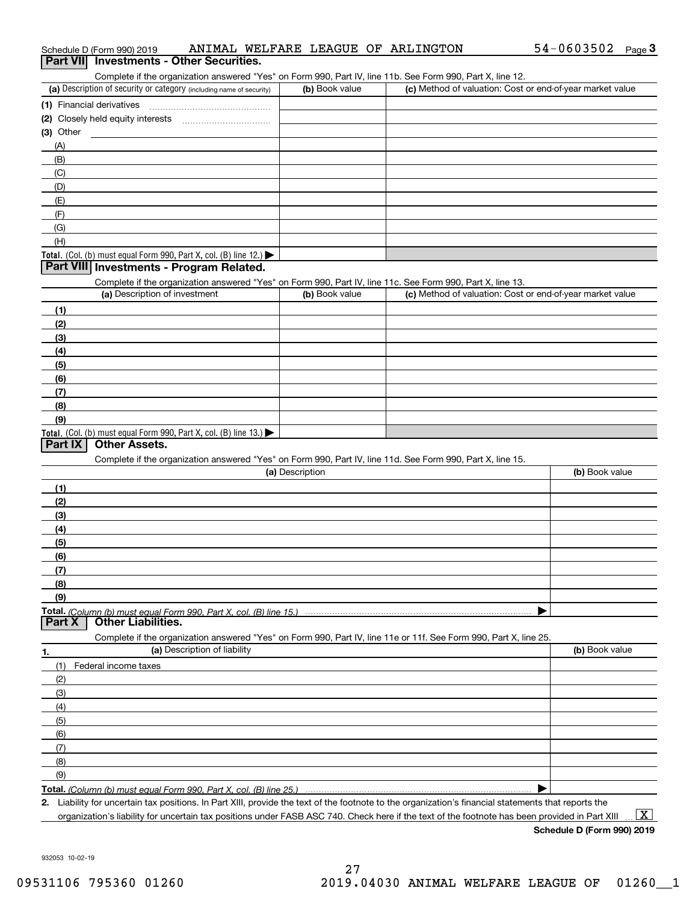| Part VII Investments - Other Securities.<br>Complete if the organization answered "Yes" on Form 990, Part IV, line 11b. See Form 990, Part X, line 12. |                 |                                                           |
|--------------------------------------------------------------------------------------------------------------------------------------------------------|-----------------|-----------------------------------------------------------|
| (a) Description of security or category (including name of security)                                                                                   | (b) Book value  | (c) Method of valuation: Cost or end-of-year market value |
| (1) Financial derivatives                                                                                                                              |                 |                                                           |
|                                                                                                                                                        |                 |                                                           |
| $(3)$ Other                                                                                                                                            |                 |                                                           |
| (A)                                                                                                                                                    |                 |                                                           |
| (B)                                                                                                                                                    |                 |                                                           |
| (C)                                                                                                                                                    |                 |                                                           |
| (D)                                                                                                                                                    |                 |                                                           |
| (E)                                                                                                                                                    |                 |                                                           |
| (F)                                                                                                                                                    |                 |                                                           |
| (G)                                                                                                                                                    |                 |                                                           |
| (H)                                                                                                                                                    |                 |                                                           |
| Total. (Col. (b) must equal Form 990, Part X, col. (B) line 12.)<br>Part VIII Investments - Program Related.                                           |                 |                                                           |
| Complete if the organization answered "Yes" on Form 990, Part IV, line 11c. See Form 990, Part X, line 13.                                             |                 |                                                           |
| (a) Description of investment                                                                                                                          | (b) Book value  | (c) Method of valuation: Cost or end-of-year market value |
| (1)                                                                                                                                                    |                 |                                                           |
| (2)                                                                                                                                                    |                 |                                                           |
| (3)                                                                                                                                                    |                 |                                                           |
| (4)                                                                                                                                                    |                 |                                                           |
| (5)                                                                                                                                                    |                 |                                                           |
| (6)                                                                                                                                                    |                 |                                                           |
| (7)                                                                                                                                                    |                 |                                                           |
| (8)                                                                                                                                                    |                 |                                                           |
| (9)                                                                                                                                                    |                 |                                                           |
| Total. (Col. (b) must equal Form 990, Part X, col. (B) line 13.)                                                                                       |                 |                                                           |
| <b>Part IX</b><br><b>Other Assets.</b>                                                                                                                 |                 |                                                           |
| Complete if the organization answered "Yes" on Form 990, Part IV, line 11d. See Form 990, Part X, line 15.                                             | (a) Description | (b) Book value                                            |
|                                                                                                                                                        |                 |                                                           |
| (1)                                                                                                                                                    |                 |                                                           |
| (2)                                                                                                                                                    |                 |                                                           |
| (3)                                                                                                                                                    |                 |                                                           |
| (4)                                                                                                                                                    |                 |                                                           |
| (5)                                                                                                                                                    |                 |                                                           |
| (6)                                                                                                                                                    |                 |                                                           |
| (7)                                                                                                                                                    |                 |                                                           |
| (8)                                                                                                                                                    |                 |                                                           |
| (9)                                                                                                                                                    |                 |                                                           |
| Part X<br><b>Other Liabilities.</b>                                                                                                                    |                 |                                                           |
| Complete if the organization answered "Yes" on Form 990, Part IV, line 11e or 11f. See Form 990, Part X, line 25.                                      |                 |                                                           |
| (a) Description of liability<br>1.                                                                                                                     |                 | (b) Book value                                            |
| (1)<br>Federal income taxes                                                                                                                            |                 |                                                           |
| (2)                                                                                                                                                    |                 |                                                           |
| (3)                                                                                                                                                    |                 |                                                           |
| (4)                                                                                                                                                    |                 |                                                           |
| (5)                                                                                                                                                    |                 |                                                           |
| (6)                                                                                                                                                    |                 |                                                           |
| (7)                                                                                                                                                    |                 |                                                           |
| (8)                                                                                                                                                    |                 |                                                           |
| (9)                                                                                                                                                    |                 |                                                           |
|                                                                                                                                                        |                 |                                                           |
| 2. Liability for uncertain tax positions. In Part XIII, provide the text of the footnote to the organization's financial statements that reports the   |                 |                                                           |

Schedule D (Form 990) 2019 AN LMAL WELFARE LEAGUE OF ARLINGTON 54-U 6 U 3 5 U 2 Page

ANIMAL WELFARE LEAGUE OF ARLINGTON 54-0603502

organization's liability for uncertain tax positions under FASB ASC 740. Check here if the text of the footnote has been provided in Part XIII

 $\boxed{\text{X}}$ 

54-0603502 Page 3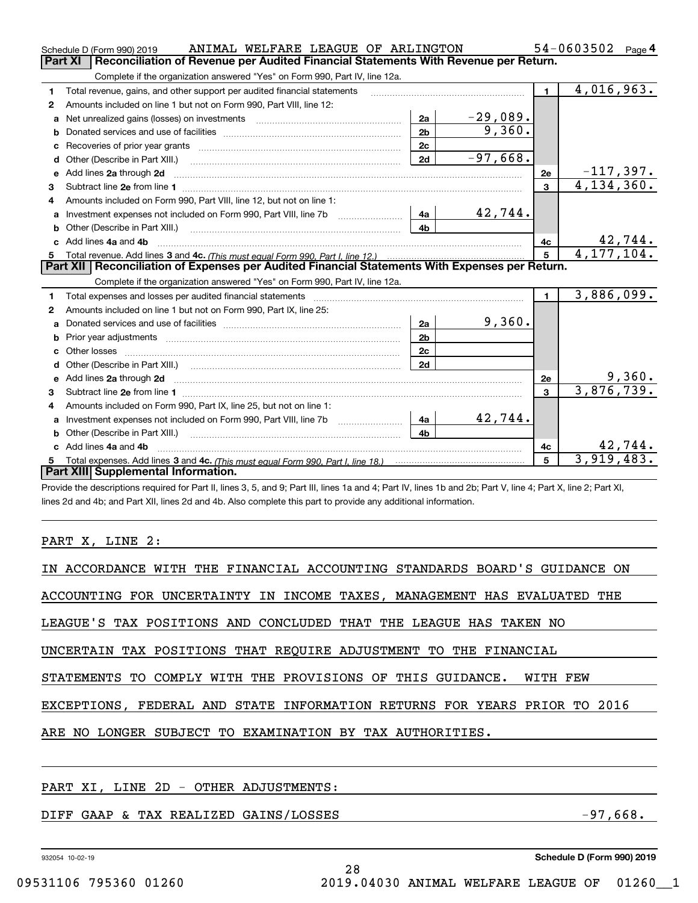|    | ANIMAL WELFARE LEAGUE OF ARLINGTON<br>Schedule D (Form 990) 2019                                                                                                                                                                    |                 |            |                | 54-0603502<br>Page 4         |
|----|-------------------------------------------------------------------------------------------------------------------------------------------------------------------------------------------------------------------------------------|-----------------|------------|----------------|------------------------------|
|    | Reconciliation of Revenue per Audited Financial Statements With Revenue per Return.<br>Part XI                                                                                                                                      |                 |            |                |                              |
|    | Complete if the organization answered "Yes" on Form 990, Part IV, line 12a.                                                                                                                                                         |                 |            |                |                              |
| 1  | Total revenue, gains, and other support per audited financial statements                                                                                                                                                            |                 |            | $\blacksquare$ | 4,016,963.                   |
| 2  | Amounts included on line 1 but not on Form 990, Part VIII, line 12:                                                                                                                                                                 |                 |            |                |                              |
| a  | Net unrealized gains (losses) on investments [11] matter contracts and the unrealized gains (losses) on investments                                                                                                                 | 2a              | $-29,089.$ |                |                              |
| b  |                                                                                                                                                                                                                                     | 2 <sub>b</sub>  | 9,360.     |                |                              |
|    |                                                                                                                                                                                                                                     | 2c              |            |                |                              |
| d  |                                                                                                                                                                                                                                     | 2d              | $-97,668.$ |                |                              |
| e  | Add lines 2a through 2d                                                                                                                                                                                                             |                 |            | 2e             | $-117,397.$                  |
| 3  |                                                                                                                                                                                                                                     |                 |            | $\overline{3}$ | 4, 134, 360.                 |
| 4  | Amounts included on Form 990, Part VIII, line 12, but not on line 1:                                                                                                                                                                |                 |            |                |                              |
| a  | Investment expenses not included on Form 990, Part VIII, line 7b [100] [100] [100] [100] [100] [100] [100] [100] [100] [100] [100] [100] [100] [100] [100] [100] [100] [100] [100] [100] [100] [100] [100] [100] [100] [100] [      | 4a              | 42,744.    |                |                              |
|    |                                                                                                                                                                                                                                     | 4b              |            |                |                              |
|    | c Add lines 4a and 4b                                                                                                                                                                                                               |                 |            | 4c             | $\frac{42,744}{4,177,104}$ . |
|    |                                                                                                                                                                                                                                     | $5\overline{5}$ |            |                |                              |
|    |                                                                                                                                                                                                                                     |                 |            |                |                              |
|    | Part XII   Reconciliation of Expenses per Audited Financial Statements With Expenses per Return.                                                                                                                                    |                 |            |                |                              |
|    | Complete if the organization answered "Yes" on Form 990, Part IV, line 12a.                                                                                                                                                         |                 |            |                |                              |
| 1  | Total expenses and losses per audited financial statements                                                                                                                                                                          |                 |            | $\blacksquare$ | 3,886,099.                   |
| 2  | Amounts included on line 1 but not on Form 990, Part IX, line 25:                                                                                                                                                                   |                 |            |                |                              |
| a  |                                                                                                                                                                                                                                     | 2a              | 9,360.     |                |                              |
| b  |                                                                                                                                                                                                                                     | 2 <sub>b</sub>  |            |                |                              |
| c. | Other losses                                                                                                                                                                                                                        | 2c              |            |                |                              |
| d  |                                                                                                                                                                                                                                     | 2d              |            |                |                              |
|    | e Add lines 2a through 2d <b>contract and all anomination</b> and all and all anomalism and all anomalism and all anomalism and all anomalism and all anomalism and all anomalism and all anomalism and all anomalism and all anoma |                 |            | 2e             | <u>9,360.</u>                |
| з  |                                                                                                                                                                                                                                     |                 |            | $\overline{3}$ | 3,876,739.                   |
| 4  | Amounts included on Form 990, Part IX, line 25, but not on line 1:                                                                                                                                                                  |                 |            |                |                              |
| a  | Investment expenses not included on Form 990, Part VIII, line 7b                                                                                                                                                                    | 4a              | 42,744.    |                |                              |
| b  | Other (Describe in Part XIII.)                                                                                                                                                                                                      | 4 <sub>b</sub>  |            |                |                              |
|    | c Add lines 4a and 4b                                                                                                                                                                                                               |                 |            | 4c             | 42,744.                      |
| 5  | Part XIII Supplemental Information.                                                                                                                                                                                                 |                 |            | 5              | 3,919,483.                   |

Provide the descriptions required for Part II, lines 3, 5, and 9; Part III, lines 1a and 4; Part IV, lines 1b and 2b; Part V, line 4; Part X, line 2; Part XI, lines 2d and 4b; and Part XII, lines 2d and 4b. Also complete this part to provide any additional information.

### PART X, LINE 2:

| IN ACCORDANCE WITH THE FINANCIAL ACCOUNTING STANDARDS BOARD'S GUIDANCE ON |
|---------------------------------------------------------------------------|
| ACCOUNTING FOR UNCERTAINTY IN INCOME TAXES, MANAGEMENT HAS EVALUATED THE  |
| LEAGUE'S TAX POSITIONS AND CONCLUDED THAT THE LEAGUE HAS TAKEN NO         |
| UNCERTAIN TAX POSITIONS THAT REQUIRE ADJUSTMENT TO THE FINANCIAL          |
| STATEMENTS TO COMPLY WITH THE PROVISIONS OF THIS GUIDANCE. WITH FEW       |
| EXCEPTIONS, FEDERAL AND STATE INFORMATION RETURNS FOR YEARS PRIOR TO 2016 |
| ARE NO LONGER SUBJECT TO EXAMINATION BY TAX AUTHORITIES.                  |
|                                                                           |
|                                                                           |

### PART XI, LINE 2D - OTHER ADJUSTMENTS:

### DIFF GAAP & TAX REALIZED GAINS/LOSSES -97,668.

932054 10-02-19

**Schedule D (Form 990) 2019**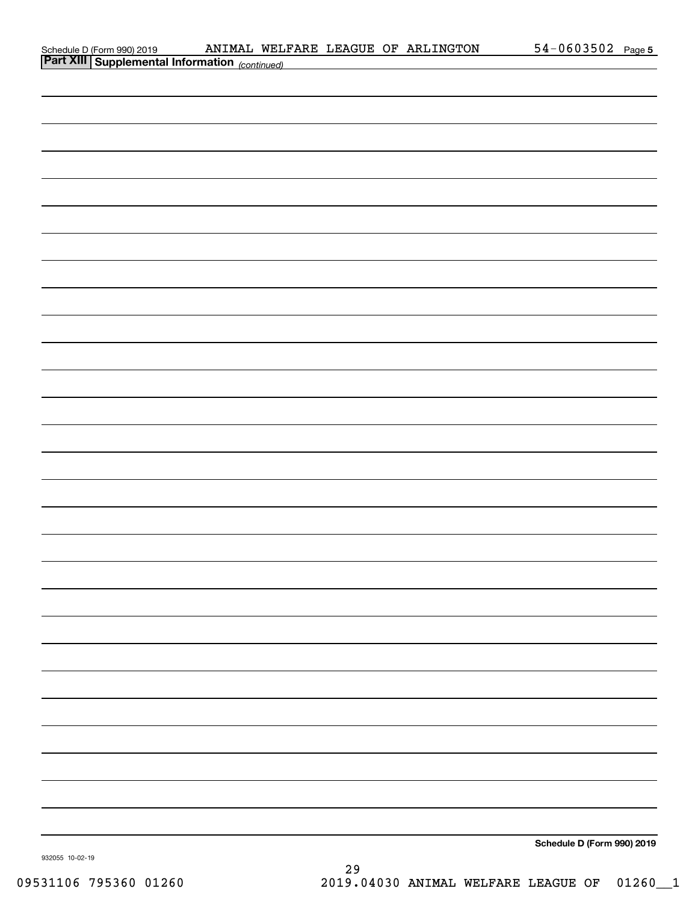| Schedule D (Form 990) 2019 |  |
|----------------------------|--|
| Part VIII                  |  |

| <b>Part XIII Supplemental Information</b> (continued) |                            |
|-------------------------------------------------------|----------------------------|
|                                                       |                            |
|                                                       |                            |
|                                                       |                            |
|                                                       |                            |
|                                                       |                            |
|                                                       |                            |
|                                                       |                            |
|                                                       |                            |
|                                                       |                            |
|                                                       |                            |
|                                                       |                            |
|                                                       |                            |
|                                                       |                            |
|                                                       |                            |
|                                                       |                            |
|                                                       |                            |
|                                                       |                            |
|                                                       |                            |
|                                                       |                            |
|                                                       |                            |
|                                                       |                            |
|                                                       |                            |
|                                                       |                            |
|                                                       |                            |
|                                                       |                            |
|                                                       |                            |
|                                                       |                            |
|                                                       |                            |
|                                                       |                            |
|                                                       |                            |
|                                                       | Schedule D (Form 990) 2019 |
|                                                       |                            |

932055 10-02-19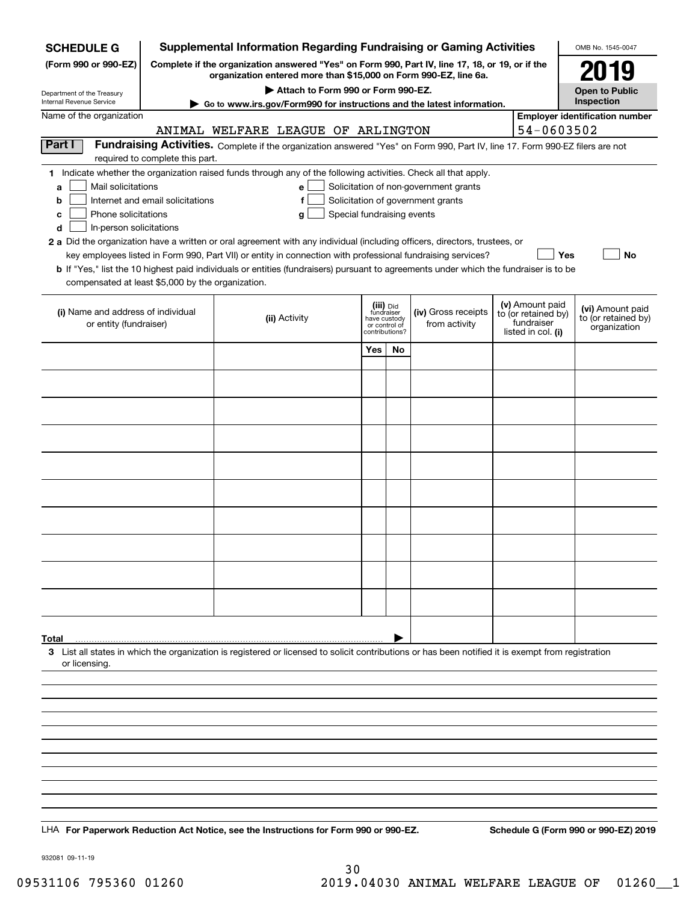| <b>Supplemental Information Regarding Fundraising or Gaming Activities</b><br><b>SCHEDULE G</b> |                                                                                                                                                                     |                                                                                                                                                    |                                                                            |    |                                       |  |                                                         | OMB No. 1545-0047                                       |
|-------------------------------------------------------------------------------------------------|---------------------------------------------------------------------------------------------------------------------------------------------------------------------|----------------------------------------------------------------------------------------------------------------------------------------------------|----------------------------------------------------------------------------|----|---------------------------------------|--|---------------------------------------------------------|---------------------------------------------------------|
| (Form 990 or 990-EZ)                                                                            | Complete if the organization answered "Yes" on Form 990, Part IV, line 17, 18, or 19, or if the<br>organization entered more than \$15,000 on Form 990-EZ, line 6a. |                                                                                                                                                    | 2019                                                                       |    |                                       |  |                                                         |                                                         |
| Department of the Treasury                                                                      |                                                                                                                                                                     |                                                                                                                                                    | <b>Open to Public</b>                                                      |    |                                       |  |                                                         |                                                         |
| <b>Internal Revenue Service</b><br>Name of the organization                                     |                                                                                                                                                                     | Go to www.irs.gov/Form990 for instructions and the latest information.                                                                             |                                                                            |    |                                       |  |                                                         | Inspection<br><b>Employer identification number</b>     |
|                                                                                                 |                                                                                                                                                                     | ANIMAL WELFARE LEAGUE OF ARLINGTON                                                                                                                 |                                                                            |    |                                       |  | 54-0603502                                              |                                                         |
| Part I                                                                                          | required to complete this part.                                                                                                                                     | Fundraising Activities. Complete if the organization answered "Yes" on Form 990, Part IV, line 17. Form 990-EZ filers are not                      |                                                                            |    |                                       |  |                                                         |                                                         |
|                                                                                                 |                                                                                                                                                                     | 1 Indicate whether the organization raised funds through any of the following activities. Check all that apply.                                    |                                                                            |    |                                       |  |                                                         |                                                         |
| Mail solicitations<br>a                                                                         |                                                                                                                                                                     | $\mathbf{e}$                                                                                                                                       |                                                                            |    | Solicitation of non-government grants |  |                                                         |                                                         |
| b<br>Phone solicitations                                                                        | Internet and email solicitations                                                                                                                                    | f<br>Special fundraising events<br>g                                                                                                               |                                                                            |    | Solicitation of government grants     |  |                                                         |                                                         |
| c<br>In-person solicitations<br>d                                                               |                                                                                                                                                                     |                                                                                                                                                    |                                                                            |    |                                       |  |                                                         |                                                         |
|                                                                                                 |                                                                                                                                                                     | 2 a Did the organization have a written or oral agreement with any individual (including officers, directors, trustees, or                         |                                                                            |    |                                       |  |                                                         |                                                         |
|                                                                                                 |                                                                                                                                                                     | key employees listed in Form 990, Part VII) or entity in connection with professional fundraising services?                                        |                                                                            |    |                                       |  | Yes                                                     | No                                                      |
| compensated at least \$5,000 by the organization.                                               |                                                                                                                                                                     | <b>b</b> If "Yes," list the 10 highest paid individuals or entities (fundraisers) pursuant to agreements under which the fundraiser is to be       |                                                                            |    |                                       |  |                                                         |                                                         |
|                                                                                                 |                                                                                                                                                                     |                                                                                                                                                    |                                                                            |    |                                       |  | (v) Amount paid                                         |                                                         |
| (i) Name and address of individual<br>or entity (fundraiser)                                    |                                                                                                                                                                     | (ii) Activity                                                                                                                                      | (iii) Did<br>fundraiser<br>have custody<br>or control of<br>contributions? |    | (iv) Gross receipts<br>from activity  |  | to (or retained by)<br>fundraiser<br>listed in col. (i) | (vi) Amount paid<br>to (or retained by)<br>organization |
|                                                                                                 |                                                                                                                                                                     |                                                                                                                                                    | Yes                                                                        | No |                                       |  |                                                         |                                                         |
|                                                                                                 |                                                                                                                                                                     |                                                                                                                                                    |                                                                            |    |                                       |  |                                                         |                                                         |
|                                                                                                 |                                                                                                                                                                     |                                                                                                                                                    |                                                                            |    |                                       |  |                                                         |                                                         |
|                                                                                                 |                                                                                                                                                                     |                                                                                                                                                    |                                                                            |    |                                       |  |                                                         |                                                         |
|                                                                                                 |                                                                                                                                                                     |                                                                                                                                                    |                                                                            |    |                                       |  |                                                         |                                                         |
|                                                                                                 |                                                                                                                                                                     |                                                                                                                                                    |                                                                            |    |                                       |  |                                                         |                                                         |
|                                                                                                 |                                                                                                                                                                     |                                                                                                                                                    |                                                                            |    |                                       |  |                                                         |                                                         |
|                                                                                                 |                                                                                                                                                                     |                                                                                                                                                    |                                                                            |    |                                       |  |                                                         |                                                         |
|                                                                                                 |                                                                                                                                                                     |                                                                                                                                                    |                                                                            |    |                                       |  |                                                         |                                                         |
|                                                                                                 |                                                                                                                                                                     |                                                                                                                                                    |                                                                            |    |                                       |  |                                                         |                                                         |
|                                                                                                 |                                                                                                                                                                     |                                                                                                                                                    |                                                                            |    |                                       |  |                                                         |                                                         |
|                                                                                                 |                                                                                                                                                                     |                                                                                                                                                    |                                                                            |    |                                       |  |                                                         |                                                         |
|                                                                                                 |                                                                                                                                                                     |                                                                                                                                                    |                                                                            |    |                                       |  |                                                         |                                                         |
| Total<br>or licensing.                                                                          |                                                                                                                                                                     | 3 List all states in which the organization is registered or licensed to solicit contributions or has been notified it is exempt from registration |                                                                            |    |                                       |  |                                                         |                                                         |
|                                                                                                 |                                                                                                                                                                     |                                                                                                                                                    |                                                                            |    |                                       |  |                                                         |                                                         |
|                                                                                                 |                                                                                                                                                                     |                                                                                                                                                    |                                                                            |    |                                       |  |                                                         |                                                         |
|                                                                                                 |                                                                                                                                                                     |                                                                                                                                                    |                                                                            |    |                                       |  |                                                         |                                                         |
|                                                                                                 |                                                                                                                                                                     |                                                                                                                                                    |                                                                            |    |                                       |  |                                                         |                                                         |
|                                                                                                 |                                                                                                                                                                     |                                                                                                                                                    |                                                                            |    |                                       |  |                                                         |                                                         |
|                                                                                                 |                                                                                                                                                                     |                                                                                                                                                    |                                                                            |    |                                       |  |                                                         |                                                         |
|                                                                                                 |                                                                                                                                                                     |                                                                                                                                                    |                                                                            |    |                                       |  |                                                         |                                                         |
|                                                                                                 |                                                                                                                                                                     | LHA For Paperwork Reduction Act Notice, see the Instructions for Form 990 or 990-EZ.                                                               |                                                                            |    |                                       |  |                                                         | Schedule G (Form 990 or 990-EZ) 2019                    |

932081 09-11-19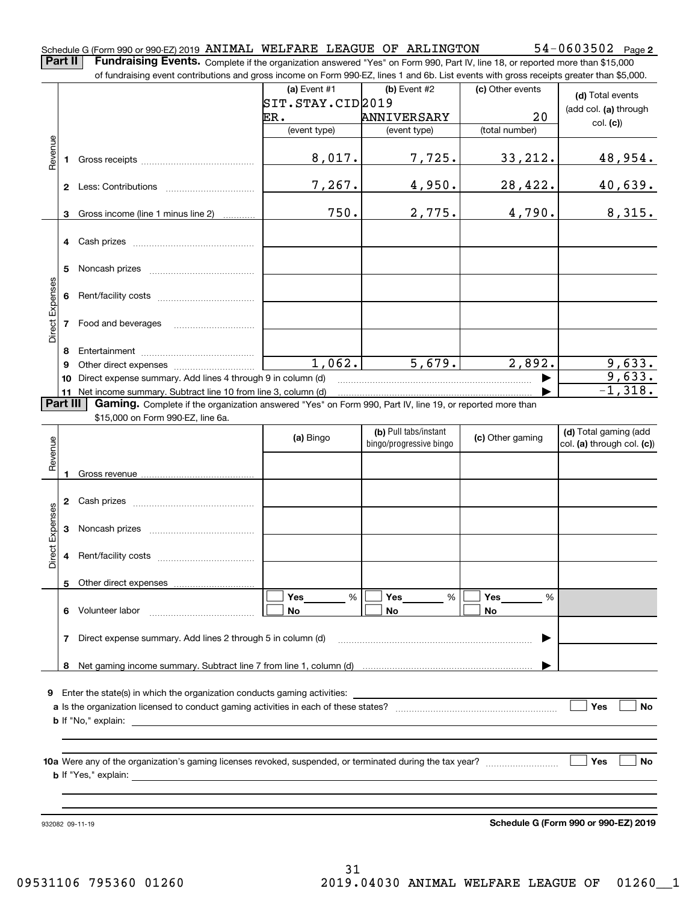Part II | Fundraising Events. Complete if the organization answered "Yes" on Form 990, Part IV, line 18, or reported more than \$15,000 of fundraising event contributions and gross income on Form 990-EZ, lines 1 and 6b. List events with gross receipts greater than \$5,000.

|                 |          | .000.or rundraising event contributions and gross income on Form 990-EZ, lines 1 and 6b. List events with gross receipts greater than \$5,000. |                   |                                                  |                  |                                                     |
|-----------------|----------|------------------------------------------------------------------------------------------------------------------------------------------------|-------------------|--------------------------------------------------|------------------|-----------------------------------------------------|
|                 |          |                                                                                                                                                | (a) Event $#1$    | $(b)$ Event #2                                   | (c) Other events | (d) Total events                                    |
|                 |          |                                                                                                                                                | STT.STAY.CID 2019 |                                                  |                  | (add col. (a) through                               |
|                 |          |                                                                                                                                                | ER.               | ANNIVERSARY                                      | 20               | col. (c)                                            |
|                 |          |                                                                                                                                                | (event type)      | (event type)                                     | (total number)   |                                                     |
| Revenue         | 1        |                                                                                                                                                | 8,017.            | 7,725.                                           | 33, 212.         | 48,954.                                             |
|                 |          |                                                                                                                                                | 7,267.            | 4,950.                                           | 28,422.          | 40,639.                                             |
|                 | 3        | Gross income (line 1 minus line 2)                                                                                                             | 750.              | 2,775.                                           | 4,790.           | 8,315.                                              |
|                 |          |                                                                                                                                                |                   |                                                  |                  |                                                     |
|                 | 5        |                                                                                                                                                |                   |                                                  |                  |                                                     |
|                 | 6        |                                                                                                                                                |                   |                                                  |                  |                                                     |
| Direct Expenses |          | 7 Food and beverages                                                                                                                           |                   |                                                  |                  |                                                     |
|                 | 8        |                                                                                                                                                |                   |                                                  |                  |                                                     |
|                 | 9        |                                                                                                                                                | 1,062.            | 5,679.                                           | 2,892.           | 9,633.                                              |
|                 | 10       | Direct expense summary. Add lines 4 through 9 in column (d)                                                                                    |                   |                                                  | ▶                | 9,633.                                              |
|                 | 11       | Net income summary. Subtract line 10 from line 3, column (d)                                                                                   |                   |                                                  |                  | $-1,318.$                                           |
|                 | Part III | Gaming. Complete if the organization answered "Yes" on Form 990, Part IV, line 19, or reported more than                                       |                   |                                                  |                  |                                                     |
|                 |          | \$15,000 on Form 990-EZ, line 6a.                                                                                                              |                   |                                                  |                  |                                                     |
| Revenue         |          |                                                                                                                                                | (a) Bingo         | (b) Pull tabs/instant<br>bingo/progressive bingo | (c) Other gaming | (d) Total gaming (add<br>col. (a) through col. (c)) |
|                 | 1        |                                                                                                                                                |                   |                                                  |                  |                                                     |
|                 |          |                                                                                                                                                |                   |                                                  |                  |                                                     |
|                 |          |                                                                                                                                                |                   |                                                  |                  |                                                     |
| Direct Expenses | 3        |                                                                                                                                                |                   |                                                  |                  |                                                     |
|                 | 4        |                                                                                                                                                |                   |                                                  |                  |                                                     |
|                 |          | 5 Other direct expenses                                                                                                                        |                   |                                                  |                  |                                                     |
|                 |          |                                                                                                                                                | %<br>Yes          | Yes<br>%                                         | Yes<br>%         |                                                     |
|                 | 6.       | Volunteer labor                                                                                                                                | No                | No                                               | No               |                                                     |
|                 | 7        | Direct expense summary. Add lines 2 through 5 in column (d)                                                                                    |                   |                                                  |                  |                                                     |
|                 | 8        |                                                                                                                                                |                   |                                                  |                  |                                                     |
|                 |          |                                                                                                                                                |                   |                                                  |                  |                                                     |
|                 |          | <b>9</b> Enter the state(s) in which the organization conducts gaming activities:                                                              |                   |                                                  |                  |                                                     |
|                 |          |                                                                                                                                                |                   |                                                  |                  | Yes<br><b>No</b>                                    |
|                 |          | $\mathbf b$ If "No," explain: $\qquad \qquad$                                                                                                  |                   |                                                  |                  |                                                     |
|                 |          |                                                                                                                                                |                   |                                                  |                  |                                                     |
|                 |          |                                                                                                                                                |                   |                                                  |                  |                                                     |
|                 |          |                                                                                                                                                |                   |                                                  |                  | ∣ Yes<br>No                                         |
|                 |          |                                                                                                                                                |                   |                                                  |                  |                                                     |
|                 |          |                                                                                                                                                |                   |                                                  |                  |                                                     |
|                 |          |                                                                                                                                                |                   |                                                  |                  |                                                     |
|                 |          |                                                                                                                                                |                   |                                                  |                  |                                                     |
|                 |          | 932082 09-11-19                                                                                                                                |                   |                                                  |                  | Schedule G (Form 990 or 990-EZ) 2019                |

**Schedule G (Form 990 or 990-EZ) 2019**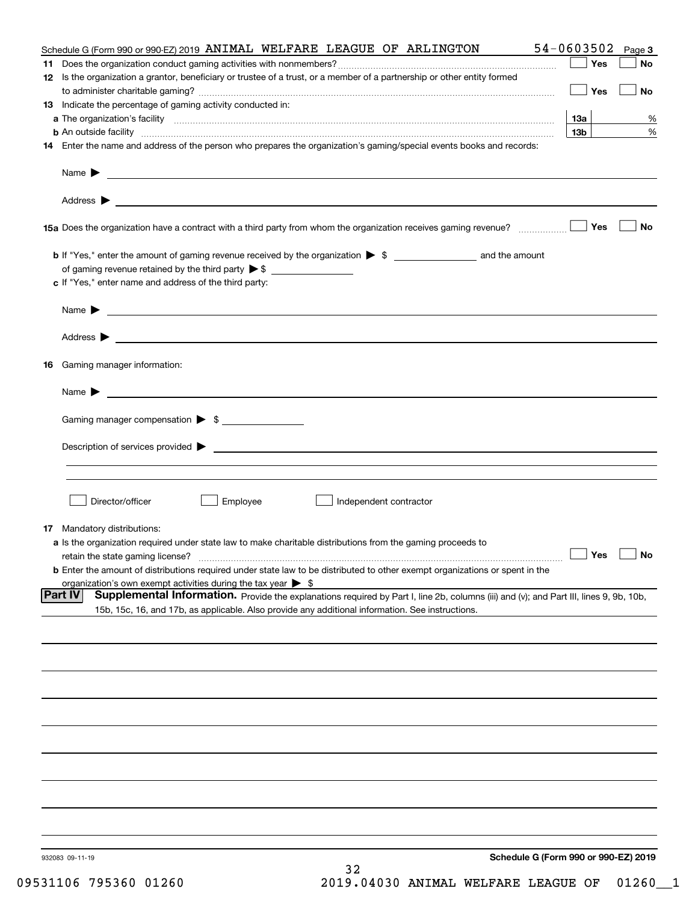|    | Schedule G (Form 990 or 990-EZ) 2019 ANIMAL WELFARE LEAGUE OF ARLINGTON                                                                                                                                                                               | 54-0603502      | Page 3    |
|----|-------------------------------------------------------------------------------------------------------------------------------------------------------------------------------------------------------------------------------------------------------|-----------------|-----------|
| 11 |                                                                                                                                                                                                                                                       | Yes             | No        |
|    | 12 Is the organization a grantor, beneficiary or trustee of a trust, or a member of a partnership or other entity formed                                                                                                                              | Yes             | No        |
|    | 13 Indicate the percentage of gaming activity conducted in:                                                                                                                                                                                           |                 |           |
|    |                                                                                                                                                                                                                                                       | 1За             | %         |
|    |                                                                                                                                                                                                                                                       | 13 <sub>b</sub> | %         |
|    | 14 Enter the name and address of the person who prepares the organization's gaming/special events books and records:                                                                                                                                  |                 |           |
|    |                                                                                                                                                                                                                                                       |                 |           |
|    |                                                                                                                                                                                                                                                       |                 |           |
|    |                                                                                                                                                                                                                                                       | Yes             | No        |
|    |                                                                                                                                                                                                                                                       |                 |           |
|    | of gaming revenue retained by the third party $\triangleright$ \$                                                                                                                                                                                     |                 |           |
|    | c If "Yes," enter name and address of the third party:                                                                                                                                                                                                |                 |           |
|    | Name $\blacktriangleright$ $\bot$                                                                                                                                                                                                                     |                 |           |
|    |                                                                                                                                                                                                                                                       |                 |           |
|    |                                                                                                                                                                                                                                                       |                 |           |
|    | 16 Gaming manager information:                                                                                                                                                                                                                        |                 |           |
|    | Name $\blacktriangleright$                                                                                                                                                                                                                            |                 |           |
|    | Gaming manager compensation > \$                                                                                                                                                                                                                      |                 |           |
|    |                                                                                                                                                                                                                                                       |                 |           |
|    |                                                                                                                                                                                                                                                       |                 |           |
|    |                                                                                                                                                                                                                                                       |                 |           |
|    | Employee<br>Director/officer<br>Independent contractor                                                                                                                                                                                                |                 |           |
|    |                                                                                                                                                                                                                                                       |                 |           |
|    | 17 Mandatory distributions:<br>a Is the organization required under state law to make charitable distributions from the gaming proceeds to                                                                                                            |                 |           |
|    | retain the state gaming license?                                                                                                                                                                                                                      | $\Box$ Yes      | $\Box$ No |
|    | <b>b</b> Enter the amount of distributions required under state law to be distributed to other exempt organizations or spent in the                                                                                                                   |                 |           |
|    | organization's own exempt activities during the tax year $\triangleright$ \$                                                                                                                                                                          |                 |           |
|    | Part IV<br>Supplemental Information. Provide the explanations required by Part I, line 2b, columns (iii) and (v); and Part III, lines 9, 9b, 10b,<br>15b, 15c, 16, and 17b, as applicable. Also provide any additional information. See instructions. |                 |           |
|    |                                                                                                                                                                                                                                                       |                 |           |
|    |                                                                                                                                                                                                                                                       |                 |           |
|    |                                                                                                                                                                                                                                                       |                 |           |
|    |                                                                                                                                                                                                                                                       |                 |           |
|    |                                                                                                                                                                                                                                                       |                 |           |
|    |                                                                                                                                                                                                                                                       |                 |           |
|    |                                                                                                                                                                                                                                                       |                 |           |
|    |                                                                                                                                                                                                                                                       |                 |           |
|    |                                                                                                                                                                                                                                                       |                 |           |
|    |                                                                                                                                                                                                                                                       |                 |           |
|    | Schedule G (Form 990 or 990-EZ) 2019<br>932083 09-11-19                                                                                                                                                                                               |                 |           |
|    | 32                                                                                                                                                                                                                                                    |                 |           |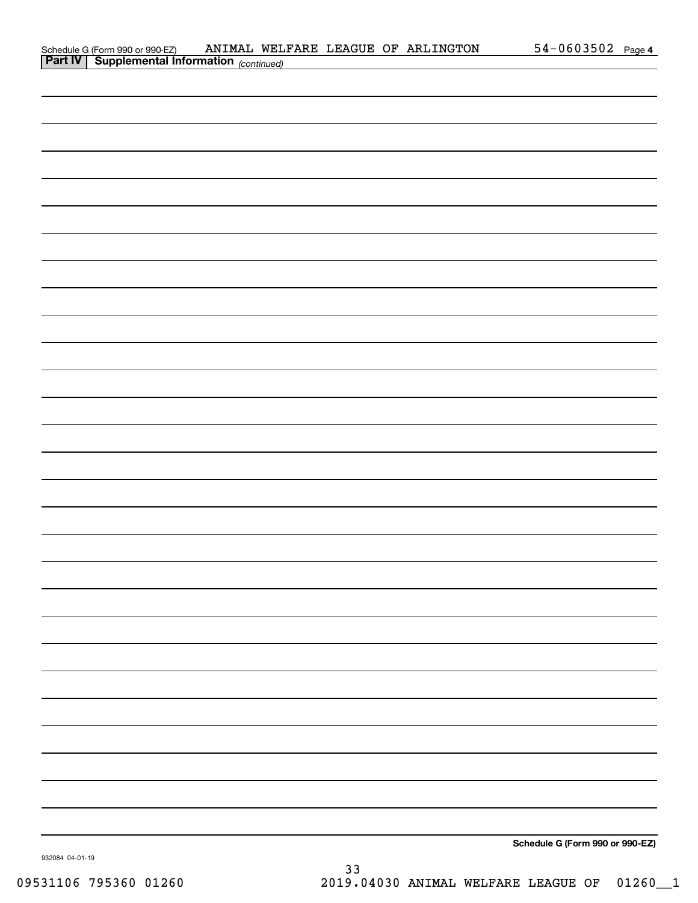|  | Schedule G (Form 990 or 990-EZ)                            |  |  | ANIMAL WELFARE LEAGUE OF ARLINGTON | $54 - 0603502$ Page 4 |  |
|--|------------------------------------------------------------|--|--|------------------------------------|-----------------------|--|
|  | <b>Part IV</b>   Supplemental Information $_{(continued)}$ |  |  |                                    |                       |  |

| <b>Part IV Supplemental Information</b> (continued) |  |                                 |  |
|-----------------------------------------------------|--|---------------------------------|--|
|                                                     |  |                                 |  |
|                                                     |  |                                 |  |
|                                                     |  |                                 |  |
|                                                     |  |                                 |  |
|                                                     |  |                                 |  |
|                                                     |  |                                 |  |
|                                                     |  |                                 |  |
|                                                     |  |                                 |  |
|                                                     |  |                                 |  |
|                                                     |  |                                 |  |
|                                                     |  |                                 |  |
|                                                     |  |                                 |  |
|                                                     |  |                                 |  |
|                                                     |  |                                 |  |
|                                                     |  |                                 |  |
|                                                     |  |                                 |  |
|                                                     |  |                                 |  |
|                                                     |  |                                 |  |
|                                                     |  |                                 |  |
|                                                     |  |                                 |  |
|                                                     |  |                                 |  |
|                                                     |  |                                 |  |
|                                                     |  |                                 |  |
|                                                     |  |                                 |  |
|                                                     |  |                                 |  |
|                                                     |  |                                 |  |
|                                                     |  |                                 |  |
|                                                     |  |                                 |  |
|                                                     |  |                                 |  |
|                                                     |  |                                 |  |
|                                                     |  |                                 |  |
|                                                     |  | Schedule G (Form 990 or 990-EZ) |  |

932084 04-01-19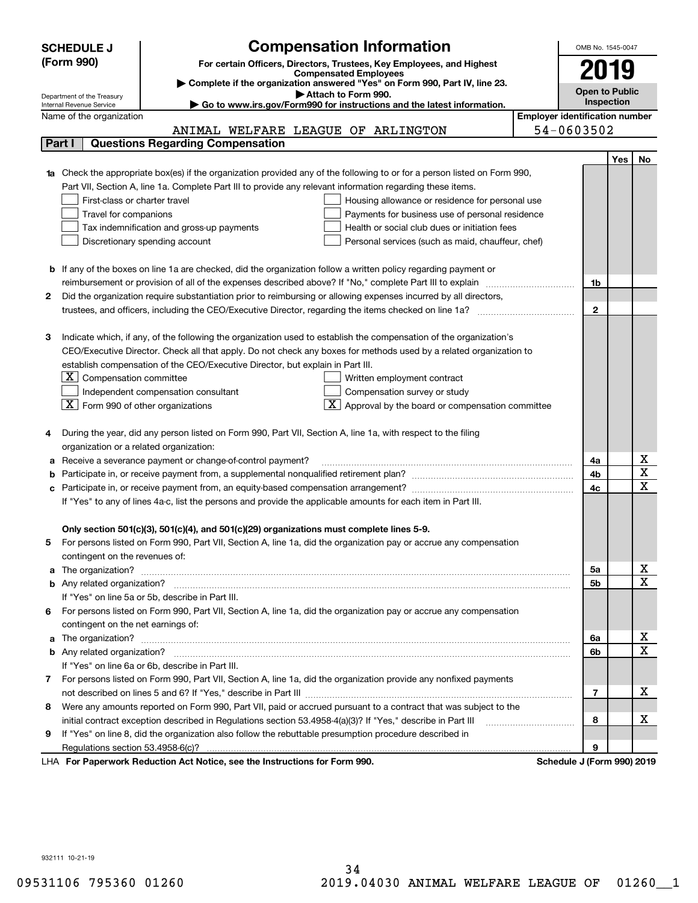|                                                                                                                                  | <b>Compensation Information</b><br><b>SCHEDULE J</b>                                                                                                                                                                                 |                       | OMB No. 1545-0047 |                  |  |  |  |  |  |  |
|----------------------------------------------------------------------------------------------------------------------------------|--------------------------------------------------------------------------------------------------------------------------------------------------------------------------------------------------------------------------------------|-----------------------|-------------------|------------------|--|--|--|--|--|--|
| (Form 990)<br>For certain Officers, Directors, Trustees, Key Employees, and Highest                                              |                                                                                                                                                                                                                                      |                       |                   |                  |  |  |  |  |  |  |
|                                                                                                                                  | <b>Compensated Employees</b>                                                                                                                                                                                                         | 2019                  |                   |                  |  |  |  |  |  |  |
|                                                                                                                                  | Complete if the organization answered "Yes" on Form 990, Part IV, line 23.<br>Attach to Form 990.                                                                                                                                    | <b>Open to Public</b> |                   |                  |  |  |  |  |  |  |
| Department of the Treasury<br>Go to www.irs.gov/Form990 for instructions and the latest information.<br>Internal Revenue Service |                                                                                                                                                                                                                                      | Inspection            |                   |                  |  |  |  |  |  |  |
|                                                                                                                                  | <b>Employer identification number</b><br>Name of the organization                                                                                                                                                                    |                       |                   |                  |  |  |  |  |  |  |
|                                                                                                                                  | 54-0603502<br>ANIMAL WELFARE LEAGUE OF ARLINGTON                                                                                                                                                                                     |                       |                   |                  |  |  |  |  |  |  |
| <b>Questions Regarding Compensation</b><br>Part I                                                                                |                                                                                                                                                                                                                                      |                       |                   |                  |  |  |  |  |  |  |
|                                                                                                                                  |                                                                                                                                                                                                                                      |                       | Yes               | No               |  |  |  |  |  |  |
|                                                                                                                                  | Check the appropriate box(es) if the organization provided any of the following to or for a person listed on Form 990,                                                                                                               |                       |                   |                  |  |  |  |  |  |  |
|                                                                                                                                  | Part VII, Section A, line 1a. Complete Part III to provide any relevant information regarding these items.                                                                                                                           |                       |                   |                  |  |  |  |  |  |  |
|                                                                                                                                  | First-class or charter travel<br>Housing allowance or residence for personal use                                                                                                                                                     |                       |                   |                  |  |  |  |  |  |  |
|                                                                                                                                  | Travel for companions<br>Payments for business use of personal residence                                                                                                                                                             |                       |                   |                  |  |  |  |  |  |  |
|                                                                                                                                  | Tax indemnification and gross-up payments<br>Health or social club dues or initiation fees                                                                                                                                           |                       |                   |                  |  |  |  |  |  |  |
|                                                                                                                                  | Discretionary spending account<br>Personal services (such as maid, chauffeur, chef)                                                                                                                                                  |                       |                   |                  |  |  |  |  |  |  |
|                                                                                                                                  |                                                                                                                                                                                                                                      |                       |                   |                  |  |  |  |  |  |  |
|                                                                                                                                  | <b>b</b> If any of the boxes on line 1a are checked, did the organization follow a written policy regarding payment or                                                                                                               |                       |                   |                  |  |  |  |  |  |  |
|                                                                                                                                  | reimbursement or provision of all of the expenses described above? If "No," complete Part III to explain                                                                                                                             | 1b                    |                   |                  |  |  |  |  |  |  |
| 2                                                                                                                                | Did the organization require substantiation prior to reimbursing or allowing expenses incurred by all directors,                                                                                                                     |                       |                   |                  |  |  |  |  |  |  |
|                                                                                                                                  |                                                                                                                                                                                                                                      | $\mathbf{2}$          |                   |                  |  |  |  |  |  |  |
|                                                                                                                                  |                                                                                                                                                                                                                                      |                       |                   |                  |  |  |  |  |  |  |
| З                                                                                                                                | Indicate which, if any, of the following the organization used to establish the compensation of the organization's                                                                                                                   |                       |                   |                  |  |  |  |  |  |  |
|                                                                                                                                  | CEO/Executive Director. Check all that apply. Do not check any boxes for methods used by a related organization to                                                                                                                   |                       |                   |                  |  |  |  |  |  |  |
|                                                                                                                                  | establish compensation of the CEO/Executive Director, but explain in Part III.                                                                                                                                                       |                       |                   |                  |  |  |  |  |  |  |
|                                                                                                                                  | $X$ Compensation committee<br>Written employment contract                                                                                                                                                                            |                       |                   |                  |  |  |  |  |  |  |
|                                                                                                                                  | Compensation survey or study<br>Independent compensation consultant                                                                                                                                                                  |                       |                   |                  |  |  |  |  |  |  |
|                                                                                                                                  | $\boxed{\textbf{X}}$ Form 990 of other organizations<br>$\boxed{\textbf{X}}$ Approval by the board or compensation committee                                                                                                         |                       |                   |                  |  |  |  |  |  |  |
|                                                                                                                                  |                                                                                                                                                                                                                                      |                       |                   |                  |  |  |  |  |  |  |
|                                                                                                                                  | During the year, did any person listed on Form 990, Part VII, Section A, line 1a, with respect to the filing                                                                                                                         |                       |                   |                  |  |  |  |  |  |  |
|                                                                                                                                  | organization or a related organization:                                                                                                                                                                                              |                       |                   |                  |  |  |  |  |  |  |
| а                                                                                                                                | Receive a severance payment or change-of-control payment?                                                                                                                                                                            |                       |                   |                  |  |  |  |  |  |  |
| b                                                                                                                                |                                                                                                                                                                                                                                      | 4b<br>4c              |                   | X<br>X           |  |  |  |  |  |  |
| c                                                                                                                                | Participate in, or receive payment from, an equity-based compensation arrangement?                                                                                                                                                   |                       |                   |                  |  |  |  |  |  |  |
|                                                                                                                                  | If "Yes" to any of lines 4a-c, list the persons and provide the applicable amounts for each item in Part III.                                                                                                                        |                       |                   |                  |  |  |  |  |  |  |
|                                                                                                                                  |                                                                                                                                                                                                                                      |                       |                   |                  |  |  |  |  |  |  |
|                                                                                                                                  | Only section 501(c)(3), 501(c)(4), and 501(c)(29) organizations must complete lines 5-9.                                                                                                                                             |                       |                   |                  |  |  |  |  |  |  |
|                                                                                                                                  | For persons listed on Form 990, Part VII, Section A, line 1a, did the organization pay or accrue any compensation                                                                                                                    |                       |                   |                  |  |  |  |  |  |  |
|                                                                                                                                  | contingent on the revenues of:                                                                                                                                                                                                       |                       |                   |                  |  |  |  |  |  |  |
| a                                                                                                                                |                                                                                                                                                                                                                                      | 5a                    |                   | x                |  |  |  |  |  |  |
|                                                                                                                                  |                                                                                                                                                                                                                                      | 5b                    |                   | X                |  |  |  |  |  |  |
|                                                                                                                                  | If "Yes" on line 5a or 5b, describe in Part III.                                                                                                                                                                                     |                       |                   |                  |  |  |  |  |  |  |
| 6.                                                                                                                               | For persons listed on Form 990, Part VII, Section A, line 1a, did the organization pay or accrue any compensation                                                                                                                    |                       |                   |                  |  |  |  |  |  |  |
|                                                                                                                                  | contingent on the net earnings of:                                                                                                                                                                                                   |                       |                   |                  |  |  |  |  |  |  |
| a                                                                                                                                | The organization? <b>With the contract of the contract of the contract of the contract of the contract of the contract of the contract of the contract of the contract of the contract of the contract of the contract of the co</b> | 6a                    |                   | x<br>$\mathbf X$ |  |  |  |  |  |  |
|                                                                                                                                  |                                                                                                                                                                                                                                      | 6b                    |                   |                  |  |  |  |  |  |  |
|                                                                                                                                  | If "Yes" on line 6a or 6b, describe in Part III.                                                                                                                                                                                     |                       |                   |                  |  |  |  |  |  |  |
|                                                                                                                                  | 7 For persons listed on Form 990, Part VII, Section A, line 1a, did the organization provide any nonfixed payments                                                                                                                   |                       |                   |                  |  |  |  |  |  |  |
|                                                                                                                                  |                                                                                                                                                                                                                                      | 7                     |                   | х                |  |  |  |  |  |  |
| 8                                                                                                                                | Were any amounts reported on Form 990, Part VII, paid or accrued pursuant to a contract that was subject to the                                                                                                                      |                       |                   | х                |  |  |  |  |  |  |
|                                                                                                                                  | initial contract exception described in Regulations section 53.4958-4(a)(3)? If "Yes," describe in Part III                                                                                                                          | 8                     |                   |                  |  |  |  |  |  |  |
| 9                                                                                                                                | If "Yes" on line 8, did the organization also follow the rebuttable presumption procedure described in                                                                                                                               |                       |                   |                  |  |  |  |  |  |  |
|                                                                                                                                  | Regulations section 53.4958-6(c)?<br>converte Dedication Act Notice, see the Instructions for Form 000<br>Cahadula, UEaum 0001.0040                                                                                                  | 9                     |                   |                  |  |  |  |  |  |  |

LHA For Paperwork Reduction Act Notice, see the Instructions for Form 990. Schedule J (Form 990) 2019

932111 10-21-19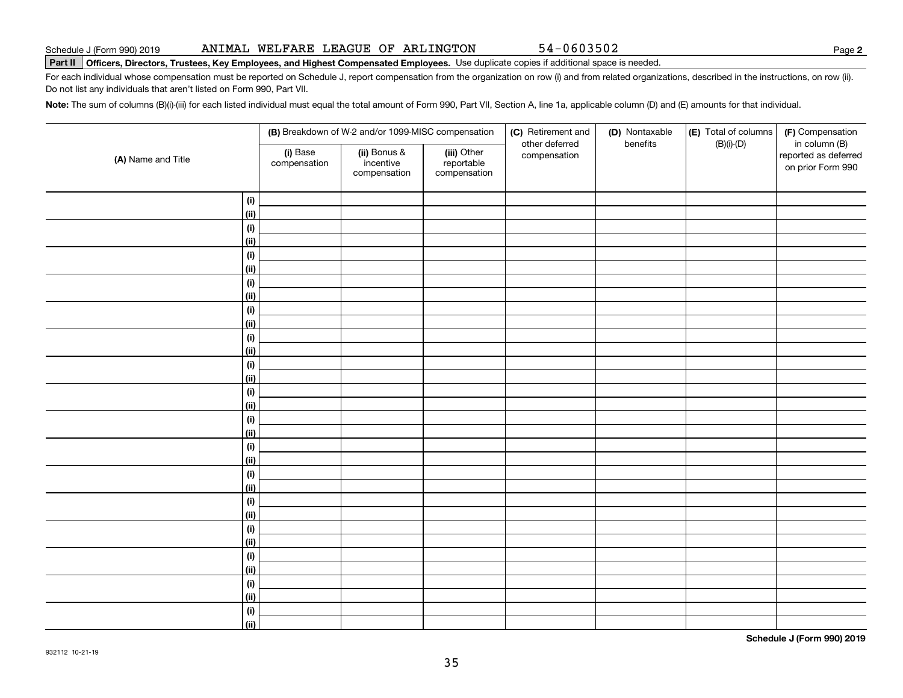932112 10-21-19

#### Part II | Officers, Directors, Trustees, Key Employees, and Highest Compensated Employees. Use duplicate copies if additional space is needed.

For each individual whose compensation must be reported on Schedule J, report compensation from the organization on row (i) and from related organizations, described in the instructions, on row (ii). Do not list any individuals that aren't listed on Form 990, Part VII.

Note: The sum of columns (B)(i)-(iii) for each listed individual must equal the total amount of Form 990, Part VII, Section A, line 1a, applicable column (D) and (E) amounts for that individual.

|                              | (B) Breakdown of W-2 and/or 1099-MISC compensation |                                           |                                           | (C) Retirement and             | (D) Nontaxable | (E) Total of columns | (F) Compensation                                           |  |
|------------------------------|----------------------------------------------------|-------------------------------------------|-------------------------------------------|--------------------------------|----------------|----------------------|------------------------------------------------------------|--|
| (A) Name and Title           | (i) Base<br>compensation                           | (ii) Bonus &<br>incentive<br>compensation | (iii) Other<br>reportable<br>compensation | other deferred<br>compensation | benefits       | $(B)(i)$ - $(D)$     | in column (B)<br>reported as deferred<br>on prior Form 990 |  |
| $\qquad \qquad \textbf{(i)}$ |                                                    |                                           |                                           |                                |                |                      |                                                            |  |
| (ii)                         |                                                    |                                           |                                           |                                |                |                      |                                                            |  |
| $\qquad \qquad \textbf{(i)}$ |                                                    |                                           |                                           |                                |                |                      |                                                            |  |
| (ii)                         |                                                    |                                           |                                           |                                |                |                      |                                                            |  |
| $\qquad \qquad \textbf{(i)}$ |                                                    |                                           |                                           |                                |                |                      |                                                            |  |
| (ii)                         |                                                    |                                           |                                           |                                |                |                      |                                                            |  |
| $\qquad \qquad \textbf{(i)}$ |                                                    |                                           |                                           |                                |                |                      |                                                            |  |
| (ii)                         |                                                    |                                           |                                           |                                |                |                      |                                                            |  |
| (i)                          |                                                    |                                           |                                           |                                |                |                      |                                                            |  |
| (ii)                         |                                                    |                                           |                                           |                                |                |                      |                                                            |  |
| (i)                          |                                                    |                                           |                                           |                                |                |                      |                                                            |  |
| (ii)                         |                                                    |                                           |                                           |                                |                |                      |                                                            |  |
| (i)                          |                                                    |                                           |                                           |                                |                |                      |                                                            |  |
| (ii)                         |                                                    |                                           |                                           |                                |                |                      |                                                            |  |
| $(\sf{i})$                   |                                                    |                                           |                                           |                                |                |                      |                                                            |  |
| (ii)                         |                                                    |                                           |                                           |                                |                |                      |                                                            |  |
| $(\sf{i})$                   |                                                    |                                           |                                           |                                |                |                      |                                                            |  |
| (ii)                         |                                                    |                                           |                                           |                                |                |                      |                                                            |  |
| $(\sf{i})$                   |                                                    |                                           |                                           |                                |                |                      |                                                            |  |
| (ii)                         |                                                    |                                           |                                           |                                |                |                      |                                                            |  |
| $(\sf{i})$                   |                                                    |                                           |                                           |                                |                |                      |                                                            |  |
| (ii)                         |                                                    |                                           |                                           |                                |                |                      |                                                            |  |
| $(\sf{i})$                   |                                                    |                                           |                                           |                                |                |                      |                                                            |  |
| (ii)                         |                                                    |                                           |                                           |                                |                |                      |                                                            |  |
| $(\sf{i})$                   |                                                    |                                           |                                           |                                |                |                      |                                                            |  |
| (ii)                         |                                                    |                                           |                                           |                                |                |                      |                                                            |  |
| (i)                          |                                                    |                                           |                                           |                                |                |                      |                                                            |  |
| (ii)                         |                                                    |                                           |                                           |                                |                |                      |                                                            |  |
| $\qquad \qquad \textbf{(i)}$ |                                                    |                                           |                                           |                                |                |                      |                                                            |  |
| (ii)                         |                                                    |                                           |                                           |                                |                |                      |                                                            |  |
| $\qquad \qquad \textbf{(i)}$ |                                                    |                                           |                                           |                                |                |                      |                                                            |  |
| (ii)                         |                                                    |                                           |                                           |                                |                |                      |                                                            |  |

**2**

Schedule J (Form 990) 2019 Page ANIMAL WELFARE LEAGUE OF ARLINGTON 54-0603502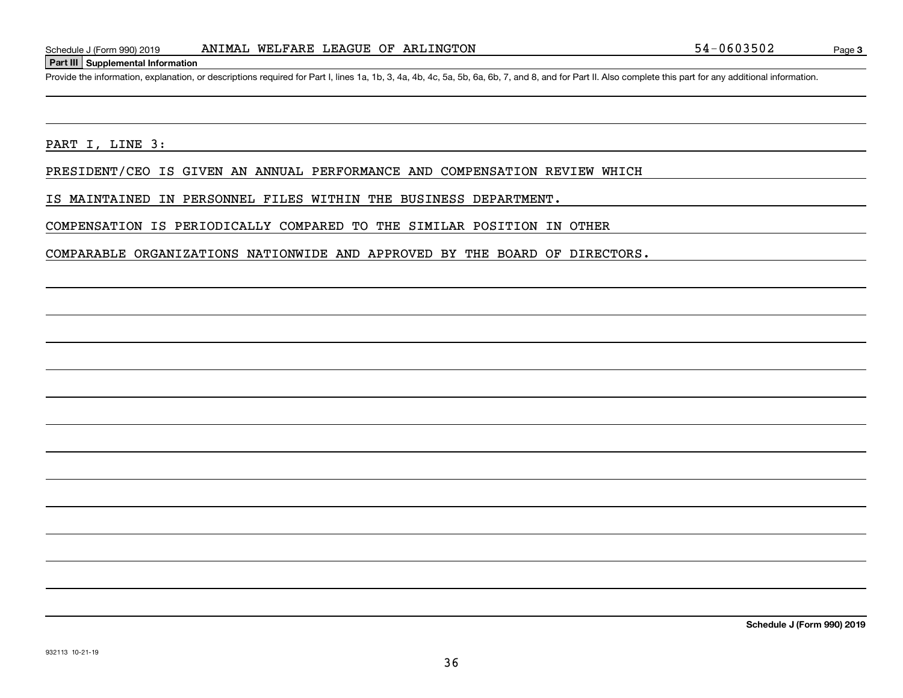#### **Part III Supplemental Information**

Provide the information, explanation, or descriptions required for Part I, lines 1a, 1b, 3, 4a, 4b, 4c, 5a, 5b, 6a, 6b, 7, and 8, and for Part II. Also complete this part for any additional information.

PART I, LINE 3:

PRESIDENT/CEO IS GIVEN AN ANNUAL PERFORMANCE AND COMPENSATION REVIEW WHICH

IS MAINTAINED IN PERSONNEL FILES WITHIN THE BUSINESS DEPARTMENT.

COMPENSATION IS PERIODICALLY COMPARED TO THE SIMILAR POSITION IN OTHER

COMPARABLE ORGANIZATIONS NATIONWIDE AND APPROVED BY THE BOARD OF DIRECTORS.

**Schedule J (Form 990) 2019**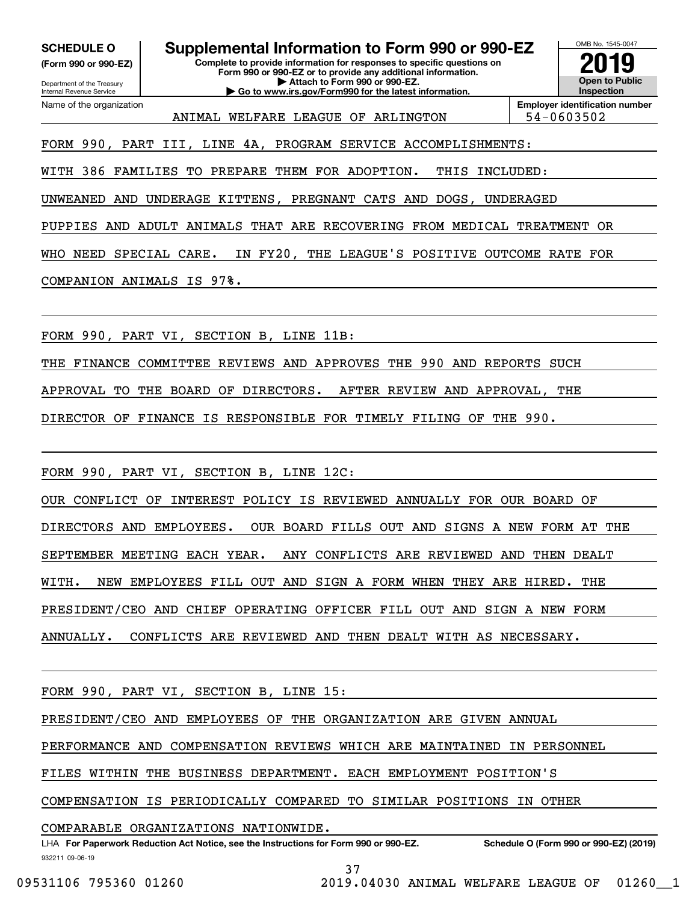**(Form 990 or 990-EZ)**

Department of the Treasury Internal Revenue Service Name of the organization

**Complete to provide information for responses to specific questions on Form 990 or 990-EZ or to provide any additional information. | Attach to Form 990 or 990-EZ. | Go to www.irs.gov/Form990 for the latest information. SCHEDULE O Supplemental Information to Form 990 or 990-EZ**  $\frac{1008 Nc. 1545-00}{2019}$ <br>(Form 990 or 990-EZ) Complete to provide information for responses to specific questions on



ANIMAL WELFARE LEAGUE OF ARLINGTON 194-0603502

**Employer identification number**

FORM 990, PART III, LINE 4A, PROGRAM SERVICE ACCOMPLISHMENTS:

WITH 386 FAMILIES TO PREPARE THEM FOR ADOPTION. THIS INCLUDED:

UNWEANED AND UNDERAGE KITTENS, PREGNANT CATS AND DOGS, UNDERAGED

PUPPIES AND ADULT ANIMALS THAT ARE RECOVERING FROM MEDICAL TREATMENT OR

WHO NEED SPECIAL CARE. IN FY20, THE LEAGUE'S POSITIVE OUTCOME RATE FOR

COMPANION ANIMALS IS 97%.

FORM 990, PART VI, SECTION B, LINE 11B:

THE FINANCE COMMITTEE REVIEWS AND APPROVES THE 990 AND REPORTS SUCH

APPROVAL TO THE BOARD OF DIRECTORS. AFTER REVIEW AND APPROVAL, THE

DIRECTOR OF FINANCE IS RESPONSIBLE FOR TIMELY FILING OF THE 990.

FORM 990, PART VI, SECTION B, LINE 12C:

OUR CONFLICT OF INTEREST POLICY IS REVIEWED ANNUALLY FOR OUR BOARD OF

DIRECTORS AND EMPLOYEES. OUR BOARD FILLS OUT AND SIGNS A NEW FORM AT THE

SEPTEMBER MEETING EACH YEAR. ANY CONFLICTS ARE REVIEWED AND THEN DEALT

WITH. NEW EMPLOYEES FILL OUT AND SIGN A FORM WHEN THEY ARE HIRED. THE

PRESIDENT/CEO AND CHIEF OPERATING OFFICER FILL OUT AND SIGN A NEW FORM

ANNUALLY. CONFLICTS ARE REVIEWED AND THEN DEALT WITH AS NECESSARY.

FORM 990, PART VI, SECTION B, LINE 15:

PRESIDENT/CEO AND EMPLOYEES OF THE ORGANIZATION ARE GIVEN ANNUAL

PERFORMANCE AND COMPENSATION REVIEWS WHICH ARE MAINTAINED IN PERSONNEL

FILES WITHIN THE BUSINESS DEPARTMENT. EACH EMPLOYMENT POSITION'S

COMPENSATION IS PERIODICALLY COMPARED TO SIMILAR POSITIONS IN OTHER

COMPARABLE ORGANIZATIONS NATIONWIDE.

932211 09-06-19 **For Paperwork Reduction Act Notice, see the Instructions for Form 990 or 990-EZ. Schedule O (Form 990 or 990-EZ) (2019)** LHA